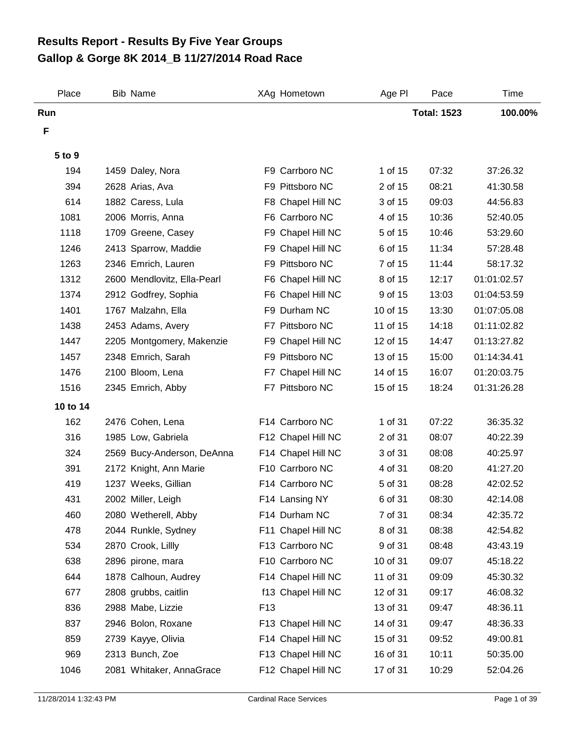## **Gallop & Gorge 8K 2014\_B 11/27/2014 Road Race Results Report - Results By Five Year Groups**

| Place         | <b>Bib Name</b>             |                 | XAg Hometown       | Age PI   | Pace               | Time        |
|---------------|-----------------------------|-----------------|--------------------|----------|--------------------|-------------|
| Run           |                             |                 |                    |          | <b>Total: 1523</b> | 100.00%     |
| F             |                             |                 |                    |          |                    |             |
|               |                             |                 |                    |          |                    |             |
| 5 to 9<br>194 |                             |                 | F9 Carrboro NC     | 1 of 15  | 07:32              | 37:26.32    |
|               | 1459 Daley, Nora            |                 |                    | 2 of 15  | 08:21              | 41:30.58    |
| 394           | 2628 Arias, Ava             |                 | F9 Pittsboro NC    | 3 of 15  |                    |             |
| 614           | 1882 Caress, Lula           |                 | F8 Chapel Hill NC  |          | 09:03              | 44:56.83    |
| 1081          | 2006 Morris, Anna           |                 | F6 Carrboro NC     | 4 of 15  | 10:36              | 52:40.05    |
| 1118          | 1709 Greene, Casey          | F9              | Chapel Hill NC     | 5 of 15  | 10:46              | 53:29.60    |
| 1246          | 2413 Sparrow, Maddie        |                 | F9 Chapel Hill NC  | 6 of 15  | 11:34              | 57:28.48    |
| 1263          | 2346 Emrich, Lauren         |                 | F9 Pittsboro NC    | 7 of 15  | 11:44              | 58:17.32    |
| 1312          | 2600 Mendlovitz, Ella-Pearl |                 | F6 Chapel Hill NC  | 8 of 15  | 12:17              | 01:01:02.57 |
| 1374          | 2912 Godfrey, Sophia        |                 | F6 Chapel Hill NC  | 9 of 15  | 13:03              | 01:04:53.59 |
| 1401          | 1767 Malzahn, Ella          |                 | F9 Durham NC       | 10 of 15 | 13:30              | 01:07:05.08 |
| 1438          | 2453 Adams, Avery           |                 | F7 Pittsboro NC    | 11 of 15 | 14:18              | 01:11:02.82 |
| 1447          | 2205 Montgomery, Makenzie   |                 | F9 Chapel Hill NC  | 12 of 15 | 14:47              | 01:13:27.82 |
| 1457          | 2348 Emrich, Sarah          |                 | F9 Pittsboro NC    | 13 of 15 | 15:00              | 01:14:34.41 |
| 1476          | 2100 Bloom, Lena            |                 | F7 Chapel Hill NC  | 14 of 15 | 16:07              | 01:20:03.75 |
| 1516          | 2345 Emrich, Abby           |                 | F7 Pittsboro NC    | 15 of 15 | 18:24              | 01:31:26.28 |
| 10 to 14      |                             |                 |                    |          |                    |             |
| 162           | 2476 Cohen, Lena            |                 | F14 Carrboro NC    | 1 of 31  | 07:22              | 36:35.32    |
| 316           | 1985 Low, Gabriela          |                 | F12 Chapel Hill NC | 2 of 31  | 08:07              | 40:22.39    |
| 324           | 2569 Bucy-Anderson, DeAnna  |                 | F14 Chapel Hill NC | 3 of 31  | 08:08              | 40:25.97    |
| 391           | 2172 Knight, Ann Marie      |                 | F10 Carrboro NC    | 4 of 31  | 08:20              | 41:27.20    |
| 419           | 1237 Weeks, Gillian         |                 | F14 Carrboro NC    | 5 of 31  | 08:28              | 42:02.52    |
| 431           | 2002 Miller, Leigh          |                 | F14 Lansing NY     | 6 of 31  | 08:30              | 42:14.08    |
| 460           | 2080 Wetherell, Abby        |                 | F14 Durham NC      | 7 of 31  | 08:34              | 42:35.72    |
| 478           | 2044 Runkle, Sydney         |                 | F11 Chapel Hill NC | 8 of 31  | 08:38              | 42:54.82    |
| 534           | 2870 Crook, Lillly          |                 | F13 Carrboro NC    | 9 of 31  | 08:48              | 43:43.19    |
| 638           | 2896 pirone, mara           |                 | F10 Carrboro NC    | 10 of 31 | 09:07              | 45:18.22    |
| 644           | 1878 Calhoun, Audrey        |                 | F14 Chapel Hill NC | 11 of 31 | 09:09              | 45:30.32    |
| 677           | 2808 grubbs, caitlin        |                 | f13 Chapel Hill NC | 12 of 31 | 09:17              | 46:08.32    |
| 836           | 2988 Mabe, Lizzie           | F <sub>13</sub> |                    | 13 of 31 | 09:47              | 48:36.11    |
| 837           | 2946 Bolon, Roxane          |                 | F13 Chapel Hill NC | 14 of 31 | 09:47              | 48:36.33    |
| 859           | 2739 Kayye, Olivia          |                 | F14 Chapel Hill NC | 15 of 31 | 09:52              | 49:00.81    |
| 969           | 2313 Bunch, Zoe             |                 | F13 Chapel Hill NC | 16 of 31 | 10:11              | 50:35.00    |
| 1046          | 2081 Whitaker, AnnaGrace    |                 | F12 Chapel Hill NC | 17 of 31 | 10:29              | 52:04.26    |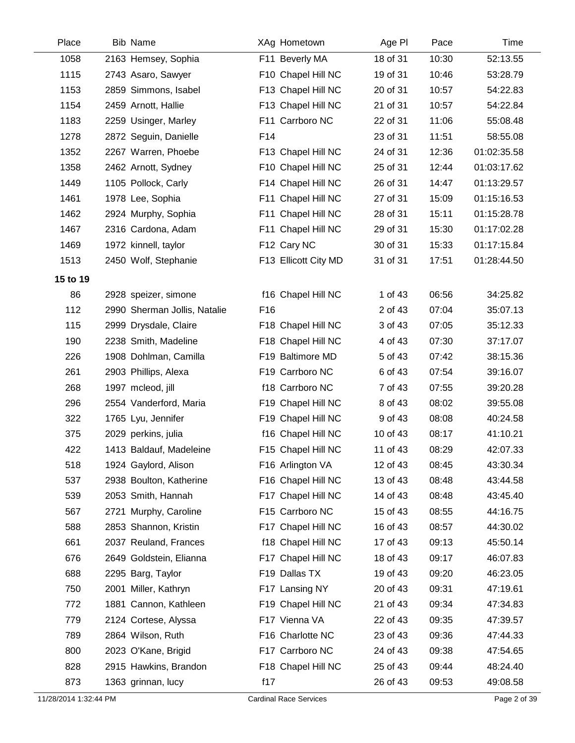| Place    | <b>Bib Name</b>              |     | XAg Hometown         | Age PI   | Pace  | Time        |
|----------|------------------------------|-----|----------------------|----------|-------|-------------|
| 1058     | 2163 Hemsey, Sophia          |     | F11 Beverly MA       | 18 of 31 | 10:30 | 52:13.55    |
| 1115     | 2743 Asaro, Sawyer           |     | F10 Chapel Hill NC   | 19 of 31 | 10:46 | 53:28.79    |
| 1153     | 2859 Simmons, Isabel         |     | F13 Chapel Hill NC   | 20 of 31 | 10:57 | 54:22.83    |
| 1154     | 2459 Arnott, Hallie          |     | F13 Chapel Hill NC   | 21 of 31 | 10:57 | 54:22.84    |
| 1183     | 2259 Usinger, Marley         |     | F11 Carrboro NC      | 22 of 31 | 11:06 | 55:08.48    |
| 1278     | 2872 Seguin, Danielle        | F14 |                      | 23 of 31 | 11:51 | 58:55.08    |
| 1352     | 2267 Warren, Phoebe          |     | F13 Chapel Hill NC   | 24 of 31 | 12:36 | 01:02:35.58 |
| 1358     | 2462 Arnott, Sydney          |     | F10 Chapel Hill NC   | 25 of 31 | 12:44 | 01:03:17.62 |
| 1449     | 1105 Pollock, Carly          |     | F14 Chapel Hill NC   | 26 of 31 | 14:47 | 01:13:29.57 |
| 1461     | 1978 Lee, Sophia             |     | F11 Chapel Hill NC   | 27 of 31 | 15:09 | 01:15:16.53 |
| 1462     | 2924 Murphy, Sophia          |     | F11 Chapel Hill NC   | 28 of 31 | 15:11 | 01:15:28.78 |
| 1467     | 2316 Cardona, Adam           |     | F11 Chapel Hill NC   | 29 of 31 | 15:30 | 01:17:02.28 |
| 1469     | 1972 kinnell, taylor         |     | F12 Cary NC          | 30 of 31 | 15:33 | 01:17:15.84 |
| 1513     | 2450 Wolf, Stephanie         |     | F13 Ellicott City MD | 31 of 31 | 17:51 | 01:28:44.50 |
| 15 to 19 |                              |     |                      |          |       |             |
| 86       | 2928 speizer, simone         |     | f16 Chapel Hill NC   | 1 of 43  | 06:56 | 34:25.82    |
| 112      | 2990 Sherman Jollis, Natalie | F16 |                      | 2 of 43  | 07:04 | 35:07.13    |
| 115      | 2999 Drysdale, Claire        |     | F18 Chapel Hill NC   | 3 of 43  | 07:05 | 35:12.33    |
| 190      | 2238 Smith, Madeline         |     | F18 Chapel Hill NC   | 4 of 43  | 07:30 | 37:17.07    |
| 226      | 1908 Dohlman, Camilla        |     | F19 Baltimore MD     | 5 of 43  | 07:42 | 38:15.36    |
| 261      | 2903 Phillips, Alexa         |     | F19 Carrboro NC      | 6 of 43  | 07:54 | 39:16.07    |
| 268      | 1997 mcleod, jill            |     | f18 Carrboro NC      | 7 of 43  | 07:55 | 39:20.28    |
| 296      | 2554 Vanderford, Maria       |     | F19 Chapel Hill NC   | 8 of 43  | 08:02 | 39:55.08    |
| 322      | 1765 Lyu, Jennifer           |     | F19 Chapel Hill NC   | 9 of 43  | 08:08 | 40:24.58    |
| 375      | 2029 perkins, julia          |     | f16 Chapel Hill NC   | 10 of 43 | 08:17 | 41:10.21    |
| 422      | 1413 Baldauf, Madeleine      |     | F15 Chapel Hill NC   | 11 of 43 | 08:29 | 42:07.33    |
| 518      | 1924 Gaylord, Alison         |     | F16 Arlington VA     | 12 of 43 | 08:45 | 43:30.34    |
| 537      | 2938 Boulton, Katherine      |     | F16 Chapel Hill NC   | 13 of 43 | 08:48 | 43:44.58    |
| 539      | 2053 Smith, Hannah           |     | F17 Chapel Hill NC   | 14 of 43 | 08:48 | 43:45.40    |
| 567      | 2721 Murphy, Caroline        |     | F15 Carrboro NC      | 15 of 43 | 08:55 | 44:16.75    |
| 588      | 2853 Shannon, Kristin        |     | F17 Chapel Hill NC   | 16 of 43 | 08:57 | 44:30.02    |
| 661      | 2037 Reuland, Frances        |     | f18 Chapel Hill NC   | 17 of 43 | 09:13 | 45:50.14    |
| 676      | 2649 Goldstein, Elianna      |     | F17 Chapel Hill NC   | 18 of 43 | 09:17 | 46:07.83    |
| 688      | 2295 Barg, Taylor            |     | F19 Dallas TX        | 19 of 43 | 09:20 | 46:23.05    |
| 750      | 2001 Miller, Kathryn         |     | F17 Lansing NY       | 20 of 43 | 09:31 | 47:19.61    |
| 772      | 1881 Cannon, Kathleen        |     | F19 Chapel Hill NC   | 21 of 43 | 09:34 | 47:34.83    |
| 779      | 2124 Cortese, Alyssa         |     | F17 Vienna VA        | 22 of 43 | 09:35 | 47:39.57    |
| 789      | 2864 Wilson, Ruth            |     | F16 Charlotte NC     | 23 of 43 | 09:36 | 47:44.33    |
| 800      | 2023 O'Kane, Brigid          |     | F17 Carrboro NC      | 24 of 43 | 09:38 | 47:54.65    |
| 828      | 2915 Hawkins, Brandon        |     | F18 Chapel Hill NC   | 25 of 43 | 09:44 | 48:24.40    |
| 873      | 1363 grinnan, lucy           | f17 |                      | 26 of 43 | 09:53 | 49:08.58    |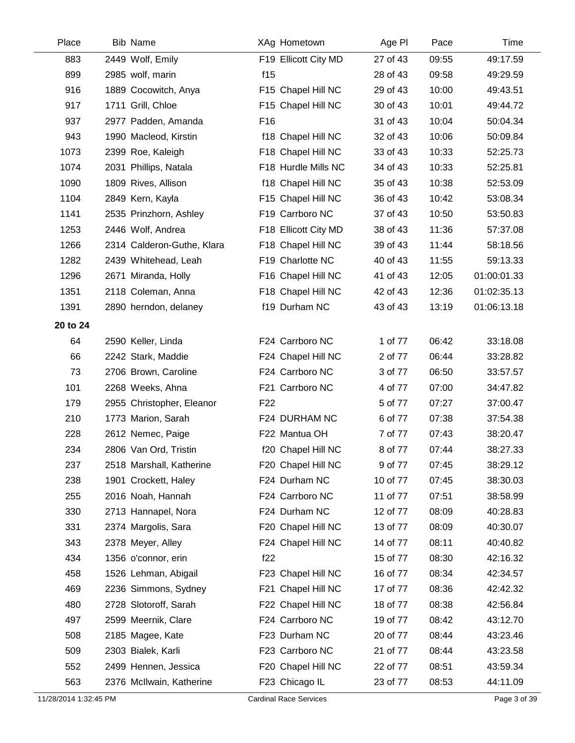| Place    | <b>Bib Name</b>            |                 | XAg Hometown         | Age PI   | Pace  | Time        |
|----------|----------------------------|-----------------|----------------------|----------|-------|-------------|
| 883      | 2449 Wolf, Emily           |                 | F19 Ellicott City MD | 27 of 43 | 09:55 | 49:17.59    |
| 899      | 2985 wolf, marin           | f15             |                      | 28 of 43 | 09:58 | 49:29.59    |
| 916      | 1889 Cocowitch, Anya       |                 | F15 Chapel Hill NC   | 29 of 43 | 10:00 | 49:43.51    |
| 917      | 1711 Grill, Chloe          |                 | F15 Chapel Hill NC   | 30 of 43 | 10:01 | 49:44.72    |
| 937      | 2977 Padden, Amanda        | F <sub>16</sub> |                      | 31 of 43 | 10:04 | 50:04.34    |
| 943      | 1990 Macleod, Kirstin      |                 | f18 Chapel Hill NC   | 32 of 43 | 10:06 | 50:09.84    |
| 1073     | 2399 Roe, Kaleigh          |                 | F18 Chapel Hill NC   | 33 of 43 | 10:33 | 52:25.73    |
| 1074     | 2031 Phillips, Natala      |                 | F18 Hurdle Mills NC  | 34 of 43 | 10:33 | 52:25.81    |
| 1090     | 1809 Rives, Allison        |                 | f18 Chapel Hill NC   | 35 of 43 | 10:38 | 52:53.09    |
| 1104     | 2849 Kern, Kayla           |                 | F15 Chapel Hill NC   | 36 of 43 | 10:42 | 53:08.34    |
| 1141     | 2535 Prinzhorn, Ashley     |                 | F19 Carrboro NC      | 37 of 43 | 10:50 | 53:50.83    |
| 1253     | 2446 Wolf, Andrea          |                 | F18 Ellicott City MD | 38 of 43 | 11:36 | 57:37.08    |
| 1266     | 2314 Calderon-Guthe, Klara |                 | F18 Chapel Hill NC   | 39 of 43 | 11:44 | 58:18.56    |
| 1282     | 2439 Whitehead, Leah       |                 | F19 Charlotte NC     | 40 of 43 | 11:55 | 59:13.33    |
| 1296     | 2671 Miranda, Holly        |                 | F16 Chapel Hill NC   | 41 of 43 | 12:05 | 01:00:01.33 |
| 1351     | 2118 Coleman, Anna         |                 | F18 Chapel Hill NC   | 42 of 43 | 12:36 | 01:02:35.13 |
| 1391     | 2890 herndon, delaney      |                 | f19 Durham NC        | 43 of 43 | 13:19 | 01:06:13.18 |
| 20 to 24 |                            |                 |                      |          |       |             |
| 64       | 2590 Keller, Linda         |                 | F24 Carrboro NC      | 1 of 77  | 06:42 | 33:18.08    |
| 66       | 2242 Stark, Maddie         |                 | F24 Chapel Hill NC   | 2 of 77  | 06:44 | 33:28.82    |
| 73       | 2706 Brown, Caroline       |                 | F24 Carrboro NC      | 3 of 77  | 06:50 | 33:57.57    |
| 101      | 2268 Weeks, Ahna           |                 | F21 Carrboro NC      | 4 of 77  | 07:00 | 34:47.82    |
| 179      | 2955 Christopher, Eleanor  | F <sub>22</sub> |                      | 5 of 77  | 07:27 | 37:00.47    |
| 210      | 1773 Marion, Sarah         |                 | F24 DURHAM NC        | 6 of 77  | 07:38 | 37:54.38    |
| 228      | 2612 Nemec, Paige          |                 | F22 Mantua OH        | 7 of 77  | 07:43 | 38:20.47    |
| 234      | 2806 Van Ord, Tristin      |                 | f20 Chapel Hill NC   | 8 of 77  | 07:44 | 38:27.33    |
| 237      | 2518 Marshall, Katherine   |                 | F20 Chapel Hill NC   | 9 of 77  | 07:45 | 38:29.12    |
| 238      | 1901 Crockett, Haley       |                 | F24 Durham NC        | 10 of 77 | 07:45 | 38:30.03    |
| 255      | 2016 Noah, Hannah          |                 | F24 Carrboro NC      | 11 of 77 | 07:51 | 38:58.99    |
| 330      | 2713 Hannapel, Nora        |                 | F24 Durham NC        | 12 of 77 | 08:09 | 40:28.83    |
| 331      | 2374 Margolis, Sara        |                 | F20 Chapel Hill NC   | 13 of 77 | 08:09 | 40:30.07    |
| 343      | 2378 Meyer, Alley          |                 | F24 Chapel Hill NC   | 14 of 77 | 08:11 | 40:40.82    |
| 434      | 1356 o'connor, erin        | f22             |                      | 15 of 77 | 08:30 | 42:16.32    |
| 458      | 1526 Lehman, Abigail       |                 | F23 Chapel Hill NC   | 16 of 77 | 08:34 | 42:34.57    |
| 469      | 2236 Simmons, Sydney       |                 | F21 Chapel Hill NC   | 17 of 77 | 08:36 | 42:42.32    |
| 480      | 2728 Slotoroff, Sarah      |                 | F22 Chapel Hill NC   | 18 of 77 | 08:38 | 42:56.84    |
| 497      | 2599 Meernik, Clare        |                 | F24 Carrboro NC      | 19 of 77 | 08:42 | 43:12.70    |
| 508      | 2185 Magee, Kate           |                 | F23 Durham NC        | 20 of 77 | 08:44 | 43:23.46    |
| 509      | 2303 Bialek, Karli         |                 | F23 Carrboro NC      | 21 of 77 | 08:44 | 43:23.58    |
| 552      | 2499 Hennen, Jessica       |                 | F20 Chapel Hill NC   | 22 of 77 | 08:51 | 43:59.34    |
| 563      | 2376 McIlwain, Katherine   |                 | F23 Chicago IL       | 23 of 77 | 08:53 | 44:11.09    |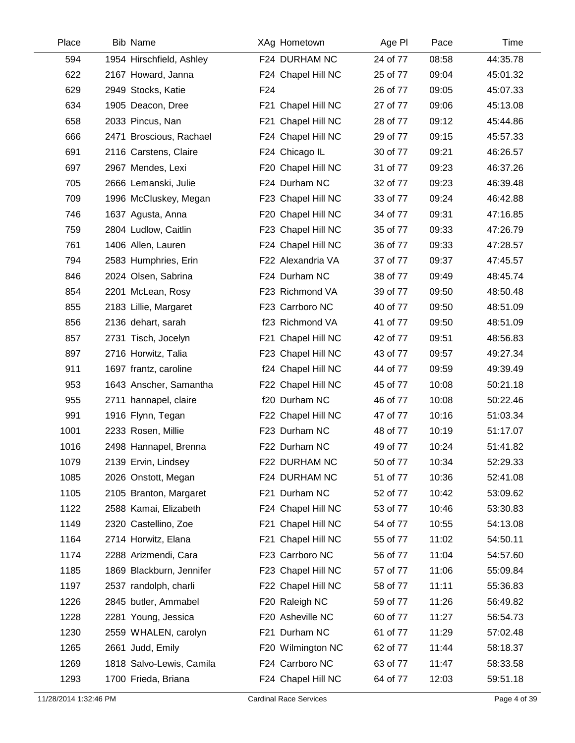| Place | <b>Bib Name</b>          | XAg Hometown       | Age PI   | Pace  | Time     |
|-------|--------------------------|--------------------|----------|-------|----------|
| 594   | 1954 Hirschfield, Ashley | F24 DURHAM NC      | 24 of 77 | 08:58 | 44:35.78 |
| 622   | 2167 Howard, Janna       | F24 Chapel Hill NC | 25 of 77 | 09:04 | 45:01.32 |
| 629   | 2949 Stocks, Katie       | F <sub>24</sub>    | 26 of 77 | 09:05 | 45:07.33 |
| 634   | 1905 Deacon, Dree        | F21 Chapel Hill NC | 27 of 77 | 09:06 | 45:13.08 |
| 658   | 2033 Pincus, Nan         | F21 Chapel Hill NC | 28 of 77 | 09:12 | 45:44.86 |
| 666   | 2471 Broscious, Rachael  | F24 Chapel Hill NC | 29 of 77 | 09:15 | 45:57.33 |
| 691   | 2116 Carstens, Claire    | F24 Chicago IL     | 30 of 77 | 09:21 | 46:26.57 |
| 697   | 2967 Mendes, Lexi        | F20 Chapel Hill NC | 31 of 77 | 09:23 | 46:37.26 |
| 705   | 2666 Lemanski, Julie     | F24 Durham NC      | 32 of 77 | 09:23 | 46:39.48 |
| 709   | 1996 McCluskey, Megan    | F23 Chapel Hill NC | 33 of 77 | 09:24 | 46:42.88 |
| 746   | 1637 Agusta, Anna        | F20 Chapel Hill NC | 34 of 77 | 09:31 | 47:16.85 |
| 759   | 2804 Ludlow, Caitlin     | F23 Chapel Hill NC | 35 of 77 | 09:33 | 47:26.79 |
| 761   | 1406 Allen, Lauren       | F24 Chapel Hill NC | 36 of 77 | 09:33 | 47:28.57 |
| 794   | 2583 Humphries, Erin     | F22 Alexandria VA  | 37 of 77 | 09:37 | 47:45.57 |
| 846   | 2024 Olsen, Sabrina      | F24 Durham NC      | 38 of 77 | 09:49 | 48:45.74 |
| 854   | 2201 McLean, Rosy        | F23 Richmond VA    | 39 of 77 | 09:50 | 48:50.48 |
| 855   | 2183 Lillie, Margaret    | F23 Carrboro NC    | 40 of 77 | 09:50 | 48:51.09 |
| 856   | 2136 dehart, sarah       | f23 Richmond VA    | 41 of 77 | 09:50 | 48:51.09 |
| 857   | 2731 Tisch, Jocelyn      | F21 Chapel Hill NC | 42 of 77 | 09:51 | 48:56.83 |
| 897   | 2716 Horwitz, Talia      | F23 Chapel Hill NC | 43 of 77 | 09:57 | 49:27.34 |
| 911   | 1697 frantz, caroline    | f24 Chapel Hill NC | 44 of 77 | 09:59 | 49:39.49 |
| 953   | 1643 Anscher, Samantha   | F22 Chapel Hill NC | 45 of 77 | 10:08 | 50:21.18 |
| 955   | 2711 hannapel, claire    | f20 Durham NC      | 46 of 77 | 10:08 | 50:22.46 |
| 991   | 1916 Flynn, Tegan        | F22 Chapel Hill NC | 47 of 77 | 10:16 | 51:03.34 |
| 1001  | 2233 Rosen, Millie       | F23 Durham NC      | 48 of 77 | 10:19 | 51:17.07 |
| 1016  | 2498 Hannapel, Brenna    | F22 Durham NC      | 49 of 77 | 10:24 | 51:41.82 |
| 1079  | 2139 Ervin, Lindsey      | F22 DURHAM NC      | 50 of 77 | 10:34 | 52:29.33 |
| 1085  | 2026 Onstott, Megan      | F24 DURHAM NC      | 51 of 77 | 10:36 | 52:41.08 |
| 1105  | 2105 Branton, Margaret   | F21 Durham NC      | 52 of 77 | 10:42 | 53:09.62 |
| 1122  | 2588 Kamai, Elizabeth    | F24 Chapel Hill NC | 53 of 77 | 10:46 | 53:30.83 |
| 1149  | 2320 Castellino, Zoe     | F21 Chapel Hill NC | 54 of 77 | 10:55 | 54:13.08 |
| 1164  | 2714 Horwitz, Elana      | F21 Chapel Hill NC | 55 of 77 | 11:02 | 54:50.11 |
| 1174  | 2288 Arizmendi, Cara     | F23 Carrboro NC    | 56 of 77 | 11:04 | 54:57.60 |
| 1185  | 1869 Blackburn, Jennifer | F23 Chapel Hill NC | 57 of 77 | 11:06 | 55:09.84 |
| 1197  | 2537 randolph, charli    | F22 Chapel Hill NC | 58 of 77 | 11:11 | 55:36.83 |
| 1226  | 2845 butler, Ammabel     | F20 Raleigh NC     | 59 of 77 | 11:26 | 56:49.82 |
| 1228  | 2281 Young, Jessica      | F20 Asheville NC   | 60 of 77 | 11:27 | 56:54.73 |
| 1230  | 2559 WHALEN, carolyn     | F21 Durham NC      | 61 of 77 | 11:29 | 57:02.48 |
| 1265  | 2661 Judd, Emily         | F20 Wilmington NC  | 62 of 77 | 11:44 | 58:18.37 |
| 1269  | 1818 Salvo-Lewis, Camila | F24 Carrboro NC    | 63 of 77 | 11:47 | 58:33.58 |
| 1293  | 1700 Frieda, Briana      | F24 Chapel Hill NC | 64 of 77 | 12:03 | 59:51.18 |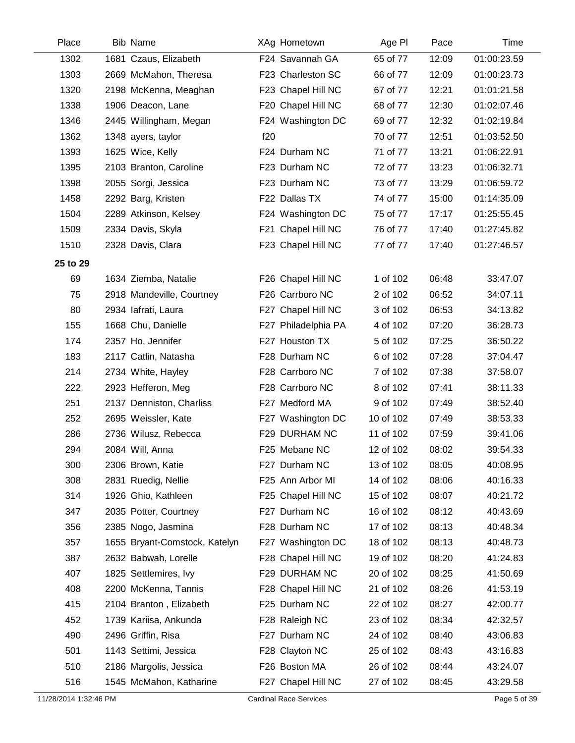| Place    | <b>Bib Name</b>               | XAg Hometown        | Age PI    | Pace  | Time        |
|----------|-------------------------------|---------------------|-----------|-------|-------------|
| 1302     | 1681 Czaus, Elizabeth         | F24 Savannah GA     | 65 of 77  | 12:09 | 01:00:23.59 |
| 1303     | 2669 McMahon, Theresa         | F23 Charleston SC   | 66 of 77  | 12:09 | 01:00:23.73 |
| 1320     | 2198 McKenna, Meaghan         | F23 Chapel Hill NC  | 67 of 77  | 12:21 | 01:01:21.58 |
| 1338     | 1906 Deacon, Lane             | F20 Chapel Hill NC  | 68 of 77  | 12:30 | 01:02:07.46 |
| 1346     | 2445 Willingham, Megan        | F24 Washington DC   | 69 of 77  | 12:32 | 01:02:19.84 |
| 1362     | 1348 ayers, taylor            | f20                 | 70 of 77  | 12:51 | 01:03:52.50 |
| 1393     | 1625 Wice, Kelly              | F24 Durham NC       | 71 of 77  | 13:21 | 01:06:22.91 |
| 1395     | 2103 Branton, Caroline        | F23 Durham NC       | 72 of 77  | 13:23 | 01:06:32.71 |
| 1398     | 2055 Sorgi, Jessica           | F23 Durham NC       | 73 of 77  | 13:29 | 01:06:59.72 |
| 1458     | 2292 Barg, Kristen            | F22 Dallas TX       | 74 of 77  | 15:00 | 01:14:35.09 |
| 1504     | 2289 Atkinson, Kelsey         | F24 Washington DC   | 75 of 77  | 17:17 | 01:25:55.45 |
| 1509     | 2334 Davis, Skyla             | F21 Chapel Hill NC  | 76 of 77  | 17:40 | 01:27:45.82 |
| 1510     | 2328 Davis, Clara             | F23 Chapel Hill NC  | 77 of 77  | 17:40 | 01:27:46.57 |
| 25 to 29 |                               |                     |           |       |             |
| 69       | 1634 Ziemba, Natalie          | F26 Chapel Hill NC  | 1 of 102  | 06:48 | 33:47.07    |
| 75       | 2918 Mandeville, Courtney     | F26 Carrboro NC     | 2 of 102  | 06:52 | 34:07.11    |
| 80       | 2934 lafrati, Laura           | F27 Chapel Hill NC  | 3 of 102  | 06:53 | 34:13.82    |
| 155      | 1668 Chu, Danielle            | F27 Philadelphia PA | 4 of 102  | 07:20 | 36:28.73    |
| 174      | 2357 Ho, Jennifer             | F27 Houston TX      | 5 of 102  | 07:25 | 36:50.22    |
| 183      | 2117 Catlin, Natasha          | F28 Durham NC       | 6 of 102  | 07:28 | 37:04.47    |
| 214      | 2734 White, Hayley            | F28 Carrboro NC     | 7 of 102  | 07:38 | 37:58.07    |
| 222      | 2923 Hefferon, Meg            | F28 Carrboro NC     | 8 of 102  | 07:41 | 38:11.33    |
| 251      | 2137 Denniston, Charliss      | F27 Medford MA      | 9 of 102  | 07:49 | 38:52.40    |
| 252      | 2695 Weissler, Kate           | F27 Washington DC   | 10 of 102 | 07:49 | 38:53.33    |
| 286      | 2736 Wilusz, Rebecca          | F29 DURHAM NC       | 11 of 102 | 07:59 | 39:41.06    |
| 294      | 2084 Will, Anna               | F25 Mebane NC       | 12 of 102 | 08:02 | 39:54.33    |
| 300      | 2306 Brown, Katie             | F27 Durham NC       | 13 of 102 | 08:05 | 40:08.95    |
| 308      | 2831 Ruedig, Nellie           | F25 Ann Arbor MI    | 14 of 102 | 08:06 | 40:16.33    |
| 314      | 1926 Ghio, Kathleen           | F25 Chapel Hill NC  | 15 of 102 | 08:07 | 40:21.72    |
| 347      | 2035 Potter, Courtney         | F27 Durham NC       | 16 of 102 | 08:12 | 40:43.69    |
| 356      | 2385 Nogo, Jasmina            | F28 Durham NC       | 17 of 102 | 08:13 | 40:48.34    |
| 357      | 1655 Bryant-Comstock, Katelyn | F27 Washington DC   | 18 of 102 | 08:13 | 40:48.73    |
| 387      | 2632 Babwah, Lorelle          | F28 Chapel Hill NC  | 19 of 102 | 08:20 | 41:24.83    |
| 407      | 1825 Settlemires, Ivy         | F29 DURHAM NC       | 20 of 102 | 08:25 | 41:50.69    |
| 408      | 2200 McKenna, Tannis          | F28 Chapel Hill NC  | 21 of 102 | 08:26 | 41:53.19    |
| 415      | 2104 Branton, Elizabeth       | F25 Durham NC       | 22 of 102 | 08:27 | 42:00.77    |
| 452      | 1739 Kariisa, Ankunda         | F28 Raleigh NC      | 23 of 102 | 08:34 | 42:32.57    |
| 490      | 2496 Griffin, Risa            | F27 Durham NC       | 24 of 102 | 08:40 | 43:06.83    |
| 501      | 1143 Settimi, Jessica         | F28 Clayton NC      | 25 of 102 | 08:43 | 43:16.83    |
| 510      | 2186 Margolis, Jessica        | F26 Boston MA       | 26 of 102 | 08:44 | 43:24.07    |
| 516      | 1545 McMahon, Katharine       | F27 Chapel Hill NC  | 27 of 102 | 08:45 | 43:29.58    |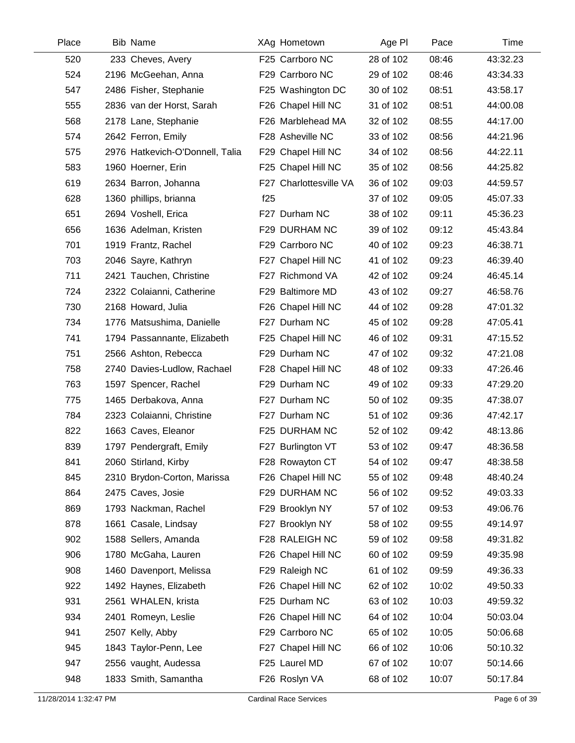| Place | <b>Bib Name</b>                 |     | XAg Hometown           | Age PI    | Pace  | Time     |
|-------|---------------------------------|-----|------------------------|-----------|-------|----------|
| 520   | 233 Cheves, Avery               |     | F25 Carrboro NC        | 28 of 102 | 08:46 | 43:32.23 |
| 524   | 2196 McGeehan, Anna             |     | F29 Carrboro NC        | 29 of 102 | 08:46 | 43:34.33 |
| 547   | 2486 Fisher, Stephanie          |     | F25 Washington DC      | 30 of 102 | 08:51 | 43:58.17 |
| 555   | 2836 van der Horst, Sarah       |     | F26 Chapel Hill NC     | 31 of 102 | 08:51 | 44:00.08 |
| 568   | 2178 Lane, Stephanie            |     | F26 Marblehead MA      | 32 of 102 | 08:55 | 44:17.00 |
| 574   | 2642 Ferron, Emily              |     | F28 Asheville NC       | 33 of 102 | 08:56 | 44:21.96 |
| 575   | 2976 Hatkevich-O'Donnell, Talia |     | F29 Chapel Hill NC     | 34 of 102 | 08:56 | 44:22.11 |
| 583   | 1960 Hoerner, Erin              |     | F25 Chapel Hill NC     | 35 of 102 | 08:56 | 44:25.82 |
| 619   | 2634 Barron, Johanna            |     | F27 Charlottesville VA | 36 of 102 | 09:03 | 44:59.57 |
| 628   | 1360 phillips, brianna          | f25 |                        | 37 of 102 | 09:05 | 45:07.33 |
| 651   | 2694 Voshell, Erica             |     | F27 Durham NC          | 38 of 102 | 09:11 | 45:36.23 |
| 656   | 1636 Adelman, Kristen           |     | F29 DURHAM NC          | 39 of 102 | 09:12 | 45:43.84 |
| 701   | 1919 Frantz, Rachel             |     | F29 Carrboro NC        | 40 of 102 | 09:23 | 46:38.71 |
| 703   | 2046 Sayre, Kathryn             |     | F27 Chapel Hill NC     | 41 of 102 | 09:23 | 46:39.40 |
| 711   | 2421 Tauchen, Christine         |     | F27 Richmond VA        | 42 of 102 | 09:24 | 46:45.14 |
| 724   | 2322 Colaianni, Catherine       |     | F29 Baltimore MD       | 43 of 102 | 09:27 | 46:58.76 |
| 730   | 2168 Howard, Julia              |     | F26 Chapel Hill NC     | 44 of 102 | 09:28 | 47:01.32 |
| 734   | 1776 Matsushima, Danielle       |     | F27 Durham NC          | 45 of 102 | 09:28 | 47:05.41 |
| 741   | 1794 Passannante, Elizabeth     |     | F25 Chapel Hill NC     | 46 of 102 | 09:31 | 47:15.52 |
| 751   | 2566 Ashton, Rebecca            |     | F29 Durham NC          | 47 of 102 | 09:32 | 47:21.08 |
| 758   | 2740 Davies-Ludlow, Rachael     |     | F28 Chapel Hill NC     | 48 of 102 | 09:33 | 47:26.46 |
| 763   | 1597 Spencer, Rachel            |     | F29 Durham NC          | 49 of 102 | 09:33 | 47:29.20 |
| 775   | 1465 Derbakova, Anna            |     | F27 Durham NC          | 50 of 102 | 09:35 | 47:38.07 |
| 784   | 2323 Colaianni, Christine       |     | F27 Durham NC          | 51 of 102 | 09:36 | 47:42.17 |
| 822   | 1663 Caves, Eleanor             |     | F25 DURHAM NC          | 52 of 102 | 09:42 | 48:13.86 |
| 839   | 1797 Pendergraft, Emily         |     | F27 Burlington VT      | 53 of 102 | 09:47 | 48:36.58 |
| 841   | 2060 Stirland, Kirby            |     | F28 Rowayton CT        | 54 of 102 | 09:47 | 48:38.58 |
| 845   | 2310 Brydon-Corton, Marissa     |     | F26 Chapel Hill NC     | 55 of 102 | 09:48 | 48:40.24 |
| 864   | 2475 Caves, Josie               |     | F29 DURHAM NC          | 56 of 102 | 09:52 | 49:03.33 |
| 869   | 1793 Nackman, Rachel            |     | F29 Brooklyn NY        | 57 of 102 | 09:53 | 49:06.76 |
| 878   | 1661 Casale, Lindsay            |     | F27 Brooklyn NY        | 58 of 102 | 09:55 | 49:14.97 |
| 902   | 1588 Sellers, Amanda            |     | F28 RALEIGH NC         | 59 of 102 | 09:58 | 49:31.82 |
| 906   | 1780 McGaha, Lauren             |     | F26 Chapel Hill NC     | 60 of 102 | 09:59 | 49:35.98 |
| 908   | 1460 Davenport, Melissa         |     | F29 Raleigh NC         | 61 of 102 | 09:59 | 49:36.33 |
| 922   | 1492 Haynes, Elizabeth          |     | F26 Chapel Hill NC     | 62 of 102 | 10:02 | 49:50.33 |
| 931   | 2561 WHALEN, krista             |     | F25 Durham NC          | 63 of 102 | 10:03 | 49:59.32 |
| 934   | 2401 Romeyn, Leslie             |     | F26 Chapel Hill NC     | 64 of 102 | 10:04 | 50:03.04 |
| 941   | 2507 Kelly, Abby                |     | F29 Carrboro NC        | 65 of 102 | 10:05 | 50:06.68 |
| 945   | 1843 Taylor-Penn, Lee           |     | F27 Chapel Hill NC     | 66 of 102 | 10:06 | 50:10.32 |
| 947   | 2556 vaught, Audessa            |     | F25 Laurel MD          | 67 of 102 | 10:07 | 50:14.66 |
| 948   | 1833 Smith, Samantha            |     | F26 Roslyn VA          | 68 of 102 | 10:07 | 50:17.84 |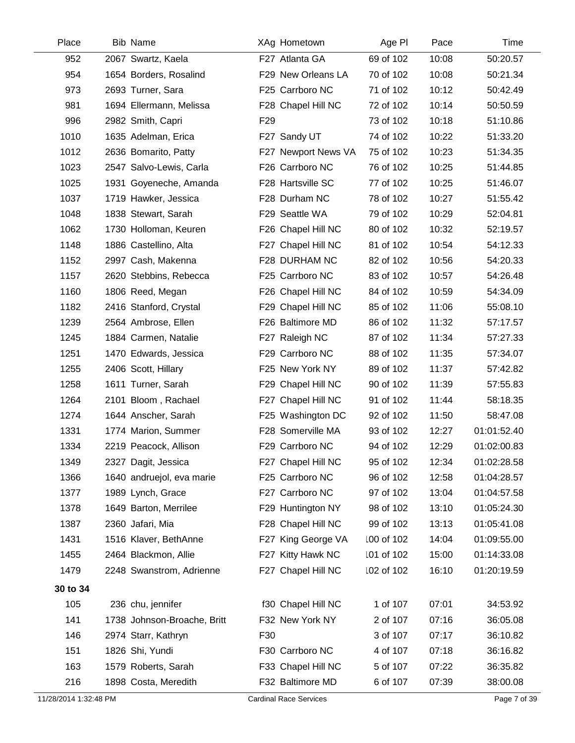| Place                 | <b>Bib Name</b>             | XAg Hometown                  | Age PI     | Pace  | Time         |
|-----------------------|-----------------------------|-------------------------------|------------|-------|--------------|
| 952                   | 2067 Swartz, Kaela          | F27 Atlanta GA                | 69 of 102  | 10:08 | 50:20.57     |
| 954                   | 1654 Borders, Rosalind      | F29 New Orleans LA            | 70 of 102  | 10:08 | 50:21.34     |
| 973                   | 2693 Turner, Sara           | F25 Carrboro NC               | 71 of 102  | 10:12 | 50:42.49     |
| 981                   | 1694 Ellermann, Melissa     | F28 Chapel Hill NC            | 72 of 102  | 10:14 | 50:50.59     |
| 996                   | 2982 Smith, Capri           | F <sub>29</sub>               | 73 of 102  | 10:18 | 51:10.86     |
| 1010                  | 1635 Adelman, Erica         | F27 Sandy UT                  | 74 of 102  | 10:22 | 51:33.20     |
| 1012                  | 2636 Bomarito, Patty        | F27 Newport News VA           | 75 of 102  | 10:23 | 51:34.35     |
| 1023                  | 2547 Salvo-Lewis, Carla     | F26 Carrboro NC               | 76 of 102  | 10:25 | 51:44.85     |
| 1025                  | 1931 Goyeneche, Amanda      | F28 Hartsville SC             | 77 of 102  | 10:25 | 51:46.07     |
| 1037                  | 1719 Hawker, Jessica        | F28 Durham NC                 | 78 of 102  | 10:27 | 51:55.42     |
| 1048                  | 1838 Stewart, Sarah         | F29 Seattle WA                | 79 of 102  | 10:29 | 52:04.81     |
| 1062                  | 1730 Holloman, Keuren       | F26 Chapel Hill NC            | 80 of 102  | 10:32 | 52:19.57     |
| 1148                  | 1886 Castellino, Alta       | F27 Chapel Hill NC            | 81 of 102  | 10:54 | 54:12.33     |
| 1152                  | 2997 Cash, Makenna          | F28 DURHAM NC                 | 82 of 102  | 10:56 | 54:20.33     |
| 1157                  | 2620 Stebbins, Rebecca      | F25 Carrboro NC               | 83 of 102  | 10:57 | 54:26.48     |
| 1160                  | 1806 Reed, Megan            | F26 Chapel Hill NC            | 84 of 102  | 10:59 | 54:34.09     |
| 1182                  | 2416 Stanford, Crystal      | F29 Chapel Hill NC            | 85 of 102  | 11:06 | 55:08.10     |
| 1239                  | 2564 Ambrose, Ellen         | F26 Baltimore MD              | 86 of 102  | 11:32 | 57:17.57     |
| 1245                  | 1884 Carmen, Natalie        | F27 Raleigh NC                | 87 of 102  | 11:34 | 57:27.33     |
| 1251                  | 1470 Edwards, Jessica       | F29 Carrboro NC               | 88 of 102  | 11:35 | 57:34.07     |
| 1255                  | 2406 Scott, Hillary         | F25 New York NY               | 89 of 102  | 11:37 | 57:42.82     |
| 1258                  | 1611 Turner, Sarah          | F29 Chapel Hill NC            | 90 of 102  | 11:39 | 57:55.83     |
| 1264                  | 2101 Bloom, Rachael         | F27 Chapel Hill NC            | 91 of 102  | 11:44 | 58:18.35     |
| 1274                  | 1644 Anscher, Sarah         | F25 Washington DC             | 92 of 102  | 11:50 | 58:47.08     |
| 1331                  | 1774 Marion, Summer         | F28 Somerville MA             | 93 of 102  | 12:27 | 01:01:52.40  |
| 1334                  | 2219 Peacock, Allison       | F29 Carrboro NC               | 94 of 102  | 12:29 | 01:02:00.83  |
| 1349                  | 2327 Dagit, Jessica         | F27 Chapel Hill NC            | 95 of 102  | 12:34 | 01:02:28.58  |
| 1366                  | 1640 andruejol, eva marie   | F25 Carrboro NC               | 96 of 102  | 12:58 | 01:04:28.57  |
| 1377                  | 1989 Lynch, Grace           | F27 Carrboro NC               | 97 of 102  | 13:04 | 01:04:57.58  |
| 1378                  | 1649 Barton, Merrilee       | F29 Huntington NY             | 98 of 102  | 13:10 | 01:05:24.30  |
| 1387                  | 2360 Jafari, Mia            | F28 Chapel Hill NC            | 99 of 102  | 13:13 | 01:05:41.08  |
| 1431                  | 1516 Klaver, BethAnne       | F27 King George VA            | 100 of 102 | 14:04 | 01:09:55.00  |
| 1455                  | 2464 Blackmon, Allie        | F27 Kitty Hawk NC             | 101 of 102 | 15:00 | 01:14:33.08  |
| 1479                  | 2248 Swanstrom, Adrienne    | F27 Chapel Hill NC            | 102 of 102 | 16:10 | 01:20:19.59  |
| 30 to 34              |                             |                               |            |       |              |
| 105                   | 236 chu, jennifer           | f30 Chapel Hill NC            | 1 of 107   | 07:01 | 34:53.92     |
| 141                   | 1738 Johnson-Broache, Britt | F32 New York NY               | 2 of 107   | 07:16 | 36:05.08     |
| 146                   | 2974 Starr, Kathryn         | F30                           | 3 of 107   | 07:17 | 36:10.82     |
| 151                   | 1826 Shi, Yundi             | F30 Carrboro NC               | 4 of 107   | 07:18 | 36:16.82     |
| 163                   | 1579 Roberts, Sarah         | F33 Chapel Hill NC            | 5 of 107   | 07:22 | 36:35.82     |
| 216                   | 1898 Costa, Meredith        | F32 Baltimore MD              | 6 of 107   | 07:39 | 38:00.08     |
| 11/28/2014 1:32:48 PM |                             | <b>Cardinal Race Services</b> |            |       | Page 7 of 39 |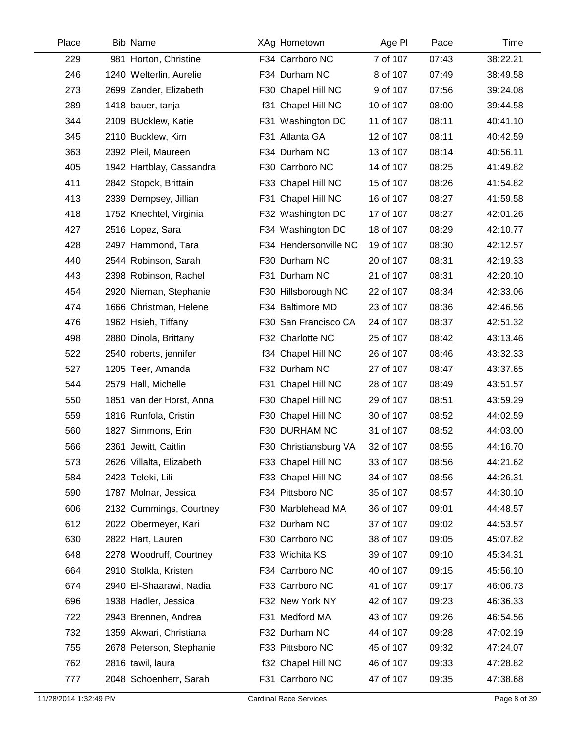| Place | <b>Bib Name</b>          | XAg Hometown          | Age PI    | Pace  | Time     |
|-------|--------------------------|-----------------------|-----------|-------|----------|
| 229   | 981 Horton, Christine    | F34 Carrboro NC       | 7 of 107  | 07:43 | 38:22.21 |
| 246   | 1240 Welterlin, Aurelie  | F34 Durham NC         | 8 of 107  | 07:49 | 38:49.58 |
| 273   | 2699 Zander, Elizabeth   | F30 Chapel Hill NC    | 9 of 107  | 07:56 | 39:24.08 |
| 289   | 1418 bauer, tanja        | f31 Chapel Hill NC    | 10 of 107 | 08:00 | 39:44.58 |
| 344   | 2109 BUcklew, Katie      | F31 Washington DC     | 11 of 107 | 08:11 | 40:41.10 |
| 345   | 2110 Bucklew, Kim        | F31 Atlanta GA        | 12 of 107 | 08:11 | 40:42.59 |
| 363   | 2392 Pleil, Maureen      | F34 Durham NC         | 13 of 107 | 08:14 | 40:56.11 |
| 405   | 1942 Hartblay, Cassandra | F30 Carrboro NC       | 14 of 107 | 08:25 | 41:49.82 |
| 411   | 2842 Stopck, Brittain    | F33 Chapel Hill NC    | 15 of 107 | 08:26 | 41:54.82 |
| 413   | 2339 Dempsey, Jillian    | F31 Chapel Hill NC    | 16 of 107 | 08:27 | 41:59.58 |
| 418   | 1752 Knechtel, Virginia  | F32 Washington DC     | 17 of 107 | 08:27 | 42:01.26 |
| 427   | 2516 Lopez, Sara         | F34 Washington DC     | 18 of 107 | 08:29 | 42:10.77 |
| 428   | 2497 Hammond, Tara       | F34 Hendersonville NC | 19 of 107 | 08:30 | 42:12.57 |
| 440   | 2544 Robinson, Sarah     | F30 Durham NC         | 20 of 107 | 08:31 | 42:19.33 |
| 443   | 2398 Robinson, Rachel    | F31 Durham NC         | 21 of 107 | 08:31 | 42:20.10 |
| 454   | 2920 Nieman, Stephanie   | F30 Hillsborough NC   | 22 of 107 | 08:34 | 42:33.06 |
| 474   | 1666 Christman, Helene   | F34 Baltimore MD      | 23 of 107 | 08:36 | 42:46.56 |
| 476   | 1962 Hsieh, Tiffany      | F30 San Francisco CA  | 24 of 107 | 08:37 | 42:51.32 |
| 498   | 2880 Dinola, Brittany    | F32 Charlotte NC      | 25 of 107 | 08:42 | 43:13.46 |
| 522   | 2540 roberts, jennifer   | f34 Chapel Hill NC    | 26 of 107 | 08:46 | 43:32.33 |
| 527   | 1205 Teer, Amanda        | F32 Durham NC         | 27 of 107 | 08:47 | 43:37.65 |
| 544   | 2579 Hall, Michelle      | F31 Chapel Hill NC    | 28 of 107 | 08:49 | 43:51.57 |
| 550   | 1851 van der Horst, Anna | F30 Chapel Hill NC    | 29 of 107 | 08:51 | 43:59.29 |
| 559   | 1816 Runfola, Cristin    | F30 Chapel Hill NC    | 30 of 107 | 08:52 | 44:02.59 |
| 560   | 1827 Simmons, Erin       | F30 DURHAM NC         | 31 of 107 | 08:52 | 44:03.00 |
| 566   | 2361 Jewitt, Caitlin     | F30 Christiansburg VA | 32 of 107 | 08:55 | 44:16.70 |
| 573   | 2626 Villalta, Elizabeth | F33 Chapel Hill NC    | 33 of 107 | 08:56 | 44:21.62 |
| 584   | 2423 Teleki, Lili        | F33 Chapel Hill NC    | 34 of 107 | 08:56 | 44:26.31 |
| 590   | 1787 Molnar, Jessica     | F34 Pittsboro NC      | 35 of 107 | 08:57 | 44:30.10 |
| 606   | 2132 Cummings, Courtney  | F30 Marblehead MA     | 36 of 107 | 09:01 | 44:48.57 |
| 612   | 2022 Obermeyer, Kari     | F32 Durham NC         | 37 of 107 | 09:02 | 44:53.57 |
| 630   | 2822 Hart, Lauren        | F30 Carrboro NC       | 38 of 107 | 09:05 | 45:07.82 |
| 648   | 2278 Woodruff, Courtney  | F33 Wichita KS        | 39 of 107 | 09:10 | 45:34.31 |
| 664   | 2910 Stolkla, Kristen    | F34 Carrboro NC       | 40 of 107 | 09:15 | 45:56.10 |
| 674   | 2940 El-Shaarawi, Nadia  | F33 Carrboro NC       | 41 of 107 | 09:17 | 46:06.73 |
| 696   | 1938 Hadler, Jessica     | F32 New York NY       | 42 of 107 | 09:23 | 46:36.33 |
| 722   | 2943 Brennen, Andrea     | F31 Medford MA        | 43 of 107 | 09:26 | 46:54.56 |
| 732   | 1359 Akwari, Christiana  | F32 Durham NC         | 44 of 107 | 09:28 | 47:02.19 |
| 755   | 2678 Peterson, Stephanie | F33 Pittsboro NC      | 45 of 107 | 09:32 | 47:24.07 |
| 762   | 2816 tawil, laura        | f32 Chapel Hill NC    | 46 of 107 | 09:33 | 47:28.82 |
| 777   | 2048 Schoenherr, Sarah   | F31 Carrboro NC       | 47 of 107 | 09:35 | 47:38.68 |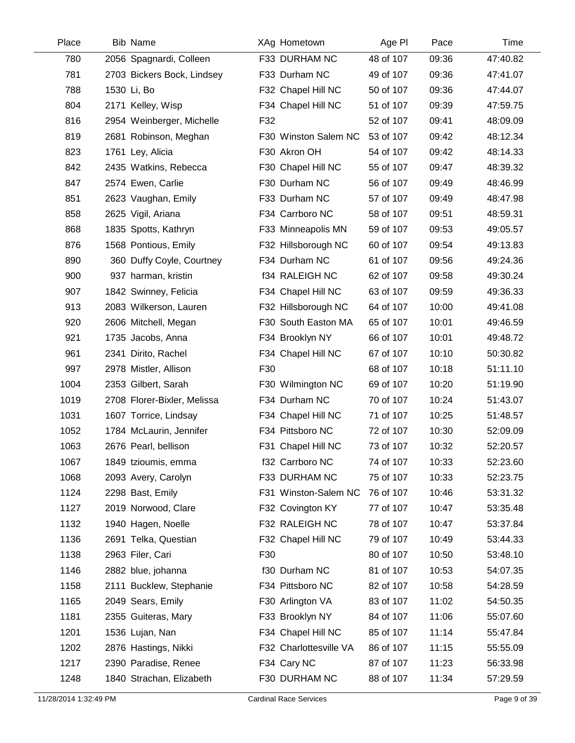| Place | <b>Bib Name</b>             |     | XAg Hometown           | Age PI    | Pace  | Time     |
|-------|-----------------------------|-----|------------------------|-----------|-------|----------|
| 780   | 2056 Spagnardi, Colleen     |     | F33 DURHAM NC          | 48 of 107 | 09:36 | 47:40.82 |
| 781   | 2703 Bickers Bock, Lindsey  |     | F33 Durham NC          | 49 of 107 | 09:36 | 47:41.07 |
| 788   | 1530 Li, Bo                 |     | F32 Chapel Hill NC     | 50 of 107 | 09:36 | 47:44.07 |
| 804   | 2171 Kelley, Wisp           |     | F34 Chapel Hill NC     | 51 of 107 | 09:39 | 47:59.75 |
| 816   | 2954 Weinberger, Michelle   | F32 |                        | 52 of 107 | 09:41 | 48:09.09 |
| 819   | 2681 Robinson, Meghan       |     | F30 Winston Salem NC   | 53 of 107 | 09:42 | 48:12.34 |
| 823   | 1761 Ley, Alicia            |     | F30 Akron OH           | 54 of 107 | 09:42 | 48:14.33 |
| 842   | 2435 Watkins, Rebecca       |     | F30 Chapel Hill NC     | 55 of 107 | 09:47 | 48:39.32 |
| 847   | 2574 Ewen, Carlie           |     | F30 Durham NC          | 56 of 107 | 09:49 | 48:46.99 |
| 851   | 2623 Vaughan, Emily         |     | F33 Durham NC          | 57 of 107 | 09:49 | 48:47.98 |
| 858   | 2625 Vigil, Ariana          |     | F34 Carrboro NC        | 58 of 107 | 09:51 | 48:59.31 |
| 868   | 1835 Spotts, Kathryn        |     | F33 Minneapolis MN     | 59 of 107 | 09:53 | 49:05.57 |
| 876   | 1568 Pontious, Emily        |     | F32 Hillsborough NC    | 60 of 107 | 09:54 | 49:13.83 |
| 890   | 360 Duffy Coyle, Courtney   |     | F34 Durham NC          | 61 of 107 | 09:56 | 49:24.36 |
| 900   | 937 harman, kristin         |     | f34 RALEIGH NC         | 62 of 107 | 09:58 | 49:30.24 |
| 907   | 1842 Swinney, Felicia       |     | F34 Chapel Hill NC     | 63 of 107 | 09:59 | 49:36.33 |
| 913   | 2083 Wilkerson, Lauren      |     | F32 Hillsborough NC    | 64 of 107 | 10:00 | 49:41.08 |
| 920   | 2606 Mitchell, Megan        |     | F30 South Easton MA    | 65 of 107 | 10:01 | 49:46.59 |
| 921   | 1735 Jacobs, Anna           |     | F34 Brooklyn NY        | 66 of 107 | 10:01 | 49:48.72 |
| 961   | 2341 Dirito, Rachel         |     | F34 Chapel Hill NC     | 67 of 107 | 10:10 | 50:30.82 |
| 997   | 2978 Mistler, Allison       | F30 |                        | 68 of 107 | 10:18 | 51:11.10 |
| 1004  | 2353 Gilbert, Sarah         |     | F30 Wilmington NC      | 69 of 107 | 10:20 | 51:19.90 |
| 1019  | 2708 Florer-Bixler, Melissa |     | F34 Durham NC          | 70 of 107 | 10:24 | 51:43.07 |
| 1031  | 1607 Torrice, Lindsay       |     | F34 Chapel Hill NC     | 71 of 107 | 10:25 | 51:48.57 |
| 1052  | 1784 McLaurin, Jennifer     |     | F34 Pittsboro NC       | 72 of 107 | 10:30 | 52:09.09 |
| 1063  | 2676 Pearl, bellison        |     | F31 Chapel Hill NC     | 73 of 107 | 10:32 | 52:20.57 |
| 1067  | 1849 tzioumis, emma         |     | f32 Carrboro NC        | 74 of 107 | 10:33 | 52:23.60 |
| 1068  | 2093 Avery, Carolyn         |     | F33 DURHAM NC          | 75 of 107 | 10:33 | 52:23.75 |
| 1124  | 2298 Bast, Emily            |     | F31 Winston-Salem NC   | 76 of 107 | 10:46 | 53:31.32 |
| 1127  | 2019 Norwood, Clare         |     | F32 Covington KY       | 77 of 107 | 10:47 | 53:35.48 |
| 1132  | 1940 Hagen, Noelle          |     | F32 RALEIGH NC         | 78 of 107 | 10:47 | 53:37.84 |
| 1136  | 2691 Telka, Questian        |     | F32 Chapel Hill NC     | 79 of 107 | 10:49 | 53:44.33 |
| 1138  | 2963 Filer, Cari            | F30 |                        | 80 of 107 | 10:50 | 53:48.10 |
| 1146  | 2882 blue, johanna          |     | f30 Durham NC          | 81 of 107 | 10:53 | 54:07.35 |
| 1158  | 2111 Bucklew, Stephanie     |     | F34 Pittsboro NC       | 82 of 107 | 10:58 | 54:28.59 |
| 1165  | 2049 Sears, Emily           |     | F30 Arlington VA       | 83 of 107 | 11:02 | 54:50.35 |
| 1181  | 2355 Guiteras, Mary         |     | F33 Brooklyn NY        | 84 of 107 | 11:06 | 55:07.60 |
| 1201  | 1536 Lujan, Nan             |     | F34 Chapel Hill NC     | 85 of 107 | 11:14 | 55:47.84 |
| 1202  | 2876 Hastings, Nikki        |     | F32 Charlottesville VA | 86 of 107 | 11:15 | 55:55.09 |
| 1217  | 2390 Paradise, Renee        |     | F34 Cary NC            | 87 of 107 | 11:23 | 56:33.98 |
| 1248  | 1840 Strachan, Elizabeth    |     | F30 DURHAM NC          | 88 of 107 | 11:34 | 57:29.59 |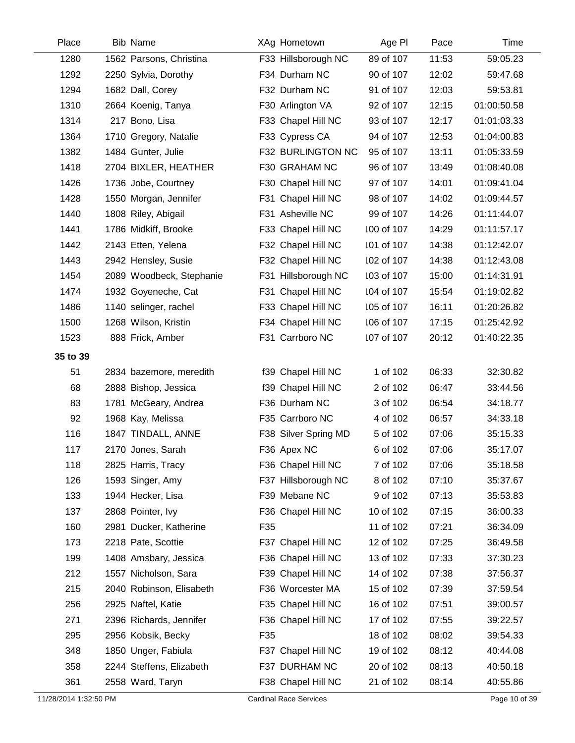| Place    | <b>Bib Name</b>          |     | XAg Hometown         | Age PI     | Pace  | Time        |
|----------|--------------------------|-----|----------------------|------------|-------|-------------|
| 1280     | 1562 Parsons, Christina  |     | F33 Hillsborough NC  | 89 of 107  | 11:53 | 59:05.23    |
| 1292     | 2250 Sylvia, Dorothy     |     | F34 Durham NC        | 90 of 107  | 12:02 | 59:47.68    |
| 1294     | 1682 Dall, Corey         |     | F32 Durham NC        | 91 of 107  | 12:03 | 59:53.81    |
| 1310     | 2664 Koenig, Tanya       |     | F30 Arlington VA     | 92 of 107  | 12:15 | 01:00:50.58 |
| 1314     | 217 Bono, Lisa           |     | F33 Chapel Hill NC   | 93 of 107  | 12:17 | 01:01:03.33 |
| 1364     | 1710 Gregory, Natalie    |     | F33 Cypress CA       | 94 of 107  | 12:53 | 01:04:00.83 |
| 1382     | 1484 Gunter, Julie       |     | F32 BURLINGTON NC    | 95 of 107  | 13:11 | 01:05:33.59 |
| 1418     | 2704 BIXLER, HEATHER     |     | F30 GRAHAM NC        | 96 of 107  | 13:49 | 01:08:40.08 |
| 1426     | 1736 Jobe, Courtney      |     | F30 Chapel Hill NC   | 97 of 107  | 14:01 | 01:09:41.04 |
| 1428     | 1550 Morgan, Jennifer    |     | F31 Chapel Hill NC   | 98 of 107  | 14:02 | 01:09:44.57 |
| 1440     | 1808 Riley, Abigail      |     | F31 Asheville NC     | 99 of 107  | 14:26 | 01:11:44.07 |
| 1441     | 1786 Midkiff, Brooke     |     | F33 Chapel Hill NC   | 100 of 107 | 14:29 | 01:11:57.17 |
| 1442     | 2143 Etten, Yelena       |     | F32 Chapel Hill NC   | 101 of 107 | 14:38 | 01:12:42.07 |
| 1443     | 2942 Hensley, Susie      |     | F32 Chapel Hill NC   | 102 of 107 | 14:38 | 01:12:43.08 |
| 1454     | 2089 Woodbeck, Stephanie |     | F31 Hillsborough NC  | 103 of 107 | 15:00 | 01:14:31.91 |
| 1474     | 1932 Goyeneche, Cat      |     | F31 Chapel Hill NC   | 104 of 107 | 15:54 | 01:19:02.82 |
| 1486     | 1140 selinger, rachel    |     | F33 Chapel Hill NC   | 105 of 107 | 16:11 | 01:20:26.82 |
| 1500     | 1268 Wilson, Kristin     |     | F34 Chapel Hill NC   | 106 of 107 | 17:15 | 01:25:42.92 |
| 1523     | 888 Frick, Amber         |     | F31 Carrboro NC      | 107 of 107 | 20:12 | 01:40:22.35 |
| 35 to 39 |                          |     |                      |            |       |             |
| 51       | 2834 bazemore, meredith  |     | f39 Chapel Hill NC   | 1 of 102   | 06:33 | 32:30.82    |
| 68       | 2888 Bishop, Jessica     |     | f39 Chapel Hill NC   | 2 of 102   | 06:47 | 33:44.56    |
| 83       | 1781 McGeary, Andrea     |     | F36 Durham NC        | 3 of 102   | 06:54 | 34:18.77    |
| 92       | 1968 Kay, Melissa        |     | F35 Carrboro NC      | 4 of 102   | 06:57 | 34:33.18    |
| 116      | 1847 TINDALL, ANNE       |     | F38 Silver Spring MD | 5 of 102   | 07:06 | 35:15.33    |
| 117      | 2170 Jones, Sarah        |     | F36 Apex NC          | 6 of 102   | 07:06 | 35:17.07    |
| 118      | 2825 Harris, Tracy       |     | F36 Chapel Hill NC   | 7 of 102   | 07:06 | 35:18.58    |
| 126      | 1593 Singer, Amy         |     | F37 Hillsborough NC  | 8 of 102   | 07:10 | 35:37.67    |
| 133      | 1944 Hecker, Lisa        |     | F39 Mebane NC        | 9 of 102   | 07:13 | 35:53.83    |
| 137      | 2868 Pointer, Ivy        |     | F36 Chapel Hill NC   | 10 of 102  | 07:15 | 36:00.33    |
| 160      | 2981 Ducker, Katherine   | F35 |                      | 11 of 102  | 07:21 | 36:34.09    |
| 173      | 2218 Pate, Scottie       |     | F37 Chapel Hill NC   | 12 of 102  | 07:25 | 36:49.58    |
| 199      | 1408 Amsbary, Jessica    |     | F36 Chapel Hill NC   | 13 of 102  | 07:33 | 37:30.23    |
| 212      | 1557 Nicholson, Sara     |     | F39 Chapel Hill NC   | 14 of 102  | 07:38 | 37:56.37    |
| 215      | 2040 Robinson, Elisabeth |     | F36 Worcester MA     | 15 of 102  | 07:39 | 37:59.54    |
| 256      | 2925 Naftel, Katie       |     | F35 Chapel Hill NC   | 16 of 102  | 07:51 | 39:00.57    |
| 271      | 2396 Richards, Jennifer  |     | F36 Chapel Hill NC   | 17 of 102  | 07:55 | 39:22.57    |
| 295      | 2956 Kobsik, Becky       | F35 |                      | 18 of 102  | 08:02 | 39:54.33    |
| 348      | 1850 Unger, Fabiula      |     | F37 Chapel Hill NC   | 19 of 102  | 08:12 | 40:44.08    |
| 358      | 2244 Steffens, Elizabeth |     | F37 DURHAM NC        | 20 of 102  | 08:13 | 40:50.18    |
| 361      | 2558 Ward, Taryn         |     | F38 Chapel Hill NC   | 21 of 102  | 08:14 | 40:55.86    |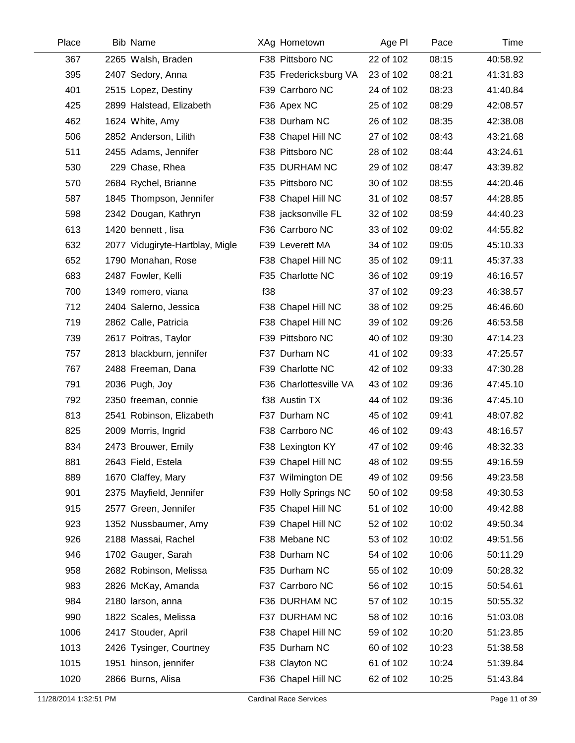| Place | <b>Bib Name</b>                 | XAg Hometown           | Age PI    | Pace  | Time     |
|-------|---------------------------------|------------------------|-----------|-------|----------|
| 367   | 2265 Walsh, Braden              | F38 Pittsboro NC       | 22 of 102 | 08:15 | 40:58.92 |
| 395   | 2407 Sedory, Anna               | F35 Fredericksburg VA  | 23 of 102 | 08:21 | 41:31.83 |
| 401   | 2515 Lopez, Destiny             | F39 Carrboro NC        | 24 of 102 | 08:23 | 41:40.84 |
| 425   | 2899 Halstead, Elizabeth        | F36 Apex NC            | 25 of 102 | 08:29 | 42:08.57 |
| 462   | 1624 White, Amy                 | F38 Durham NC          | 26 of 102 | 08:35 | 42:38.08 |
| 506   | 2852 Anderson, Lilith           | F38 Chapel Hill NC     | 27 of 102 | 08:43 | 43:21.68 |
| 511   | 2455 Adams, Jennifer            | F38 Pittsboro NC       | 28 of 102 | 08:44 | 43:24.61 |
| 530   | 229 Chase, Rhea                 | F35 DURHAM NC          | 29 of 102 | 08:47 | 43:39.82 |
| 570   | 2684 Rychel, Brianne            | F35 Pittsboro NC       | 30 of 102 | 08:55 | 44:20.46 |
| 587   | 1845 Thompson, Jennifer         | F38 Chapel Hill NC     | 31 of 102 | 08:57 | 44:28.85 |
| 598   | 2342 Dougan, Kathryn            | F38 jacksonville FL    | 32 of 102 | 08:59 | 44:40.23 |
| 613   | 1420 bennett, lisa              | F36 Carrboro NC        | 33 of 102 | 09:02 | 44:55.82 |
| 632   | 2077 Vidugiryte-Hartblay, Migle | F39 Leverett MA        | 34 of 102 | 09:05 | 45:10.33 |
| 652   | 1790 Monahan, Rose              | F38 Chapel Hill NC     | 35 of 102 | 09:11 | 45:37.33 |
| 683   | 2487 Fowler, Kelli              | F35 Charlotte NC       | 36 of 102 | 09:19 | 46:16.57 |
| 700   | 1349 romero, viana              | f38                    | 37 of 102 | 09:23 | 46:38.57 |
| 712   | 2404 Salerno, Jessica           | F38 Chapel Hill NC     | 38 of 102 | 09:25 | 46:46.60 |
| 719   | 2862 Calle, Patricia            | F38 Chapel Hill NC     | 39 of 102 | 09:26 | 46:53.58 |
| 739   | 2617 Poitras, Taylor            | F39 Pittsboro NC       | 40 of 102 | 09:30 | 47:14.23 |
| 757   | 2813 blackburn, jennifer        | F37 Durham NC          | 41 of 102 | 09:33 | 47:25.57 |
| 767   | 2488 Freeman, Dana              | F39 Charlotte NC       | 42 of 102 | 09:33 | 47:30.28 |
| 791   | 2036 Pugh, Joy                  | F36 Charlottesville VA | 43 of 102 | 09:36 | 47:45.10 |
| 792   | 2350 freeman, connie            | f38 Austin TX          | 44 of 102 | 09:36 | 47:45.10 |
| 813   | 2541 Robinson, Elizabeth        | F37 Durham NC          | 45 of 102 | 09:41 | 48:07.82 |
| 825   | 2009 Morris, Ingrid             | F38 Carrboro NC        | 46 of 102 | 09:43 | 48:16.57 |
| 834   | 2473 Brouwer, Emily             | F38 Lexington KY       | 47 of 102 | 09:46 | 48:32.33 |
| 881   | 2643 Field, Estela              | F39 Chapel Hill NC     | 48 of 102 | 09:55 | 49:16.59 |
| 889   | 1670 Claffey, Mary              | F37 Wilmington DE      | 49 of 102 | 09:56 | 49:23.58 |
| 901   | 2375 Mayfield, Jennifer         | F39 Holly Springs NC   | 50 of 102 | 09:58 | 49:30.53 |
| 915   | 2577 Green, Jennifer            | F35 Chapel Hill NC     | 51 of 102 | 10:00 | 49:42.88 |
| 923   | 1352 Nussbaumer, Amy            | F39 Chapel Hill NC     | 52 of 102 | 10:02 | 49:50.34 |
| 926   | 2188 Massai, Rachel             | F38 Mebane NC          | 53 of 102 | 10:02 | 49:51.56 |
| 946   | 1702 Gauger, Sarah              | F38 Durham NC          | 54 of 102 | 10:06 | 50:11.29 |
| 958   | 2682 Robinson, Melissa          | F35 Durham NC          | 55 of 102 | 10:09 | 50:28.32 |
| 983   | 2826 McKay, Amanda              | F37 Carrboro NC        | 56 of 102 | 10:15 | 50:54.61 |
| 984   | 2180 larson, anna               | F36 DURHAM NC          | 57 of 102 | 10:15 | 50:55.32 |
| 990   | 1822 Scales, Melissa            | F37 DURHAM NC          | 58 of 102 | 10:16 | 51:03.08 |
| 1006  | 2417 Stouder, April             | F38 Chapel Hill NC     | 59 of 102 | 10:20 | 51:23.85 |
| 1013  | 2426 Tysinger, Courtney         | F35 Durham NC          | 60 of 102 | 10:23 | 51:38.58 |
| 1015  | 1951 hinson, jennifer           | F38 Clayton NC         | 61 of 102 | 10:24 | 51:39.84 |
| 1020  | 2866 Burns, Alisa               | F36 Chapel Hill NC     | 62 of 102 | 10:25 | 51:43.84 |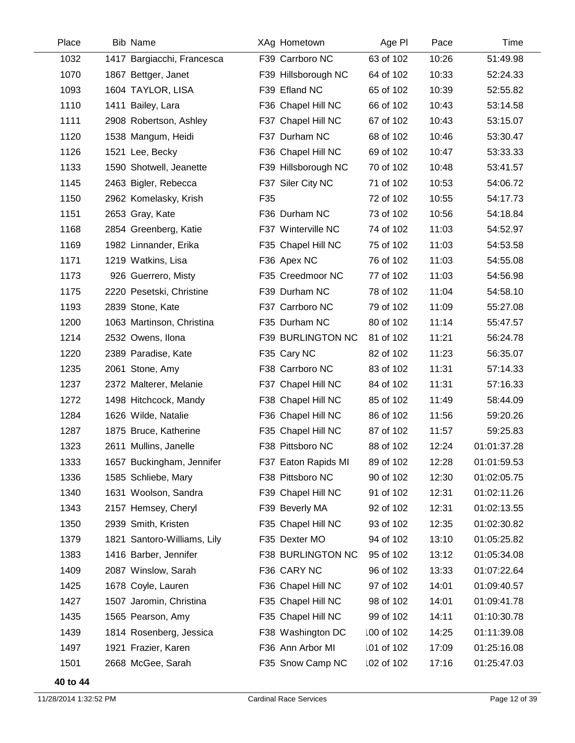| Place | <b>Bib Name</b>             |     | XAg Hometown        | Age PI     | Pace  | Time        |
|-------|-----------------------------|-----|---------------------|------------|-------|-------------|
| 1032  | 1417 Bargiacchi, Francesca  |     | F39 Carrboro NC     | 63 of 102  | 10:26 | 51:49.98    |
| 1070  | 1867 Bettger, Janet         |     | F39 Hillsborough NC | 64 of 102  | 10:33 | 52:24.33    |
| 1093  | 1604 TAYLOR, LISA           |     | F39 Efland NC       | 65 of 102  | 10:39 | 52:55.82    |
| 1110  | 1411 Bailey, Lara           |     | F36 Chapel Hill NC  | 66 of 102  | 10:43 | 53:14.58    |
| 1111  | 2908 Robertson, Ashley      |     | F37 Chapel Hill NC  | 67 of 102  | 10:43 | 53:15.07    |
| 1120  | 1538 Mangum, Heidi          |     | F37 Durham NC       | 68 of 102  | 10:46 | 53:30.47    |
| 1126  | 1521 Lee, Becky             |     | F36 Chapel Hill NC  | 69 of 102  | 10:47 | 53:33.33    |
| 1133  | 1590 Shotwell, Jeanette     |     | F39 Hillsborough NC | 70 of 102  | 10:48 | 53:41.57    |
| 1145  | 2463 Bigler, Rebecca        |     | F37 Siler City NC   | 71 of 102  | 10:53 | 54:06.72    |
| 1150  | 2962 Komelasky, Krish       | F35 |                     | 72 of 102  | 10:55 | 54:17.73    |
| 1151  | 2653 Gray, Kate             |     | F36 Durham NC       | 73 of 102  | 10:56 | 54:18.84    |
| 1168  | 2854 Greenberg, Katie       |     | F37 Winterville NC  | 74 of 102  | 11:03 | 54:52.97    |
| 1169  | 1982 Linnander, Erika       |     | F35 Chapel Hill NC  | 75 of 102  | 11:03 | 54:53.58    |
| 1171  | 1219 Watkins, Lisa          |     | F36 Apex NC         | 76 of 102  | 11:03 | 54:55.08    |
| 1173  | 926 Guerrero, Misty         |     | F35 Creedmoor NC    | 77 of 102  | 11:03 | 54:56.98    |
| 1175  | 2220 Pesetski, Christine    |     | F39 Durham NC       | 78 of 102  | 11:04 | 54:58.10    |
| 1193  | 2839 Stone, Kate            |     | F37 Carrboro NC     | 79 of 102  | 11:09 | 55:27.08    |
| 1200  | 1063 Martinson, Christina   |     | F35 Durham NC       | 80 of 102  | 11:14 | 55:47.57    |
| 1214  | 2532 Owens, Ilona           |     | F39 BURLINGTON NC   | 81 of 102  | 11:21 | 56:24.78    |
| 1220  | 2389 Paradise, Kate         |     | F35 Cary NC         | 82 of 102  | 11:23 | 56:35.07    |
| 1235  | 2061 Stone, Amy             |     | F38 Carrboro NC     | 83 of 102  | 11:31 | 57:14.33    |
| 1237  | 2372 Malterer, Melanie      |     | F37 Chapel Hill NC  | 84 of 102  | 11:31 | 57:16.33    |
| 1272  | 1498 Hitchcock, Mandy       |     | F38 Chapel Hill NC  | 85 of 102  | 11:49 | 58:44.09    |
| 1284  | 1626 Wilde, Natalie         |     | F36 Chapel Hill NC  | 86 of 102  | 11:56 | 59:20.26    |
| 1287  | 1875 Bruce, Katherine       |     | F35 Chapel Hill NC  | 87 of 102  | 11:57 | 59:25.83    |
| 1323  | 2611 Mullins, Janelle       |     | F38 Pittsboro NC    | 88 of 102  | 12:24 | 01:01:37.28 |
| 1333  | 1657 Buckingham, Jennifer   |     | F37 Eaton Rapids MI | 89 of 102  | 12:28 | 01:01:59.53 |
| 1336  | 1585 Schliebe, Mary         |     | F38 Pittsboro NC    | 90 of 102  | 12:30 | 01:02:05.75 |
| 1340  | 1631 Woolson, Sandra        |     | F39 Chapel Hill NC  | 91 of 102  | 12:31 | 01:02:11.26 |
| 1343  | 2157 Hemsey, Cheryl         |     | F39 Beverly MA      | 92 of 102  | 12:31 | 01:02:13.55 |
| 1350  | 2939 Smith, Kristen         |     | F35 Chapel Hill NC  | 93 of 102  | 12:35 | 01:02:30.82 |
| 1379  | 1821 Santoro-Williams, Lily |     | F35 Dexter MO       | 94 of 102  | 13:10 | 01:05:25.82 |
| 1383  | 1416 Barber, Jennifer       |     | F38 BURLINGTON NC   | 95 of 102  | 13:12 | 01:05:34.08 |
| 1409  | 2087 Winslow, Sarah         |     | F36 CARY NC         | 96 of 102  | 13:33 | 01:07:22.64 |
| 1425  | 1678 Coyle, Lauren          |     | F36 Chapel Hill NC  | 97 of 102  | 14:01 | 01:09:40.57 |
| 1427  | 1507 Jaromin, Christina     |     | F35 Chapel Hill NC  | 98 of 102  | 14:01 | 01:09:41.78 |
| 1435  | 1565 Pearson, Amy           |     | F35 Chapel Hill NC  | 99 of 102  | 14:11 | 01:10:30.78 |
| 1439  | 1814 Rosenberg, Jessica     |     | F38 Washington DC   | 100 of 102 | 14:25 | 01:11:39.08 |
| 1497  | 1921 Frazier, Karen         |     | F36 Ann Arbor MI    | 101 of 102 | 17:09 | 01:25:16.08 |
| 1501  | 2668 McGee, Sarah           |     | F35 Snow Camp NC    | 102 of 102 | 17:16 | 01:25:47.03 |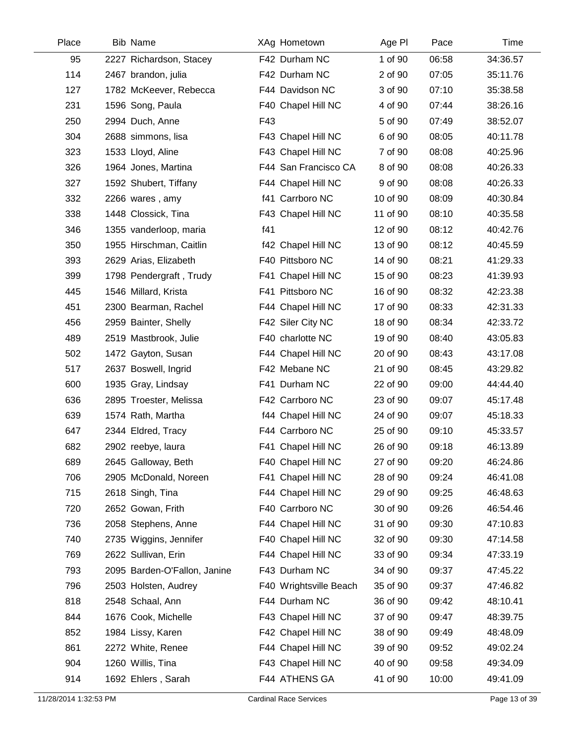| Place | <b>Bib Name</b>              | XAg Hometown           | Age PI   | Pace  | Time     |
|-------|------------------------------|------------------------|----------|-------|----------|
| 95    | 2227 Richardson, Stacey      | F42 Durham NC          | 1 of 90  | 06:58 | 34:36.57 |
| 114   | 2467 brandon, julia          | F42 Durham NC          | 2 of 90  | 07:05 | 35:11.76 |
| 127   | 1782 McKeever, Rebecca       | F44 Davidson NC        | 3 of 90  | 07:10 | 35:38.58 |
| 231   | 1596 Song, Paula             | F40 Chapel Hill NC     | 4 of 90  | 07:44 | 38:26.16 |
| 250   | 2994 Duch, Anne              | F43                    | 5 of 90  | 07:49 | 38:52.07 |
| 304   | 2688 simmons, lisa           | F43 Chapel Hill NC     | 6 of 90  | 08:05 | 40:11.78 |
| 323   | 1533 Lloyd, Aline            | F43 Chapel Hill NC     | 7 of 90  | 08:08 | 40:25.96 |
| 326   | 1964 Jones, Martina          | F44 San Francisco CA   | 8 of 90  | 08:08 | 40:26.33 |
| 327   | 1592 Shubert, Tiffany        | F44 Chapel Hill NC     | 9 of 90  | 08:08 | 40:26.33 |
| 332   | 2266 wares, amy              | f41 Carrboro NC        | 10 of 90 | 08:09 | 40:30.84 |
| 338   | 1448 Clossick, Tina          | F43 Chapel Hill NC     | 11 of 90 | 08:10 | 40:35.58 |
| 346   | 1355 vanderloop, maria       | f41                    | 12 of 90 | 08:12 | 40:42.76 |
| 350   | 1955 Hirschman, Caitlin      | f42 Chapel Hill NC     | 13 of 90 | 08:12 | 40:45.59 |
| 393   | 2629 Arias, Elizabeth        | F40 Pittsboro NC       | 14 of 90 | 08:21 | 41:29.33 |
| 399   | 1798 Pendergraft, Trudy      | F41 Chapel Hill NC     | 15 of 90 | 08:23 | 41:39.93 |
| 445   | 1546 Millard, Krista         | F41 Pittsboro NC       | 16 of 90 | 08:32 | 42:23.38 |
| 451   | 2300 Bearman, Rachel         | F44 Chapel Hill NC     | 17 of 90 | 08:33 | 42:31.33 |
| 456   | 2959 Bainter, Shelly         | F42 Siler City NC      | 18 of 90 | 08:34 | 42:33.72 |
| 489   | 2519 Mastbrook, Julie        | F40 charlotte NC       | 19 of 90 | 08:40 | 43:05.83 |
| 502   | 1472 Gayton, Susan           | F44 Chapel Hill NC     | 20 of 90 | 08:43 | 43:17.08 |
| 517   | 2637 Boswell, Ingrid         | F42 Mebane NC          | 21 of 90 | 08:45 | 43:29.82 |
| 600   | 1935 Gray, Lindsay           | F41 Durham NC          | 22 of 90 | 09:00 | 44:44.40 |
| 636   | 2895 Troester, Melissa       | F42 Carrboro NC        | 23 of 90 | 09:07 | 45:17.48 |
| 639   | 1574 Rath, Martha            | f44 Chapel Hill NC     | 24 of 90 | 09:07 | 45:18.33 |
| 647   | 2344 Eldred, Tracy           | F44 Carrboro NC        | 25 of 90 | 09:10 | 45:33.57 |
| 682   | 2902 reebye, laura           | F41 Chapel Hill NC     | 26 of 90 | 09:18 | 46:13.89 |
| 689   | 2645 Galloway, Beth          | F40 Chapel Hill NC     | 27 of 90 | 09:20 | 46:24.86 |
| 706   | 2905 McDonald, Noreen        | F41 Chapel Hill NC     | 28 of 90 | 09:24 | 46:41.08 |
| 715   | 2618 Singh, Tina             | F44 Chapel Hill NC     | 29 of 90 | 09:25 | 46:48.63 |
| 720   | 2652 Gowan, Frith            | F40 Carrboro NC        | 30 of 90 | 09:26 | 46:54.46 |
| 736   | 2058 Stephens, Anne          | F44 Chapel Hill NC     | 31 of 90 | 09:30 | 47:10.83 |
| 740   | 2735 Wiggins, Jennifer       | F40 Chapel Hill NC     | 32 of 90 | 09:30 | 47:14.58 |
| 769   | 2622 Sullivan, Erin          | F44 Chapel Hill NC     | 33 of 90 | 09:34 | 47:33.19 |
| 793   | 2095 Barden-O'Fallon, Janine | F43 Durham NC          | 34 of 90 | 09:37 | 47:45.22 |
| 796   | 2503 Holsten, Audrey         | F40 Wrightsville Beach | 35 of 90 | 09:37 | 47:46.82 |
| 818   | 2548 Schaal, Ann             | F44 Durham NC          | 36 of 90 | 09:42 | 48:10.41 |
| 844   | 1676 Cook, Michelle          | F43 Chapel Hill NC     | 37 of 90 | 09:47 | 48:39.75 |
| 852   | 1984 Lissy, Karen            | F42 Chapel Hill NC     | 38 of 90 | 09:49 | 48:48.09 |
| 861   | 2272 White, Renee            | F44 Chapel Hill NC     | 39 of 90 | 09:52 | 49:02.24 |
| 904   | 1260 Willis, Tina            | F43 Chapel Hill NC     | 40 of 90 | 09:58 | 49:34.09 |
| 914   | 1692 Ehlers, Sarah           | F44 ATHENS GA          | 41 of 90 | 10:00 | 49:41.09 |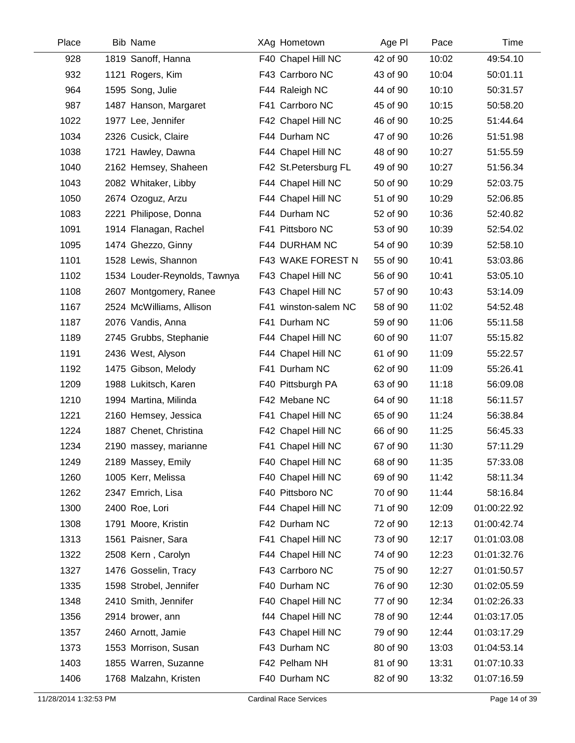| Place | <b>Bib Name</b>              | XAg Hometown          | Age PI   | Pace  | Time        |
|-------|------------------------------|-----------------------|----------|-------|-------------|
| 928   | 1819 Sanoff, Hanna           | F40 Chapel Hill NC    | 42 of 90 | 10:02 | 49:54.10    |
| 932   | 1121 Rogers, Kim             | F43 Carrboro NC       | 43 of 90 | 10:04 | 50:01.11    |
| 964   | 1595 Song, Julie             | F44 Raleigh NC        | 44 of 90 | 10:10 | 50:31.57    |
| 987   | 1487 Hanson, Margaret        | F41 Carrboro NC       | 45 of 90 | 10:15 | 50:58.20    |
| 1022  | 1977 Lee, Jennifer           | F42 Chapel Hill NC    | 46 of 90 | 10:25 | 51:44.64    |
| 1034  | 2326 Cusick, Claire          | F44 Durham NC         | 47 of 90 | 10:26 | 51:51.98    |
| 1038  | 1721 Hawley, Dawna           | F44 Chapel Hill NC    | 48 of 90 | 10:27 | 51:55.59    |
| 1040  | 2162 Hemsey, Shaheen         | F42 St. Petersburg FL | 49 of 90 | 10:27 | 51:56.34    |
| 1043  | 2082 Whitaker, Libby         | F44 Chapel Hill NC    | 50 of 90 | 10:29 | 52:03.75    |
| 1050  | 2674 Ozoguz, Arzu            | F44 Chapel Hill NC    | 51 of 90 | 10:29 | 52:06.85    |
| 1083  | 2221 Philipose, Donna        | F44 Durham NC         | 52 of 90 | 10:36 | 52:40.82    |
| 1091  | 1914 Flanagan, Rachel        | F41 Pittsboro NC      | 53 of 90 | 10:39 | 52:54.02    |
| 1095  | 1474 Ghezzo, Ginny           | F44 DURHAM NC         | 54 of 90 | 10:39 | 52:58.10    |
| 1101  | 1528 Lewis, Shannon          | F43 WAKE FOREST N     | 55 of 90 | 10:41 | 53:03.86    |
| 1102  | 1534 Louder-Reynolds, Tawnya | F43 Chapel Hill NC    | 56 of 90 | 10:41 | 53:05.10    |
| 1108  | 2607 Montgomery, Ranee       | F43 Chapel Hill NC    | 57 of 90 | 10:43 | 53:14.09    |
| 1167  | 2524 McWilliams, Allison     | F41 winston-salem NC  | 58 of 90 | 11:02 | 54:52.48    |
| 1187  | 2076 Vandis, Anna            | F41 Durham NC         | 59 of 90 | 11:06 | 55:11.58    |
| 1189  | 2745 Grubbs, Stephanie       | F44 Chapel Hill NC    | 60 of 90 | 11:07 | 55:15.82    |
| 1191  | 2436 West, Alyson            | F44 Chapel Hill NC    | 61 of 90 | 11:09 | 55:22.57    |
| 1192  | 1475 Gibson, Melody          | F41 Durham NC         | 62 of 90 | 11:09 | 55:26.41    |
| 1209  | 1988 Lukitsch, Karen         | F40 Pittsburgh PA     | 63 of 90 | 11:18 | 56:09.08    |
| 1210  | 1994 Martina, Milinda        | F42 Mebane NC         | 64 of 90 | 11:18 | 56:11.57    |
| 1221  | 2160 Hemsey, Jessica         | F41 Chapel Hill NC    | 65 of 90 | 11:24 | 56:38.84    |
| 1224  | 1887 Chenet, Christina       | F42 Chapel Hill NC    | 66 of 90 | 11:25 | 56:45.33    |
| 1234  | 2190 massey, marianne        | F41 Chapel Hill NC    | 67 of 90 | 11:30 | 57:11.29    |
| 1249  | 2189 Massey, Emily           | F40 Chapel Hill NC    | 68 of 90 | 11:35 | 57:33.08    |
| 1260  | 1005 Kerr, Melissa           | F40 Chapel Hill NC    | 69 of 90 | 11:42 | 58:11.34    |
| 1262  | 2347 Emrich, Lisa            | F40 Pittsboro NC      | 70 of 90 | 11:44 | 58:16.84    |
| 1300  | 2400 Roe, Lori               | F44 Chapel Hill NC    | 71 of 90 | 12:09 | 01:00:22.92 |
| 1308  | 1791 Moore, Kristin          | F42 Durham NC         | 72 of 90 | 12:13 | 01:00:42.74 |
| 1313  | 1561 Paisner, Sara           | F41 Chapel Hill NC    | 73 of 90 | 12:17 | 01:01:03.08 |
| 1322  | 2508 Kern, Carolyn           | F44 Chapel Hill NC    | 74 of 90 | 12:23 | 01:01:32.76 |
| 1327  | 1476 Gosselin, Tracy         | F43 Carrboro NC       | 75 of 90 | 12:27 | 01:01:50.57 |
| 1335  | 1598 Strobel, Jennifer       | F40 Durham NC         | 76 of 90 | 12:30 | 01:02:05.59 |
| 1348  | 2410 Smith, Jennifer         | F40 Chapel Hill NC    | 77 of 90 | 12:34 | 01:02:26.33 |
| 1356  | 2914 brower, ann             | f44 Chapel Hill NC    | 78 of 90 | 12:44 | 01:03:17.05 |
| 1357  | 2460 Arnott, Jamie           | F43 Chapel Hill NC    | 79 of 90 | 12:44 | 01:03:17.29 |
| 1373  | 1553 Morrison, Susan         | F43 Durham NC         | 80 of 90 | 13:03 | 01:04:53.14 |
| 1403  | 1855 Warren, Suzanne         | F42 Pelham NH         | 81 of 90 | 13:31 | 01:07:10.33 |
| 1406  | 1768 Malzahn, Kristen        | F40 Durham NC         | 82 of 90 | 13:32 | 01:07:16.59 |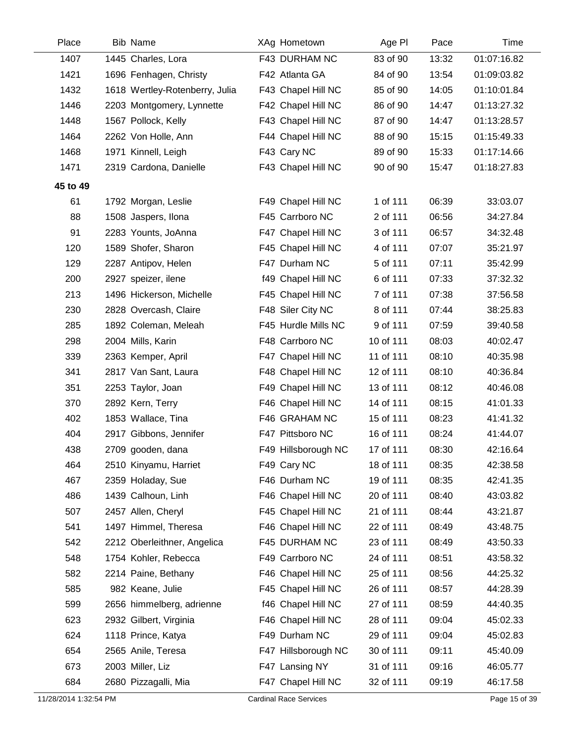| Place    | <b>Bib Name</b>                | XAg Hometown        | Age PI    | Pace  | Time        |
|----------|--------------------------------|---------------------|-----------|-------|-------------|
| 1407     | 1445 Charles, Lora             | F43 DURHAM NC       | 83 of 90  | 13:32 | 01:07:16.82 |
| 1421     | 1696 Fenhagen, Christy         | F42 Atlanta GA      | 84 of 90  | 13:54 | 01:09:03.82 |
| 1432     | 1618 Wertley-Rotenberry, Julia | F43 Chapel Hill NC  | 85 of 90  | 14:05 | 01:10:01.84 |
| 1446     | 2203 Montgomery, Lynnette      | F42 Chapel Hill NC  | 86 of 90  | 14:47 | 01:13:27.32 |
| 1448     | 1567 Pollock, Kelly            | F43 Chapel Hill NC  | 87 of 90  | 14:47 | 01:13:28.57 |
| 1464     | 2262 Von Holle, Ann            | F44 Chapel Hill NC  | 88 of 90  | 15:15 | 01:15:49.33 |
| 1468     | 1971 Kinnell, Leigh            | F43 Cary NC         | 89 of 90  | 15:33 | 01:17:14.66 |
| 1471     | 2319 Cardona, Danielle         | F43 Chapel Hill NC  | 90 of 90  | 15:47 | 01:18:27.83 |
| 45 to 49 |                                |                     |           |       |             |
| 61       | 1792 Morgan, Leslie            | F49 Chapel Hill NC  | 1 of 111  | 06:39 | 33:03.07    |
| 88       | 1508 Jaspers, Ilona            | F45 Carrboro NC     | 2 of 111  | 06:56 | 34:27.84    |
| 91       | 2283 Younts, JoAnna            | F47 Chapel Hill NC  | 3 of 111  | 06:57 | 34:32.48    |
| 120      | 1589 Shofer, Sharon            | F45 Chapel Hill NC  | 4 of 111  | 07:07 | 35:21.97    |
| 129      | 2287 Antipov, Helen            | F47 Durham NC       | 5 of 111  | 07:11 | 35:42.99    |
| 200      | 2927 speizer, ilene            | f49 Chapel Hill NC  | 6 of 111  | 07:33 | 37:32.32    |
| 213      | 1496 Hickerson, Michelle       | F45 Chapel Hill NC  | 7 of 111  | 07:38 | 37:56.58    |
| 230      | 2828 Overcash, Claire          | F48 Siler City NC   | 8 of 111  | 07:44 | 38:25.83    |
| 285      | 1892 Coleman, Meleah           | F45 Hurdle Mills NC | 9 of 111  | 07:59 | 39:40.58    |
| 298      | 2004 Mills, Karin              | F48 Carrboro NC     | 10 of 111 | 08:03 | 40:02.47    |
| 339      | 2363 Kemper, April             | F47 Chapel Hill NC  | 11 of 111 | 08:10 | 40:35.98    |
| 341      | 2817 Van Sant, Laura           | F48 Chapel Hill NC  | 12 of 111 | 08:10 | 40:36.84    |
| 351      | 2253 Taylor, Joan              | F49 Chapel Hill NC  | 13 of 111 | 08:12 | 40:46.08    |
| 370      | 2892 Kern, Terry               | F46 Chapel Hill NC  | 14 of 111 | 08:15 | 41:01.33    |
| 402      | 1853 Wallace, Tina             | F46 GRAHAM NC       | 15 of 111 | 08:23 | 41:41.32    |
| 404      | 2917 Gibbons, Jennifer         | F47 Pittsboro NC    | 16 of 111 | 08:24 | 41:44.07    |
| 438      | 2709 gooden, dana              | F49 Hillsborough NC | 17 of 111 | 08:30 | 42:16.64    |
| 464      | 2510 Kinyamu, Harriet          | F49 Cary NC         | 18 of 111 | 08:35 | 42:38.58    |
| 467      | 2359 Holaday, Sue              | F46 Durham NC       | 19 of 111 | 08:35 | 42:41.35    |
| 486      | 1439 Calhoun, Linh             | F46 Chapel Hill NC  | 20 of 111 | 08:40 | 43:03.82    |
| 507      | 2457 Allen, Cheryl             | F45 Chapel Hill NC  | 21 of 111 | 08:44 | 43:21.87    |
| 541      | 1497 Himmel, Theresa           | F46 Chapel Hill NC  | 22 of 111 | 08:49 | 43:48.75    |
| 542      | 2212 Oberleithner, Angelica    | F45 DURHAM NC       | 23 of 111 | 08:49 | 43:50.33    |
| 548      | 1754 Kohler, Rebecca           | F49 Carrboro NC     | 24 of 111 | 08:51 | 43:58.32    |
| 582      | 2214 Paine, Bethany            | F46 Chapel Hill NC  | 25 of 111 | 08:56 | 44:25.32    |
| 585      | 982 Keane, Julie               | F45 Chapel Hill NC  | 26 of 111 | 08:57 | 44:28.39    |
| 599      | 2656 himmelberg, adrienne      | f46 Chapel Hill NC  | 27 of 111 | 08:59 | 44:40.35    |
| 623      | 2932 Gilbert, Virginia         | F46 Chapel Hill NC  | 28 of 111 | 09:04 | 45:02.33    |
| 624      | 1118 Prince, Katya             | F49 Durham NC       | 29 of 111 | 09:04 | 45:02.83    |
| 654      | 2565 Anile, Teresa             | F47 Hillsborough NC | 30 of 111 | 09:11 | 45:40.09    |
| 673      | 2003 Miller, Liz               | F47 Lansing NY      | 31 of 111 | 09:16 | 46:05.77    |
| 684      | 2680 Pizzagalli, Mia           | F47 Chapel Hill NC  | 32 of 111 | 09:19 | 46:17.58    |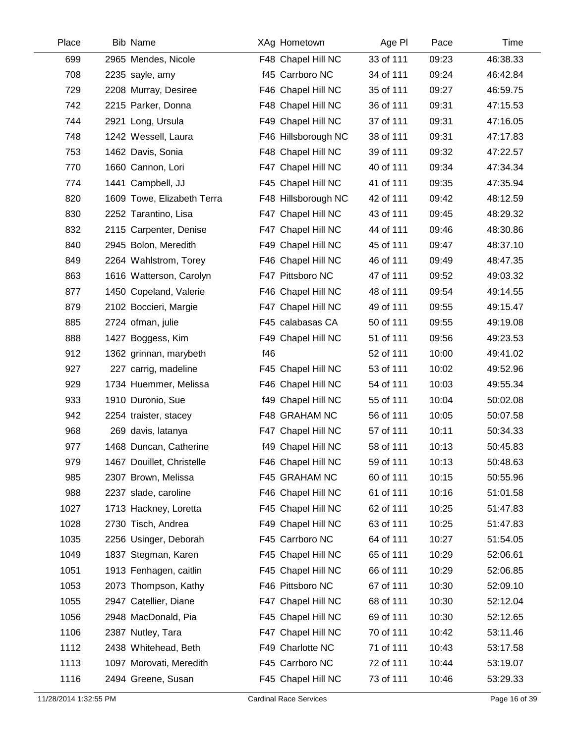| Place | <b>Bib Name</b>            | XAg Hometown        | Age PI    | Pace  | Time     |
|-------|----------------------------|---------------------|-----------|-------|----------|
| 699   | 2965 Mendes, Nicole        | F48 Chapel Hill NC  | 33 of 111 | 09:23 | 46:38.33 |
| 708   | 2235 sayle, amy            | f45 Carrboro NC     | 34 of 111 | 09:24 | 46:42.84 |
| 729   | 2208 Murray, Desiree       | F46 Chapel Hill NC  | 35 of 111 | 09:27 | 46:59.75 |
| 742   | 2215 Parker, Donna         | F48 Chapel Hill NC  | 36 of 111 | 09:31 | 47:15.53 |
| 744   | 2921 Long, Ursula          | F49 Chapel Hill NC  | 37 of 111 | 09:31 | 47:16.05 |
| 748   | 1242 Wessell, Laura        | F46 Hillsborough NC | 38 of 111 | 09:31 | 47:17.83 |
| 753   | 1462 Davis, Sonia          | F48 Chapel Hill NC  | 39 of 111 | 09:32 | 47:22.57 |
| 770   | 1660 Cannon, Lori          | F47 Chapel Hill NC  | 40 of 111 | 09:34 | 47:34.34 |
| 774   | 1441 Campbell, JJ          | F45 Chapel Hill NC  | 41 of 111 | 09:35 | 47:35.94 |
| 820   | 1609 Towe, Elizabeth Terra | F48 Hillsborough NC | 42 of 111 | 09:42 | 48:12.59 |
| 830   | 2252 Tarantino, Lisa       | F47 Chapel Hill NC  | 43 of 111 | 09:45 | 48:29.32 |
| 832   | 2115 Carpenter, Denise     | F47 Chapel Hill NC  | 44 of 111 | 09:46 | 48:30.86 |
| 840   | 2945 Bolon, Meredith       | F49 Chapel Hill NC  | 45 of 111 | 09:47 | 48:37.10 |
| 849   | 2264 Wahlstrom, Torey      | F46 Chapel Hill NC  | 46 of 111 | 09:49 | 48:47.35 |
| 863   | 1616 Watterson, Carolyn    | F47 Pittsboro NC    | 47 of 111 | 09:52 | 49:03.32 |
| 877   | 1450 Copeland, Valerie     | F46 Chapel Hill NC  | 48 of 111 | 09:54 | 49:14.55 |
| 879   | 2102 Boccieri, Margie      | F47 Chapel Hill NC  | 49 of 111 | 09:55 | 49:15.47 |
| 885   | 2724 ofman, julie          | F45 calabasas CA    | 50 of 111 | 09:55 | 49:19.08 |
| 888   | 1427 Boggess, Kim          | F49 Chapel Hill NC  | 51 of 111 | 09:56 | 49:23.53 |
| 912   | 1362 grinnan, marybeth     | f46                 | 52 of 111 | 10:00 | 49:41.02 |
| 927   | 227 carrig, madeline       | F45 Chapel Hill NC  | 53 of 111 | 10:02 | 49:52.96 |
| 929   | 1734 Huemmer, Melissa      | F46 Chapel Hill NC  | 54 of 111 | 10:03 | 49:55.34 |
| 933   | 1910 Duronio, Sue          | f49 Chapel Hill NC  | 55 of 111 | 10:04 | 50:02.08 |
| 942   | 2254 traister, stacey      | F48 GRAHAM NC       | 56 of 111 | 10:05 | 50:07.58 |
| 968   | 269 davis, latanya         | F47 Chapel Hill NC  | 57 of 111 | 10:11 | 50:34.33 |
| 977   | 1468 Duncan, Catherine     | f49 Chapel Hill NC  | 58 of 111 | 10:13 | 50:45.83 |
| 979   | 1467 Douillet, Christelle  | F46 Chapel Hill NC  | 59 of 111 | 10:13 | 50:48.63 |
| 985   | 2307 Brown, Melissa        | F45 GRAHAM NC       | 60 of 111 | 10:15 | 50:55.96 |
| 988   | 2237 slade, caroline       | F46 Chapel Hill NC  | 61 of 111 | 10:16 | 51:01.58 |
| 1027  | 1713 Hackney, Loretta      | F45 Chapel Hill NC  | 62 of 111 | 10:25 | 51:47.83 |
| 1028  | 2730 Tisch, Andrea         | F49 Chapel Hill NC  | 63 of 111 | 10:25 | 51:47.83 |
| 1035  | 2256 Usinger, Deborah      | F45 Carrboro NC     | 64 of 111 | 10:27 | 51:54.05 |
| 1049  | 1837 Stegman, Karen        | F45 Chapel Hill NC  | 65 of 111 | 10:29 | 52:06.61 |
| 1051  | 1913 Fenhagen, caitlin     | F45 Chapel Hill NC  | 66 of 111 | 10:29 | 52:06.85 |
| 1053  | 2073 Thompson, Kathy       | F46 Pittsboro NC    | 67 of 111 | 10:30 | 52:09.10 |
| 1055  | 2947 Catellier, Diane      | F47 Chapel Hill NC  | 68 of 111 | 10:30 | 52:12.04 |
| 1056  | 2948 MacDonald, Pia        | F45 Chapel Hill NC  | 69 of 111 | 10:30 | 52:12.65 |
| 1106  | 2387 Nutley, Tara          | F47 Chapel Hill NC  | 70 of 111 | 10:42 | 53:11.46 |
| 1112  | 2438 Whitehead, Beth       | F49 Charlotte NC    | 71 of 111 | 10:43 | 53:17.58 |
| 1113  | 1097 Morovati, Meredith    | F45 Carrboro NC     | 72 of 111 | 10:44 | 53:19.07 |
| 1116  | 2494 Greene, Susan         | F45 Chapel Hill NC  | 73 of 111 | 10:46 | 53:29.33 |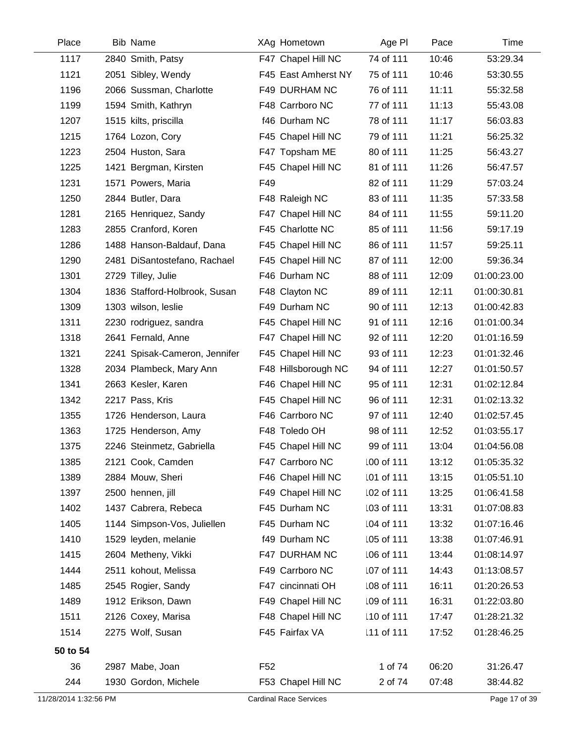| Place                 | Bib Name                      | XAg Hometown                  | Age PI     | Pace  | Time          |
|-----------------------|-------------------------------|-------------------------------|------------|-------|---------------|
| 1117                  | 2840 Smith, Patsy             | F47 Chapel Hill NC            | 74 of 111  | 10:46 | 53:29.34      |
| 1121                  | 2051 Sibley, Wendy            | F45 East Amherst NY           | 75 of 111  | 10:46 | 53:30.55      |
| 1196                  | 2066 Sussman, Charlotte       | F49 DURHAM NC                 | 76 of 111  | 11:11 | 55:32.58      |
| 1199                  | 1594 Smith, Kathryn           | F48 Carrboro NC               | 77 of 111  | 11:13 | 55:43.08      |
| 1207                  | 1515 kilts, priscilla         | f46 Durham NC                 | 78 of 111  | 11:17 | 56:03.83      |
| 1215                  | 1764 Lozon, Cory              | F45 Chapel Hill NC            | 79 of 111  | 11:21 | 56:25.32      |
| 1223                  | 2504 Huston, Sara             | F47 Topsham ME                | 80 of 111  | 11:25 | 56:43.27      |
| 1225                  | 1421 Bergman, Kirsten         | F45 Chapel Hill NC            | 81 of 111  | 11:26 | 56:47.57      |
| 1231                  | 1571 Powers, Maria            | F49                           | 82 of 111  | 11:29 | 57:03.24      |
| 1250                  | 2844 Butler, Dara             | F48 Raleigh NC                | 83 of 111  | 11:35 | 57:33.58      |
| 1281                  | 2165 Henriquez, Sandy         | F47 Chapel Hill NC            | 84 of 111  | 11:55 | 59:11.20      |
| 1283                  | 2855 Cranford, Koren          | F45 Charlotte NC              | 85 of 111  | 11:56 | 59:17.19      |
| 1286                  | 1488 Hanson-Baldauf, Dana     | F45 Chapel Hill NC            | 86 of 111  | 11:57 | 59:25.11      |
| 1290                  | 2481 DiSantostefano, Rachael  | F45 Chapel Hill NC            | 87 of 111  | 12:00 | 59:36.34      |
| 1301                  | 2729 Tilley, Julie            | F46 Durham NC                 | 88 of 111  | 12:09 | 01:00:23.00   |
| 1304                  | 1836 Stafford-Holbrook, Susan | F48 Clayton NC                | 89 of 111  | 12:11 | 01:00:30.81   |
| 1309                  | 1303 wilson, leslie           | F49 Durham NC                 | 90 of 111  | 12:13 | 01:00:42.83   |
| 1311                  | 2230 rodriguez, sandra        | F45 Chapel Hill NC            | 91 of 111  | 12:16 | 01:01:00.34   |
| 1318                  | 2641 Fernald, Anne            | F47 Chapel Hill NC            | 92 of 111  | 12:20 | 01:01:16.59   |
| 1321                  | 2241 Spisak-Cameron, Jennifer | F45 Chapel Hill NC            | 93 of 111  | 12:23 | 01:01:32.46   |
| 1328                  | 2034 Plambeck, Mary Ann       | F48 Hillsborough NC           | 94 of 111  | 12:27 | 01:01:50.57   |
| 1341                  | 2663 Kesler, Karen            | F46 Chapel Hill NC            | 95 of 111  | 12:31 | 01:02:12.84   |
| 1342                  | 2217 Pass, Kris               | F45 Chapel Hill NC            | 96 of 111  | 12:31 | 01:02:13.32   |
| 1355                  | 1726 Henderson, Laura         | F46 Carrboro NC               | 97 of 111  | 12:40 | 01:02:57.45   |
| 1363                  | 1725 Henderson, Amy           | F48 Toledo OH                 | 98 of 111  | 12:52 | 01:03:55.17   |
| 1375                  | 2246 Steinmetz, Gabriella     | F45 Chapel Hill NC            | 99 of 111  | 13:04 | 01:04:56.08   |
| 1385                  | 2121 Cook, Camden             | F47 Carrboro NC               | 100 of 111 | 13:12 | 01:05:35.32   |
| 1389                  | 2884 Mouw, Sheri              | F46 Chapel Hill NC            | 101 of 111 | 13:15 | 01:05:51.10   |
| 1397                  | 2500 hennen, jill             | F49 Chapel Hill NC            | 102 of 111 | 13:25 | 01:06:41.58   |
| 1402                  | 1437 Cabrera, Rebeca          | F45 Durham NC                 | 103 of 111 | 13:31 | 01:07:08.83   |
| 1405                  | 1144 Simpson-Vos, Juliellen   | F45 Durham NC                 | 104 of 111 | 13:32 | 01:07:16.46   |
| 1410                  | 1529 leyden, melanie          | f49 Durham NC                 | 105 of 111 | 13:38 | 01:07:46.91   |
| 1415                  | 2604 Metheny, Vikki           | F47 DURHAM NC                 | 106 of 111 | 13:44 | 01:08:14.97   |
| 1444                  | 2511 kohout, Melissa          | F49 Carrboro NC               | 107 of 111 | 14:43 | 01:13:08.57   |
| 1485                  | 2545 Rogier, Sandy            | F47 cincinnati OH             | 108 of 111 | 16:11 | 01:20:26.53   |
| 1489                  | 1912 Erikson, Dawn            | F49 Chapel Hill NC            | 109 of 111 | 16:31 | 01:22:03.80   |
| 1511                  | 2126 Coxey, Marisa            | F48 Chapel Hill NC            | 110 of 111 | 17:47 | 01:28:21.32   |
| 1514                  | 2275 Wolf, Susan              | F45 Fairfax VA                | 111 of 111 | 17:52 | 01:28:46.25   |
| 50 to 54              |                               |                               |            |       |               |
| 36                    | 2987 Mabe, Joan               | F <sub>52</sub>               | 1 of 74    | 06:20 | 31:26.47      |
| 244                   | 1930 Gordon, Michele          | F53 Chapel Hill NC            | 2 of 74    | 07:48 | 38:44.82      |
| 11/28/2014 1:32:56 PM |                               | <b>Cardinal Race Services</b> |            |       | Page 17 of 39 |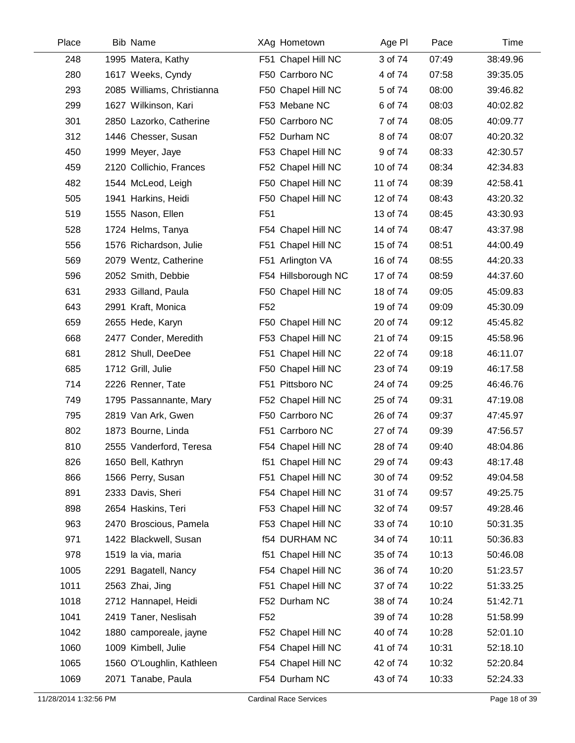| Place | <b>Bib Name</b>            | XAg Hometown          | Age PI   | Pace  | Time     |
|-------|----------------------------|-----------------------|----------|-------|----------|
| 248   | 1995 Matera, Kathy         | F51 Chapel Hill NC    | 3 of 74  | 07:49 | 38:49.96 |
| 280   | 1617 Weeks, Cyndy          | F50 Carrboro NC       | 4 of 74  | 07:58 | 39:35.05 |
| 293   | 2085 Williams, Christianna | F50 Chapel Hill NC    | 5 of 74  | 08:00 | 39:46.82 |
| 299   | 1627 Wilkinson, Kari       | F53 Mebane NC         | 6 of 74  | 08:03 | 40:02.82 |
| 301   | 2850 Lazorko, Catherine    | F50 Carrboro NC       | 7 of 74  | 08:05 | 40:09.77 |
| 312   | 1446 Chesser, Susan        | F52 Durham NC         | 8 of 74  | 08:07 | 40:20.32 |
| 450   | 1999 Meyer, Jaye           | F53 Chapel Hill NC    | 9 of 74  | 08:33 | 42:30.57 |
| 459   | 2120 Collichio, Frances    | F52 Chapel Hill NC    | 10 of 74 | 08:34 | 42:34.83 |
| 482   | 1544 McLeod, Leigh         | F50 Chapel Hill NC    | 11 of 74 | 08:39 | 42:58.41 |
| 505   | 1941 Harkins, Heidi        | F50 Chapel Hill NC    | 12 of 74 | 08:43 | 43:20.32 |
| 519   | 1555 Nason, Ellen          | F <sub>51</sub>       | 13 of 74 | 08:45 | 43:30.93 |
| 528   | 1724 Helms, Tanya          | F54 Chapel Hill NC    | 14 of 74 | 08:47 | 43:37.98 |
| 556   | 1576 Richardson, Julie     | F51 Chapel Hill NC    | 15 of 74 | 08:51 | 44:00.49 |
| 569   | 2079 Wentz, Catherine      | F51 Arlington VA      | 16 of 74 | 08:55 | 44:20.33 |
| 596   | 2052 Smith, Debbie         | F54 Hillsborough NC   | 17 of 74 | 08:59 | 44:37.60 |
| 631   | 2933 Gilland, Paula        | F50 Chapel Hill NC    | 18 of 74 | 09:05 | 45:09.83 |
| 643   | 2991 Kraft, Monica         | F <sub>52</sub>       | 19 of 74 | 09:09 | 45:30.09 |
| 659   | 2655 Hede, Karyn           | F50 Chapel Hill NC    | 20 of 74 | 09:12 | 45:45.82 |
| 668   | 2477 Conder, Meredith      | F53 Chapel Hill NC    | 21 of 74 | 09:15 | 45:58.96 |
| 681   | 2812 Shull, DeeDee         | F51 Chapel Hill NC    | 22 of 74 | 09:18 | 46:11.07 |
| 685   | 1712 Grill, Julie          | F50 Chapel Hill NC    | 23 of 74 | 09:19 | 46:17.58 |
| 714   | 2226 Renner, Tate          | F51 Pittsboro NC      | 24 of 74 | 09:25 | 46:46.76 |
| 749   | 1795 Passannante, Mary     | F52 Chapel Hill NC    | 25 of 74 | 09:31 | 47:19.08 |
| 795   | 2819 Van Ark, Gwen         | F50 Carrboro NC       | 26 of 74 | 09:37 | 47:45.97 |
| 802   | 1873 Bourne, Linda         | F51 Carrboro NC       | 27 of 74 | 09:39 | 47:56.57 |
| 810   | 2555 Vanderford, Teresa    | F54 Chapel Hill NC    | 28 of 74 | 09:40 | 48:04.86 |
| 826   | 1650 Bell, Kathryn         | f51 Chapel Hill NC    | 29 of 74 | 09:43 | 48:17.48 |
| 866   | 1566 Perry, Susan          | F51 Chapel Hill NC    | 30 of 74 | 09:52 | 49:04.58 |
| 891   | 2333 Davis, Sheri          | F54 Chapel Hill NC    | 31 of 74 | 09:57 | 49:25.75 |
| 898   | 2654 Haskins, Teri         | F53 Chapel Hill NC    | 32 of 74 | 09:57 | 49:28.46 |
| 963   | 2470 Broscious, Pamela     | F53 Chapel Hill NC    | 33 of 74 | 10:10 | 50:31.35 |
| 971   | 1422 Blackwell, Susan      | <b>f54 DURHAM NC</b>  | 34 of 74 | 10:11 | 50:36.83 |
| 978   | 1519 la via, maria         | Chapel Hill NC<br>f51 | 35 of 74 | 10:13 | 50:46.08 |
| 1005  | 2291 Bagatell, Nancy       | F54 Chapel Hill NC    | 36 of 74 | 10:20 | 51:23.57 |
| 1011  | 2563 Zhai, Jing            | F51 Chapel Hill NC    | 37 of 74 | 10:22 | 51:33.25 |
| 1018  | 2712 Hannapel, Heidi       | F52 Durham NC         | 38 of 74 | 10:24 | 51:42.71 |
| 1041  | 2419 Taner, Neslisah       | F52                   | 39 of 74 | 10:28 | 51:58.99 |
| 1042  | 1880 camporeale, jayne     | F52 Chapel Hill NC    | 40 of 74 | 10:28 | 52:01.10 |
| 1060  | 1009 Kimbell, Julie        | F54 Chapel Hill NC    | 41 of 74 | 10:31 | 52:18.10 |
| 1065  | 1560 O'Loughlin, Kathleen  | F54 Chapel Hill NC    | 42 of 74 | 10:32 | 52:20.84 |
| 1069  | 2071 Tanabe, Paula         | F54 Durham NC         | 43 of 74 | 10:33 | 52:24.33 |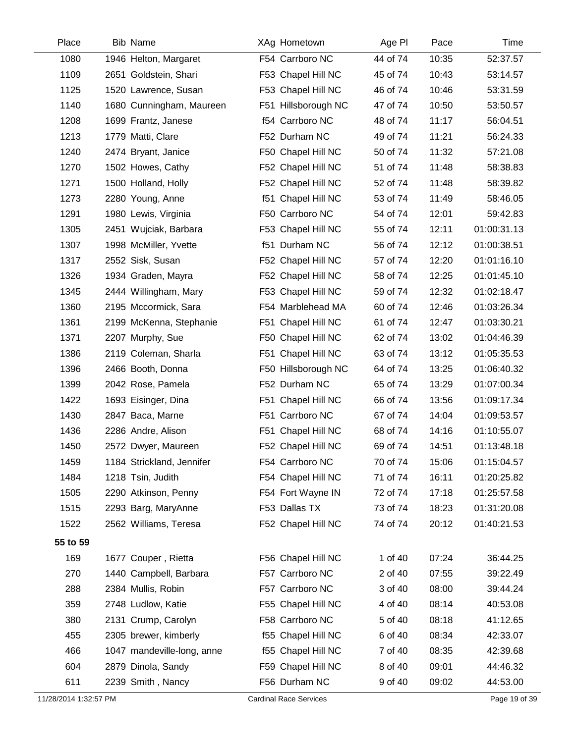| Place    | <b>Bib Name</b>            | XAg Hometown        | Age PI   | Pace  | Time        |
|----------|----------------------------|---------------------|----------|-------|-------------|
| 1080     | 1946 Helton, Margaret      | F54 Carrboro NC     | 44 of 74 | 10:35 | 52:37.57    |
| 1109     | 2651 Goldstein, Shari      | F53 Chapel Hill NC  | 45 of 74 | 10:43 | 53:14.57    |
| 1125     | 1520 Lawrence, Susan       | F53 Chapel Hill NC  | 46 of 74 | 10:46 | 53:31.59    |
| 1140     | 1680 Cunningham, Maureen   | F51 Hillsborough NC | 47 of 74 | 10:50 | 53:50.57    |
| 1208     | 1699 Frantz, Janese        | f54 Carrboro NC     | 48 of 74 | 11:17 | 56:04.51    |
| 1213     | 1779 Matti, Clare          | F52 Durham NC       | 49 of 74 | 11:21 | 56:24.33    |
| 1240     | 2474 Bryant, Janice        | F50 Chapel Hill NC  | 50 of 74 | 11:32 | 57:21.08    |
| 1270     | 1502 Howes, Cathy          | F52 Chapel Hill NC  | 51 of 74 | 11:48 | 58:38.83    |
| 1271     | 1500 Holland, Holly        | F52 Chapel Hill NC  | 52 of 74 | 11:48 | 58:39.82    |
| 1273     | 2280 Young, Anne           | f51 Chapel Hill NC  | 53 of 74 | 11:49 | 58:46.05    |
| 1291     | 1980 Lewis, Virginia       | F50 Carrboro NC     | 54 of 74 | 12:01 | 59:42.83    |
| 1305     | 2451 Wujciak, Barbara      | F53 Chapel Hill NC  | 55 of 74 | 12:11 | 01:00:31.13 |
| 1307     | 1998 McMiller, Yvette      | f51 Durham NC       | 56 of 74 | 12:12 | 01:00:38.51 |
| 1317     | 2552 Sisk, Susan           | F52 Chapel Hill NC  | 57 of 74 | 12:20 | 01:01:16.10 |
| 1326     | 1934 Graden, Mayra         | F52 Chapel Hill NC  | 58 of 74 | 12:25 | 01:01:45.10 |
| 1345     | 2444 Willingham, Mary      | F53 Chapel Hill NC  | 59 of 74 | 12:32 | 01:02:18.47 |
| 1360     | 2195 Mccormick, Sara       | F54 Marblehead MA   | 60 of 74 | 12:46 | 01:03:26.34 |
| 1361     | 2199 McKenna, Stephanie    | F51 Chapel Hill NC  | 61 of 74 | 12:47 | 01:03:30.21 |
| 1371     | 2207 Murphy, Sue           | F50 Chapel Hill NC  | 62 of 74 | 13:02 | 01:04:46.39 |
| 1386     | 2119 Coleman, Sharla       | F51 Chapel Hill NC  | 63 of 74 | 13:12 | 01:05:35.53 |
| 1396     | 2466 Booth, Donna          | F50 Hillsborough NC | 64 of 74 | 13:25 | 01:06:40.32 |
| 1399     | 2042 Rose, Pamela          | F52 Durham NC       | 65 of 74 | 13:29 | 01:07:00.34 |
| 1422     | 1693 Eisinger, Dina        | F51 Chapel Hill NC  | 66 of 74 | 13:56 | 01:09:17.34 |
| 1430     | 2847 Baca, Marne           | F51 Carrboro NC     | 67 of 74 | 14:04 | 01:09:53.57 |
| 1436     | 2286 Andre, Alison         | F51 Chapel Hill NC  | 68 of 74 | 14:16 | 01:10:55.07 |
| 1450     | 2572 Dwyer, Maureen        | F52 Chapel Hill NC  | 69 of 74 | 14:51 | 01:13:48.18 |
| 1459     | 1184 Strickland, Jennifer  | F54 Carrboro NC     | 70 of 74 | 15:06 | 01:15:04.57 |
| 1484     | 1218 Tsin, Judith          | F54 Chapel Hill NC  | 71 of 74 | 16:11 | 01:20:25.82 |
| 1505     | 2290 Atkinson, Penny       | F54 Fort Wayne IN   | 72 of 74 | 17:18 | 01:25:57.58 |
| 1515     | 2293 Barg, MaryAnne        | F53 Dallas TX       | 73 of 74 | 18:23 | 01:31:20.08 |
| 1522     | 2562 Williams, Teresa      | F52 Chapel Hill NC  | 74 of 74 | 20:12 | 01:40:21.53 |
| 55 to 59 |                            |                     |          |       |             |
| 169      | 1677 Couper, Rietta        | F56 Chapel Hill NC  | 1 of 40  | 07:24 | 36:44.25    |
| 270      | 1440 Campbell, Barbara     | F57 Carrboro NC     | 2 of 40  | 07:55 | 39:22.49    |
| 288      | 2384 Mullis, Robin         | F57 Carrboro NC     | 3 of 40  | 08:00 | 39:44.24    |
| 359      | 2748 Ludlow, Katie         | F55 Chapel Hill NC  | 4 of 40  | 08:14 | 40:53.08    |
| 380      | 2131 Crump, Carolyn        | F58 Carrboro NC     | 5 of 40  | 08:18 | 41:12.65    |
| 455      | 2305 brewer, kimberly      | f55 Chapel Hill NC  | 6 of 40  | 08:34 | 42:33.07    |
| 466      | 1047 mandeville-long, anne | f55 Chapel Hill NC  | 7 of 40  | 08:35 | 42:39.68    |
| 604      | 2879 Dinola, Sandy         | F59 Chapel Hill NC  | 8 of 40  | 09:01 | 44:46.32    |
| 611      | 2239 Smith, Nancy          | F56 Durham NC       | 9 of 40  | 09:02 | 44:53.00    |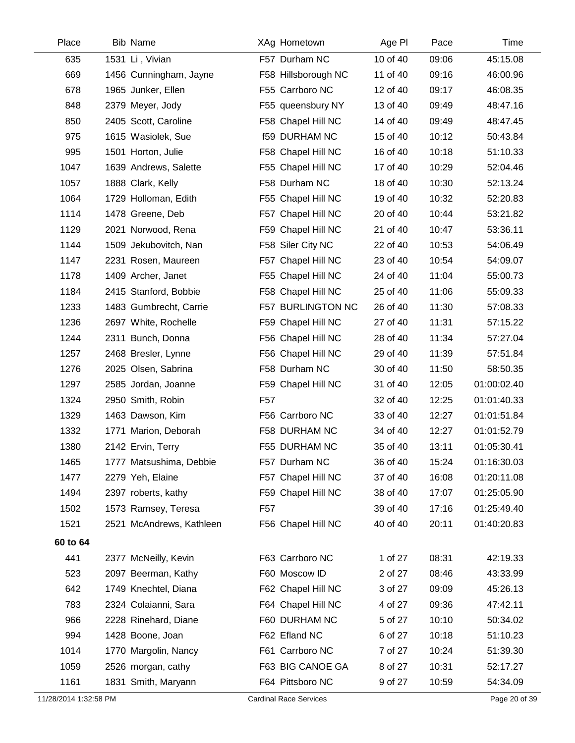| Place    | <b>Bib Name</b>          | XAg Hometown         | Age PI   | Pace  | Time        |
|----------|--------------------------|----------------------|----------|-------|-------------|
| 635      | 1531 Li, Vivian          | F57 Durham NC        | 10 of 40 | 09:06 | 45:15.08    |
| 669      | 1456 Cunningham, Jayne   | F58 Hillsborough NC  | 11 of 40 | 09:16 | 46:00.96    |
| 678      | 1965 Junker, Ellen       | F55 Carrboro NC      | 12 of 40 | 09:17 | 46:08.35    |
| 848      | 2379 Meyer, Jody         | F55 queensbury NY    | 13 of 40 | 09:49 | 48:47.16    |
| 850      | 2405 Scott, Caroline     | F58 Chapel Hill NC   | 14 of 40 | 09:49 | 48:47.45    |
| 975      | 1615 Wasiolek, Sue       | <b>f59 DURHAM NC</b> | 15 of 40 | 10:12 | 50:43.84    |
| 995      | 1501 Horton, Julie       | F58 Chapel Hill NC   | 16 of 40 | 10:18 | 51:10.33    |
| 1047     | 1639 Andrews, Salette    | F55 Chapel Hill NC   | 17 of 40 | 10:29 | 52:04.46    |
| 1057     | 1888 Clark, Kelly        | F58 Durham NC        | 18 of 40 | 10:30 | 52:13.24    |
| 1064     | 1729 Holloman, Edith     | F55 Chapel Hill NC   | 19 of 40 | 10:32 | 52:20.83    |
| 1114     | 1478 Greene, Deb         | F57 Chapel Hill NC   | 20 of 40 | 10:44 | 53:21.82    |
| 1129     | 2021 Norwood, Rena       | F59 Chapel Hill NC   | 21 of 40 | 10:47 | 53:36.11    |
| 1144     | 1509 Jekubovitch, Nan    | F58 Siler City NC    | 22 of 40 | 10:53 | 54:06.49    |
| 1147     | 2231 Rosen, Maureen      | F57 Chapel Hill NC   | 23 of 40 | 10:54 | 54:09.07    |
| 1178     | 1409 Archer, Janet       | F55 Chapel Hill NC   | 24 of 40 | 11:04 | 55:00.73    |
| 1184     | 2415 Stanford, Bobbie    | F58 Chapel Hill NC   | 25 of 40 | 11:06 | 55:09.33    |
| 1233     | 1483 Gumbrecht, Carrie   | F57 BURLINGTON NC    | 26 of 40 | 11:30 | 57:08.33    |
| 1236     | 2697 White, Rochelle     | F59 Chapel Hill NC   | 27 of 40 | 11:31 | 57:15.22    |
| 1244     | 2311 Bunch, Donna        | F56 Chapel Hill NC   | 28 of 40 | 11:34 | 57:27.04    |
| 1257     | 2468 Bresler, Lynne      | F56 Chapel Hill NC   | 29 of 40 | 11:39 | 57:51.84    |
| 1276     | 2025 Olsen, Sabrina      | F58 Durham NC        | 30 of 40 | 11:50 | 58:50.35    |
| 1297     | 2585 Jordan, Joanne      | F59 Chapel Hill NC   | 31 of 40 | 12:05 | 01:00:02.40 |
| 1324     | 2950 Smith, Robin        | F <sub>57</sub>      | 32 of 40 | 12:25 | 01:01:40.33 |
| 1329     | 1463 Dawson, Kim         | F56 Carrboro NC      | 33 of 40 | 12:27 | 01:01:51.84 |
| 1332     | 1771 Marion, Deborah     | F58 DURHAM NC        | 34 of 40 | 12:27 | 01:01:52.79 |
| 1380     | 2142 Ervin, Terry        | F55 DURHAM NC        | 35 of 40 | 13:11 | 01:05:30.41 |
| 1465     | 1777 Matsushima, Debbie  | F57 Durham NC        | 36 of 40 | 15:24 | 01:16:30.03 |
| 1477     | 2279 Yeh, Elaine         | F57 Chapel Hill NC   | 37 of 40 | 16:08 | 01:20:11.08 |
| 1494     | 2397 roberts, kathy      | F59 Chapel Hill NC   | 38 of 40 | 17:07 | 01:25:05.90 |
| 1502     | 1573 Ramsey, Teresa      | F <sub>57</sub>      | 39 of 40 | 17:16 | 01:25:49.40 |
| 1521     | 2521 McAndrews, Kathleen | F56 Chapel Hill NC   | 40 of 40 | 20:11 | 01:40:20.83 |
| 60 to 64 |                          |                      |          |       |             |
| 441      | 2377 McNeilly, Kevin     | F63 Carrboro NC      | 1 of 27  | 08:31 | 42:19.33    |
| 523      | 2097 Beerman, Kathy      | F60 Moscow ID        | 2 of 27  | 08:46 | 43:33.99    |
| 642      | 1749 Knechtel, Diana     | F62 Chapel Hill NC   | 3 of 27  | 09:09 | 45:26.13    |
| 783      | 2324 Colaianni, Sara     | F64 Chapel Hill NC   | 4 of 27  | 09:36 | 47:42.11    |
| 966      | 2228 Rinehard, Diane     | F60 DURHAM NC        | 5 of 27  | 10:10 | 50:34.02    |
| 994      | 1428 Boone, Joan         | F62 Efland NC        | 6 of 27  | 10:18 | 51:10.23    |
| 1014     | 1770 Margolin, Nancy     | F61 Carrboro NC      | 7 of 27  | 10:24 | 51:39.30    |
| 1059     | 2526 morgan, cathy       | F63 BIG CANOE GA     | 8 of 27  | 10:31 | 52:17.27    |
| 1161     | 1831 Smith, Maryann      | F64 Pittsboro NC     | 9 of 27  | 10:59 | 54:34.09    |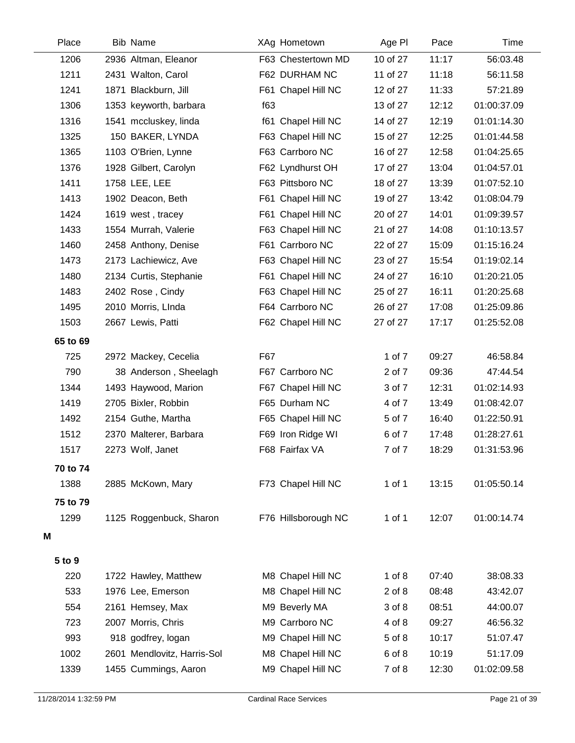| Place    | <b>Bib Name</b>             |     | XAg Hometown        | Age PI     | Pace  | Time        |
|----------|-----------------------------|-----|---------------------|------------|-------|-------------|
| 1206     | 2936 Altman, Eleanor        |     | F63 Chestertown MD  | 10 of 27   | 11:17 | 56:03.48    |
| 1211     | 2431 Walton, Carol          |     | F62 DURHAM NC       | 11 of 27   | 11:18 | 56:11.58    |
| 1241     | 1871 Blackburn, Jill        |     | F61 Chapel Hill NC  | 12 of 27   | 11:33 | 57:21.89    |
| 1306     | 1353 keyworth, barbara      | f63 |                     | 13 of 27   | 12:12 | 01:00:37.09 |
| 1316     | 1541 mccluskey, linda       |     | f61 Chapel Hill NC  | 14 of 27   | 12:19 | 01:01:14.30 |
| 1325     | 150 BAKER, LYNDA            |     | F63 Chapel Hill NC  | 15 of 27   | 12:25 | 01:01:44.58 |
| 1365     | 1103 O'Brien, Lynne         |     | F63 Carrboro NC     | 16 of 27   | 12:58 | 01:04:25.65 |
| 1376     | 1928 Gilbert, Carolyn       |     | F62 Lyndhurst OH    | 17 of 27   | 13:04 | 01:04:57.01 |
| 1411     | 1758 LEE, LEE               |     | F63 Pittsboro NC    | 18 of 27   | 13:39 | 01:07:52.10 |
| 1413     | 1902 Deacon, Beth           |     | F61 Chapel Hill NC  | 19 of 27   | 13:42 | 01:08:04.79 |
| 1424     | 1619 west, tracey           |     | F61 Chapel Hill NC  | 20 of 27   | 14:01 | 01:09:39.57 |
| 1433     | 1554 Murrah, Valerie        |     | F63 Chapel Hill NC  | 21 of 27   | 14:08 | 01:10:13.57 |
| 1460     | 2458 Anthony, Denise        |     | F61 Carrboro NC     | 22 of 27   | 15:09 | 01:15:16.24 |
| 1473     | 2173 Lachiewicz, Ave        |     | F63 Chapel Hill NC  | 23 of 27   | 15:54 | 01:19:02.14 |
| 1480     | 2134 Curtis, Stephanie      |     | F61 Chapel Hill NC  | 24 of 27   | 16:10 | 01:20:21.05 |
| 1483     | 2402 Rose, Cindy            |     | F63 Chapel Hill NC  | 25 of 27   | 16:11 | 01:20:25.68 |
| 1495     | 2010 Morris, LInda          |     | F64 Carrboro NC     | 26 of 27   | 17:08 | 01:25:09.86 |
| 1503     | 2667 Lewis, Patti           |     | F62 Chapel Hill NC  | 27 of 27   | 17:17 | 01:25:52.08 |
| 65 to 69 |                             |     |                     |            |       |             |
| 725      | 2972 Mackey, Cecelia        | F67 |                     | 1 of 7     | 09:27 | 46:58.84    |
| 790      | 38 Anderson, Sheelagh       |     | F67 Carrboro NC     | 2 of 7     | 09:36 | 47:44.54    |
| 1344     | 1493 Haywood, Marion        |     | F67 Chapel Hill NC  | 3 of 7     | 12:31 | 01:02:14.93 |
| 1419     | 2705 Bixler, Robbin         |     | F65 Durham NC       | 4 of 7     | 13:49 | 01:08:42.07 |
| 1492     | 2154 Guthe, Martha          |     | F65 Chapel Hill NC  | 5 of 7     | 16:40 | 01:22:50.91 |
| 1512     | 2370 Malterer, Barbara      |     | F69 Iron Ridge WI   | 6 of 7     | 17:48 | 01:28:27.61 |
| 1517     | 2273 Wolf, Janet            |     | F68 Fairfax VA      | 7 of 7     | 18:29 | 01:31:53.96 |
| 70 to 74 |                             |     |                     |            |       |             |
| 1388     | 2885 McKown, Mary           |     | F73 Chapel Hill NC  | 1 of 1     | 13:15 | 01:05:50.14 |
| 75 to 79 |                             |     |                     |            |       |             |
| 1299     | 1125 Roggenbuck, Sharon     |     | F76 Hillsborough NC | 1 of 1     | 12:07 | 01:00:14.74 |
| M        |                             |     |                     |            |       |             |
| 5 to 9   |                             |     |                     |            |       |             |
| 220      | 1722 Hawley, Matthew        |     | M8 Chapel Hill NC   | $1$ of $8$ | 07:40 | 38:08.33    |
| 533      | 1976 Lee, Emerson           |     | M8 Chapel Hill NC   | $2$ of $8$ | 08:48 | 43:42.07    |
| 554      | 2161 Hemsey, Max            |     | M9 Beverly MA       | 3 of 8     | 08:51 | 44:00.07    |
| 723      | 2007 Morris, Chris          |     | M9 Carrboro NC      | 4 of 8     | 09:27 | 46:56.32    |
| 993      | 918 godfrey, logan          |     | M9 Chapel Hill NC   | 5 of 8     | 10:17 | 51:07.47    |
| 1002     | 2601 Mendlovitz, Harris-Sol |     | M8 Chapel Hill NC   | 6 of 8     | 10:19 | 51:17.09    |
| 1339     | 1455 Cummings, Aaron        |     | M9 Chapel Hill NC   | 7 of 8     | 12:30 | 01:02:09.58 |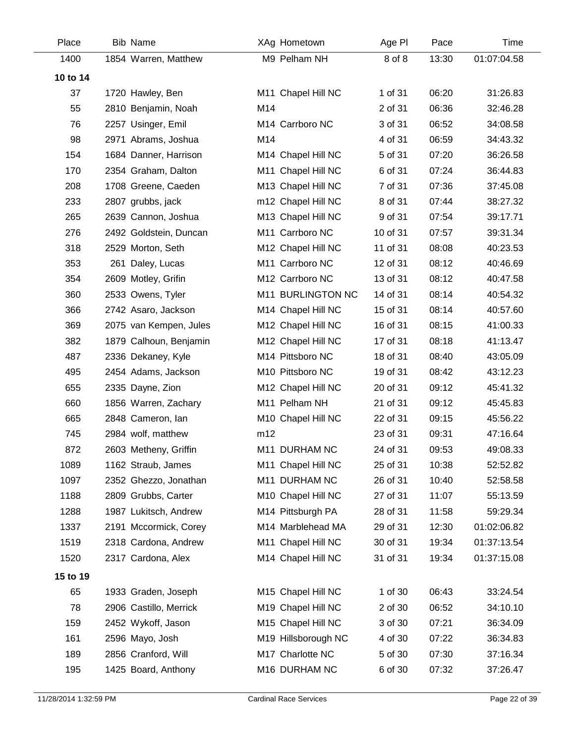| Place    | <b>Bib Name</b>        |     | XAg Hometown        | Age PI   | Pace  | Time        |
|----------|------------------------|-----|---------------------|----------|-------|-------------|
| 1400     | 1854 Warren, Matthew   |     | M9 Pelham NH        | 8 of 8   | 13:30 | 01:07:04.58 |
| 10 to 14 |                        |     |                     |          |       |             |
| 37       | 1720 Hawley, Ben       |     | M11 Chapel Hill NC  | 1 of 31  | 06:20 | 31:26.83    |
| 55       | 2810 Benjamin, Noah    | M14 |                     | 2 of 31  | 06:36 | 32:46.28    |
| 76       | 2257 Usinger, Emil     |     | M14 Carrboro NC     | 3 of 31  | 06:52 | 34:08.58    |
| 98       | 2971 Abrams, Joshua    | M14 |                     | 4 of 31  | 06:59 | 34:43.32    |
| 154      | 1684 Danner, Harrison  |     | M14 Chapel Hill NC  | 5 of 31  | 07:20 | 36:26.58    |
| 170      | 2354 Graham, Dalton    |     | M11 Chapel Hill NC  | 6 of 31  | 07:24 | 36:44.83    |
| 208      | 1708 Greene, Caeden    |     | M13 Chapel Hill NC  | 7 of 31  | 07:36 | 37:45.08    |
| 233      | 2807 grubbs, jack      |     | m12 Chapel Hill NC  | 8 of 31  | 07:44 | 38:27.32    |
| 265      | 2639 Cannon, Joshua    |     | M13 Chapel Hill NC  | 9 of 31  | 07:54 | 39:17.71    |
| 276      | 2492 Goldstein, Duncan |     | M11 Carrboro NC     | 10 of 31 | 07:57 | 39:31.34    |
| 318      | 2529 Morton, Seth      |     | M12 Chapel Hill NC  | 11 of 31 | 08:08 | 40:23.53    |
| 353      | 261 Daley, Lucas       |     | M11 Carrboro NC     | 12 of 31 | 08:12 | 40:46.69    |
| 354      | 2609 Motley, Grifin    |     | M12 Carrboro NC     | 13 of 31 | 08:12 | 40:47.58    |
| 360      | 2533 Owens, Tyler      |     | M11 BURLINGTON NC   | 14 of 31 | 08:14 | 40:54.32    |
| 366      | 2742 Asaro, Jackson    |     | M14 Chapel Hill NC  | 15 of 31 | 08:14 | 40:57.60    |
| 369      | 2075 van Kempen, Jules |     | M12 Chapel Hill NC  | 16 of 31 | 08:15 | 41:00.33    |
| 382      | 1879 Calhoun, Benjamin |     | M12 Chapel Hill NC  | 17 of 31 | 08:18 | 41:13.47    |
| 487      | 2336 Dekaney, Kyle     |     | M14 Pittsboro NC    | 18 of 31 | 08:40 | 43:05.09    |
| 495      | 2454 Adams, Jackson    |     | M10 Pittsboro NC    | 19 of 31 | 08:42 | 43:12.23    |
| 655      | 2335 Dayne, Zion       |     | M12 Chapel Hill NC  | 20 of 31 | 09:12 | 45:41.32    |
| 660      | 1856 Warren, Zachary   |     | M11 Pelham NH       | 21 of 31 | 09:12 | 45:45.83    |
| 665      | 2848 Cameron, lan      |     | M10 Chapel Hill NC  | 22 of 31 | 09:15 | 45:56.22    |
| 745      | 2984 wolf, matthew     | m12 |                     | 23 of 31 | 09:31 | 47:16.64    |
| 872      | 2603 Metheny, Griffin  |     | M11 DURHAM NC       | 24 of 31 | 09:53 | 49:08.33    |
| 1089     | 1162 Straub, James     |     | M11 Chapel Hill NC  | 25 of 31 | 10:38 | 52:52.82    |
| 1097     | 2352 Ghezzo, Jonathan  |     | M11 DURHAM NC       | 26 of 31 | 10:40 | 52:58.58    |
| 1188     | 2809 Grubbs, Carter    |     | M10 Chapel Hill NC  | 27 of 31 | 11:07 | 55:13.59    |
| 1288     | 1987 Lukitsch, Andrew  |     | M14 Pittsburgh PA   | 28 of 31 | 11:58 | 59:29.34    |
| 1337     | 2191 Mccormick, Corey  |     | M14 Marblehead MA   | 29 of 31 | 12:30 | 01:02:06.82 |
| 1519     | 2318 Cardona, Andrew   |     | M11 Chapel Hill NC  | 30 of 31 | 19:34 | 01:37:13.54 |
| 1520     | 2317 Cardona, Alex     |     | M14 Chapel Hill NC  | 31 of 31 | 19:34 | 01:37:15.08 |
| 15 to 19 |                        |     |                     |          |       |             |
| 65       | 1933 Graden, Joseph    |     | M15 Chapel Hill NC  | 1 of 30  | 06:43 | 33:24.54    |
| 78       | 2906 Castillo, Merrick |     | M19 Chapel Hill NC  | 2 of 30  | 06:52 | 34:10.10    |
| 159      | 2452 Wykoff, Jason     |     | M15 Chapel Hill NC  | 3 of 30  | 07:21 | 36:34.09    |
| 161      | 2596 Mayo, Josh        |     | M19 Hillsborough NC | 4 of 30  | 07:22 | 36:34.83    |
| 189      | 2856 Cranford, Will    |     | M17 Charlotte NC    | 5 of 30  | 07:30 | 37:16.34    |
| 195      | 1425 Board, Anthony    |     | M16 DURHAM NC       | 6 of 30  | 07:32 | 37:26.47    |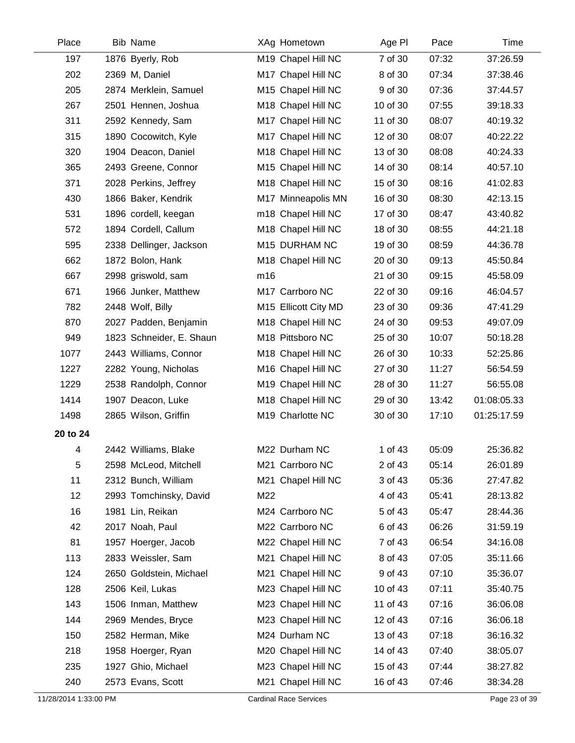| Place    | <b>Bib Name</b>          |     | XAg Hometown         | Age PI   | Pace  | Time        |
|----------|--------------------------|-----|----------------------|----------|-------|-------------|
| 197      | 1876 Byerly, Rob         |     | M19 Chapel Hill NC   | 7 of 30  | 07:32 | 37:26.59    |
| 202      | 2369 M, Daniel           |     | M17 Chapel Hill NC   | 8 of 30  | 07:34 | 37:38.46    |
| 205      | 2874 Merklein, Samuel    |     | M15 Chapel Hill NC   | 9 of 30  | 07:36 | 37:44.57    |
| 267      | 2501 Hennen, Joshua      |     | M18 Chapel Hill NC   | 10 of 30 | 07:55 | 39:18.33    |
| 311      | 2592 Kennedy, Sam        |     | M17 Chapel Hill NC   | 11 of 30 | 08:07 | 40:19.32    |
| 315      | 1890 Cocowitch, Kyle     |     | M17 Chapel Hill NC   | 12 of 30 | 08:07 | 40:22.22    |
| 320      | 1904 Deacon, Daniel      |     | M18 Chapel Hill NC   | 13 of 30 | 08:08 | 40:24.33    |
| 365      | 2493 Greene, Connor      |     | M15 Chapel Hill NC   | 14 of 30 | 08:14 | 40:57.10    |
| 371      | 2028 Perkins, Jeffrey    |     | M18 Chapel Hill NC   | 15 of 30 | 08:16 | 41:02.83    |
| 430      | 1866 Baker, Kendrik      |     | M17 Minneapolis MN   | 16 of 30 | 08:30 | 42:13.15    |
| 531      | 1896 cordell, keegan     |     | m18 Chapel Hill NC   | 17 of 30 | 08:47 | 43:40.82    |
| 572      | 1894 Cordell, Callum     |     | M18 Chapel Hill NC   | 18 of 30 | 08:55 | 44:21.18    |
| 595      | 2338 Dellinger, Jackson  |     | M15 DURHAM NC        | 19 of 30 | 08:59 | 44:36.78    |
| 662      | 1872 Bolon, Hank         |     | M18 Chapel Hill NC   | 20 of 30 | 09:13 | 45:50.84    |
| 667      | 2998 griswold, sam       | m16 |                      | 21 of 30 | 09:15 | 45:58.09    |
| 671      | 1966 Junker, Matthew     |     | M17 Carrboro NC      | 22 of 30 | 09:16 | 46:04.57    |
| 782      | 2448 Wolf, Billy         |     | M15 Ellicott City MD | 23 of 30 | 09:36 | 47:41.29    |
| 870      | 2027 Padden, Benjamin    |     | M18 Chapel Hill NC   | 24 of 30 | 09:53 | 49:07.09    |
| 949      | 1823 Schneider, E. Shaun |     | M18 Pittsboro NC     | 25 of 30 | 10:07 | 50:18.28    |
| 1077     | 2443 Williams, Connor    |     | M18 Chapel Hill NC   | 26 of 30 | 10:33 | 52:25.86    |
| 1227     | 2282 Young, Nicholas     |     | M16 Chapel Hill NC   | 27 of 30 | 11:27 | 56:54.59    |
| 1229     | 2538 Randolph, Connor    |     | M19 Chapel Hill NC   | 28 of 30 | 11:27 | 56:55.08    |
| 1414     | 1907 Deacon, Luke        |     | M18 Chapel Hill NC   | 29 of 30 | 13:42 | 01:08:05.33 |
| 1498     | 2865 Wilson, Griffin     |     | M19 Charlotte NC     | 30 of 30 | 17:10 | 01:25:17.59 |
| 20 to 24 |                          |     |                      |          |       |             |
| 4        | 2442 Williams, Blake     |     | M22 Durham NC        | 1 of 43  | 05:09 | 25:36.82    |
| 5        | 2598 McLeod, Mitchell    |     | M21 Carrboro NC      | 2 of 43  | 05:14 | 26:01.89    |
| 11       | 2312 Bunch, William      |     | M21 Chapel Hill NC   | 3 of 43  | 05:36 | 27:47.82    |
| 12       | 2993 Tomchinsky, David   | M22 |                      | 4 of 43  | 05:41 | 28:13.82    |
| 16       | 1981 Lin, Reikan         |     | M24 Carrboro NC      | 5 of 43  | 05:47 | 28:44.36    |
| 42       | 2017 Noah, Paul          |     | M22 Carrboro NC      | 6 of 43  | 06:26 | 31:59.19    |
| 81       | 1957 Hoerger, Jacob      |     | M22 Chapel Hill NC   | 7 of 43  | 06:54 | 34:16.08    |
| 113      | 2833 Weissler, Sam       |     | M21 Chapel Hill NC   | 8 of 43  | 07:05 | 35:11.66    |
| 124      | 2650 Goldstein, Michael  |     | M21 Chapel Hill NC   | 9 of 43  | 07:10 | 35:36.07    |
| 128      | 2506 Keil, Lukas         |     | M23 Chapel Hill NC   | 10 of 43 | 07:11 | 35:40.75    |
| 143      | 1506 Inman, Matthew      |     | M23 Chapel Hill NC   | 11 of 43 | 07:16 | 36:06.08    |
| 144      | 2969 Mendes, Bryce       |     | M23 Chapel Hill NC   | 12 of 43 | 07:16 | 36:06.18    |
| 150      | 2582 Herman, Mike        |     | M24 Durham NC        | 13 of 43 | 07:18 | 36:16.32    |
| 218      | 1958 Hoerger, Ryan       |     | M20 Chapel Hill NC   | 14 of 43 | 07:40 | 38:05.07    |
| 235      | 1927 Ghio, Michael       |     | M23 Chapel Hill NC   | 15 of 43 | 07:44 | 38:27.82    |
| 240      | 2573 Evans, Scott        |     | M21 Chapel Hill NC   | 16 of 43 | 07:46 | 38:34.28    |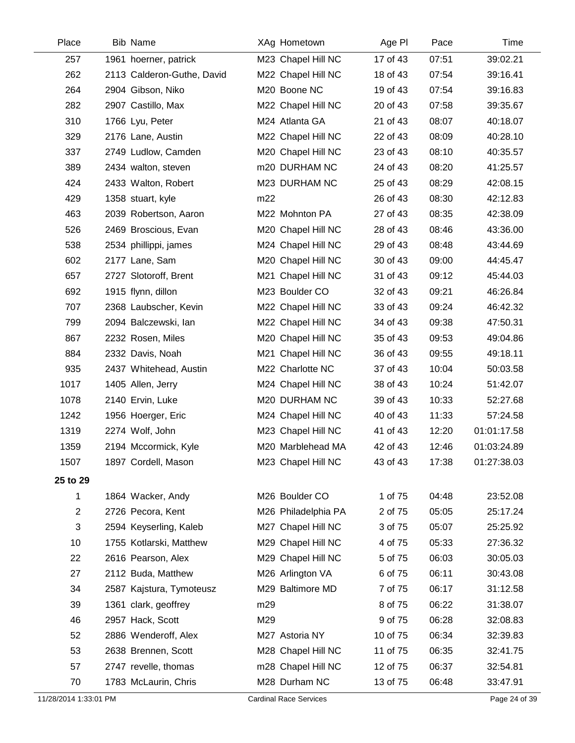| Place          | <b>Bib Name</b>            | XAg Hometown        | Age PI   | Pace  | Time        |
|----------------|----------------------------|---------------------|----------|-------|-------------|
| 257            | 1961 hoerner, patrick      | M23 Chapel Hill NC  | 17 of 43 | 07:51 | 39:02.21    |
| 262            | 2113 Calderon-Guthe, David | M22 Chapel Hill NC  | 18 of 43 | 07:54 | 39:16.41    |
| 264            | 2904 Gibson, Niko          | M20 Boone NC        | 19 of 43 | 07:54 | 39:16.83    |
| 282            | 2907 Castillo, Max         | M22 Chapel Hill NC  | 20 of 43 | 07:58 | 39:35.67    |
| 310            | 1766 Lyu, Peter            | M24 Atlanta GA      | 21 of 43 | 08:07 | 40:18.07    |
| 329            | 2176 Lane, Austin          | M22 Chapel Hill NC  | 22 of 43 | 08:09 | 40:28.10    |
| 337            | 2749 Ludlow, Camden        | M20 Chapel Hill NC  | 23 of 43 | 08:10 | 40:35.57    |
| 389            | 2434 walton, steven        | m20 DURHAM NC       | 24 of 43 | 08:20 | 41:25.57    |
| 424            | 2433 Walton, Robert        | M23 DURHAM NC       | 25 of 43 | 08:29 | 42:08.15    |
| 429            | 1358 stuart, kyle          | m22                 | 26 of 43 | 08:30 | 42:12.83    |
| 463            | 2039 Robertson, Aaron      | M22 Mohnton PA      | 27 of 43 | 08:35 | 42:38.09    |
| 526            | 2469 Broscious, Evan       | M20 Chapel Hill NC  | 28 of 43 | 08:46 | 43:36.00    |
| 538            | 2534 phillippi, james      | M24 Chapel Hill NC  | 29 of 43 | 08:48 | 43:44.69    |
| 602            | 2177 Lane, Sam             | M20 Chapel Hill NC  | 30 of 43 | 09:00 | 44:45.47    |
| 657            | 2727 Slotoroff, Brent      | M21 Chapel Hill NC  | 31 of 43 | 09:12 | 45:44.03    |
| 692            | 1915 flynn, dillon         | M23 Boulder CO      | 32 of 43 | 09:21 | 46:26.84    |
| 707            | 2368 Laubscher, Kevin      | M22 Chapel Hill NC  | 33 of 43 | 09:24 | 46:42.32    |
| 799            | 2094 Balczewski, lan       | M22 Chapel Hill NC  | 34 of 43 | 09:38 | 47:50.31    |
| 867            | 2232 Rosen, Miles          | M20 Chapel Hill NC  | 35 of 43 | 09:53 | 49:04.86    |
| 884            | 2332 Davis, Noah           | M21 Chapel Hill NC  | 36 of 43 | 09:55 | 49:18.11    |
| 935            | 2437 Whitehead, Austin     | M22 Charlotte NC    | 37 of 43 | 10:04 | 50:03.58    |
| 1017           | 1405 Allen, Jerry          | M24 Chapel Hill NC  | 38 of 43 | 10:24 | 51:42.07    |
| 1078           | 2140 Ervin, Luke           | M20 DURHAM NC       | 39 of 43 | 10:33 | 52:27.68    |
| 1242           | 1956 Hoerger, Eric         | M24 Chapel Hill NC  | 40 of 43 | 11:33 | 57:24.58    |
| 1319           | 2274 Wolf, John            | M23 Chapel Hill NC  | 41 of 43 | 12:20 | 01:01:17.58 |
| 1359           | 2194 Mccormick, Kyle       | M20 Marblehead MA   | 42 of 43 | 12:46 | 01:03:24.89 |
| 1507           | 1897 Cordell, Mason        | M23 Chapel Hill NC  | 43 of 43 | 17:38 | 01:27:38.03 |
| 25 to 29       |                            |                     |          |       |             |
| 1              | 1864 Wacker, Andy          | M26 Boulder CO      | 1 of 75  | 04:48 | 23:52.08    |
| $\overline{c}$ | 2726 Pecora, Kent          | M26 Philadelphia PA | 2 of 75  | 05:05 | 25:17.24    |
| 3              | 2594 Keyserling, Kaleb     | M27 Chapel Hill NC  | 3 of 75  | 05:07 | 25:25.92    |
| 10             | 1755 Kotlarski, Matthew    | M29 Chapel Hill NC  | 4 of 75  | 05:33 | 27:36.32    |
| 22             | 2616 Pearson, Alex         | M29 Chapel Hill NC  | 5 of 75  | 06:03 | 30:05.03    |
| 27             | 2112 Buda, Matthew         | M26 Arlington VA    | 6 of 75  | 06:11 | 30:43.08    |
| 34             | 2587 Kajstura, Tymoteusz   | M29 Baltimore MD    | 7 of 75  | 06:17 | 31:12.58    |
| 39             | 1361 clark, geoffrey       | m29                 | 8 of 75  | 06:22 | 31:38.07    |
| 46             | 2957 Hack, Scott           | M29                 | 9 of 75  | 06:28 | 32:08.83    |
| 52             | 2886 Wenderoff, Alex       | M27 Astoria NY      | 10 of 75 | 06:34 | 32:39.83    |
| 53             | 2638 Brennen, Scott        | M28 Chapel Hill NC  | 11 of 75 | 06:35 | 32:41.75    |
| 57             | 2747 revelle, thomas       | m28 Chapel Hill NC  | 12 of 75 | 06:37 | 32:54.81    |
| 70             | 1783 McLaurin, Chris       | M28 Durham NC       | 13 of 75 | 06:48 | 33:47.91    |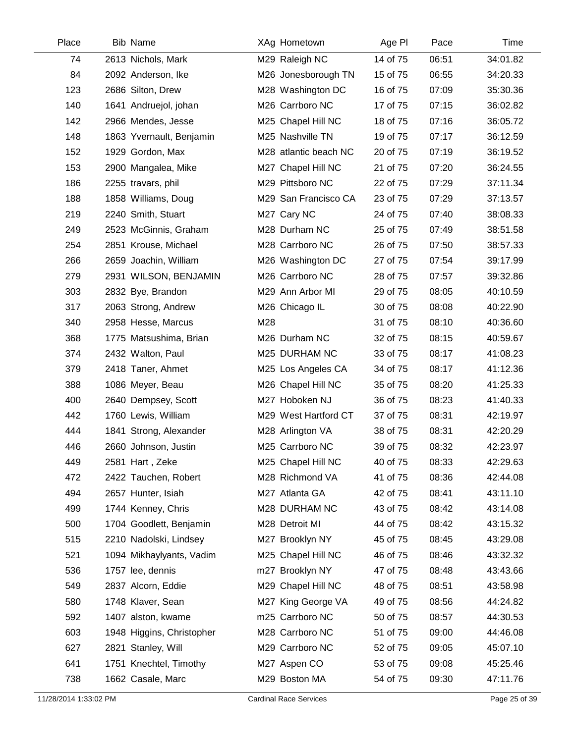| Place | <b>Bib Name</b>           | XAg Hometown          | Age PI   | Pace  | <b>Time</b> |
|-------|---------------------------|-----------------------|----------|-------|-------------|
| 74    | 2613 Nichols, Mark        | M29 Raleigh NC        | 14 of 75 | 06:51 | 34:01.82    |
| 84    | 2092 Anderson, Ike        | M26 Jonesborough TN   | 15 of 75 | 06:55 | 34:20.33    |
| 123   | 2686 Silton, Drew         | M28 Washington DC     | 16 of 75 | 07:09 | 35:30.36    |
| 140   | 1641 Andruejol, johan     | M26 Carrboro NC       | 17 of 75 | 07:15 | 36:02.82    |
| 142   | 2966 Mendes, Jesse        | M25 Chapel Hill NC    | 18 of 75 | 07:16 | 36:05.72    |
| 148   | 1863 Yvernault, Benjamin  | M25 Nashville TN      | 19 of 75 | 07:17 | 36:12.59    |
| 152   | 1929 Gordon, Max          | M28 atlantic beach NC | 20 of 75 | 07:19 | 36:19.52    |
| 153   | 2900 Mangalea, Mike       | M27 Chapel Hill NC    | 21 of 75 | 07:20 | 36:24.55    |
| 186   | 2255 travars, phil        | M29 Pittsboro NC      | 22 of 75 | 07:29 | 37:11.34    |
| 188   | 1858 Williams, Doug       | M29 San Francisco CA  | 23 of 75 | 07:29 | 37:13.57    |
| 219   | 2240 Smith, Stuart        | M27 Cary NC           | 24 of 75 | 07:40 | 38:08.33    |
| 249   | 2523 McGinnis, Graham     | M28 Durham NC         | 25 of 75 | 07:49 | 38:51.58    |
| 254   | 2851 Krouse, Michael      | M28 Carrboro NC       | 26 of 75 | 07:50 | 38:57.33    |
| 266   | 2659 Joachin, William     | M26 Washington DC     | 27 of 75 | 07:54 | 39:17.99    |
| 279   | 2931 WILSON, BENJAMIN     | M26 Carrboro NC       | 28 of 75 | 07:57 | 39:32.86    |
| 303   | 2832 Bye, Brandon         | M29 Ann Arbor MI      | 29 of 75 | 08:05 | 40:10.59    |
| 317   | 2063 Strong, Andrew       | M26 Chicago IL        | 30 of 75 | 08:08 | 40:22.90    |
| 340   | 2958 Hesse, Marcus        | M28                   | 31 of 75 | 08:10 | 40:36.60    |
| 368   | 1775 Matsushima, Brian    | M26 Durham NC         | 32 of 75 | 08:15 | 40:59.67    |
| 374   | 2432 Walton, Paul         | M25 DURHAM NC         | 33 of 75 | 08:17 | 41:08.23    |
| 379   | 2418 Taner, Ahmet         | M25 Los Angeles CA    | 34 of 75 | 08:17 | 41:12.36    |
| 388   | 1086 Meyer, Beau          | M26 Chapel Hill NC    | 35 of 75 | 08:20 | 41:25.33    |
| 400   | 2640 Dempsey, Scott       | M27 Hoboken NJ        | 36 of 75 | 08:23 | 41:40.33    |
| 442   | 1760 Lewis, William       | M29 West Hartford CT  | 37 of 75 | 08:31 | 42:19.97    |
| 444   | 1841 Strong, Alexander    | M28 Arlington VA      | 38 of 75 | 08:31 | 42:20.29    |
| 446   | 2660 Johnson, Justin      | M25 Carrboro NC       | 39 of 75 | 08:32 | 42:23.97    |
| 449   | 2581 Hart, Zeke           | M25 Chapel Hill NC    | 40 of 75 | 08:33 | 42:29.63    |
| 472   | 2422 Tauchen, Robert      | M28 Richmond VA       | 41 of 75 | 08:36 | 42:44.08    |
| 494   | 2657 Hunter, Isiah        | M27 Atlanta GA        | 42 of 75 | 08:41 | 43:11.10    |
| 499   | 1744 Kenney, Chris        | M28 DURHAM NC         | 43 of 75 | 08:42 | 43:14.08    |
| 500   | 1704 Goodlett, Benjamin   | M28 Detroit MI        | 44 of 75 | 08:42 | 43:15.32    |
| 515   | 2210 Nadolski, Lindsey    | M27 Brooklyn NY       | 45 of 75 | 08:45 | 43:29.08    |
| 521   | 1094 Mikhaylyants, Vadim  | M25 Chapel Hill NC    | 46 of 75 | 08:46 | 43:32.32    |
| 536   | 1757 lee, dennis          | m27 Brooklyn NY       | 47 of 75 | 08:48 | 43:43.66    |
| 549   | 2837 Alcorn, Eddie        | M29 Chapel Hill NC    | 48 of 75 | 08:51 | 43:58.98    |
| 580   | 1748 Klaver, Sean         | M27 King George VA    | 49 of 75 | 08:56 | 44:24.82    |
| 592   | 1407 alston, kwame        | m25 Carrboro NC       | 50 of 75 | 08:57 | 44:30.53    |
| 603   | 1948 Higgins, Christopher | M28 Carrboro NC       | 51 of 75 | 09:00 | 44:46.08    |
| 627   | 2821 Stanley, Will        | M29 Carrboro NC       | 52 of 75 | 09:05 | 45:07.10    |
| 641   | 1751 Knechtel, Timothy    | M27 Aspen CO          | 53 of 75 | 09:08 | 45:25.46    |
| 738   | 1662 Casale, Marc         | M29 Boston MA         | 54 of 75 | 09:30 | 47:11.76    |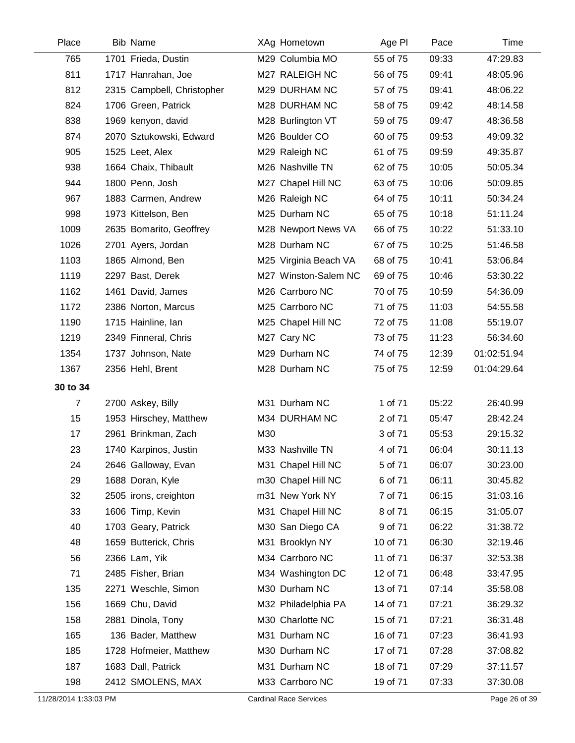| Place          | <b>Bib Name</b>            | XAg Hometown          | Age PI   | Pace  | Time        |
|----------------|----------------------------|-----------------------|----------|-------|-------------|
| 765            | 1701 Frieda, Dustin        | M29 Columbia MO       | 55 of 75 | 09:33 | 47:29.83    |
| 811            | 1717 Hanrahan, Joe         | M27 RALEIGH NC        | 56 of 75 | 09:41 | 48:05.96    |
| 812            | 2315 Campbell, Christopher | M29 DURHAM NC         | 57 of 75 | 09:41 | 48:06.22    |
| 824            | 1706 Green, Patrick        | M28 DURHAM NC         | 58 of 75 | 09:42 | 48:14.58    |
| 838            | 1969 kenyon, david         | M28 Burlington VT     | 59 of 75 | 09:47 | 48:36.58    |
| 874            | 2070 Sztukowski, Edward    | M26 Boulder CO        | 60 of 75 | 09:53 | 49:09.32    |
| 905            | 1525 Leet, Alex            | M29 Raleigh NC        | 61 of 75 | 09:59 | 49:35.87    |
| 938            | 1664 Chaix, Thibault       | M26 Nashville TN      | 62 of 75 | 10:05 | 50:05.34    |
| 944            | 1800 Penn, Josh            | M27 Chapel Hill NC    | 63 of 75 | 10:06 | 50:09.85    |
| 967            | 1883 Carmen, Andrew        | M26 Raleigh NC        | 64 of 75 | 10:11 | 50:34.24    |
| 998            | 1973 Kittelson, Ben        | M25 Durham NC         | 65 of 75 | 10:18 | 51:11.24    |
| 1009           | 2635 Bomarito, Geoffrey    | M28 Newport News VA   | 66 of 75 | 10:22 | 51:33.10    |
| 1026           | 2701 Ayers, Jordan         | M28 Durham NC         | 67 of 75 | 10:25 | 51:46.58    |
| 1103           | 1865 Almond, Ben           | M25 Virginia Beach VA | 68 of 75 | 10:41 | 53:06.84    |
| 1119           | 2297 Bast, Derek           | M27 Winston-Salem NC  | 69 of 75 | 10:46 | 53:30.22    |
| 1162           | 1461 David, James          | M26 Carrboro NC       | 70 of 75 | 10:59 | 54:36.09    |
| 1172           | 2386 Norton, Marcus        | M25 Carrboro NC       | 71 of 75 | 11:03 | 54:55.58    |
| 1190           | 1715 Hainline, Ian         | M25 Chapel Hill NC    | 72 of 75 | 11:08 | 55:19.07    |
| 1219           | 2349 Finneral, Chris       | M27 Cary NC           | 73 of 75 | 11:23 | 56:34.60    |
| 1354           | 1737 Johnson, Nate         | M29 Durham NC         | 74 of 75 | 12:39 | 01:02:51.94 |
| 1367           | 2356 Hehl, Brent           | M28 Durham NC         | 75 of 75 | 12:59 | 01:04:29.64 |
| 30 to 34       |                            |                       |          |       |             |
| $\overline{7}$ | 2700 Askey, Billy          | M31 Durham NC         | 1 of 71  | 05:22 | 26:40.99    |
| 15             | 1953 Hirschey, Matthew     | M34 DURHAM NC         | 2 of 71  | 05:47 | 28:42.24    |
| 17             | 2961 Brinkman, Zach        | M30                   | 3 of 71  | 05:53 | 29:15.32    |
| 23             | 1740 Karpinos, Justin      | M33 Nashville TN      | 4 of 71  | 06:04 | 30:11.13    |
| 24             | 2646 Galloway, Evan        | M31 Chapel Hill NC    | 5 of 71  | 06:07 | 30:23.00    |
| 29             | 1688 Doran, Kyle           | m30 Chapel Hill NC    | 6 of 71  | 06:11 | 30:45.82    |
| 32             | 2505 irons, creighton      | m31 New York NY       | 7 of 71  | 06:15 | 31:03.16    |
| 33             | 1606 Timp, Kevin           | M31 Chapel Hill NC    | 8 of 71  | 06:15 | 31:05.07    |
| 40             | 1703 Geary, Patrick        | M30 San Diego CA      | 9 of 71  | 06:22 | 31:38.72    |
| 48             | 1659 Butterick, Chris      | M31 Brooklyn NY       | 10 of 71 | 06:30 | 32:19.46    |
| 56             | 2366 Lam, Yik              | M34 Carrboro NC       | 11 of 71 | 06:37 | 32:53.38    |
| 71             | 2485 Fisher, Brian         | M34 Washington DC     | 12 of 71 | 06:48 | 33:47.95    |
| 135            | 2271 Weschle, Simon        | M30 Durham NC         | 13 of 71 | 07:14 | 35:58.08    |
| 156            | 1669 Chu, David            | M32 Philadelphia PA   | 14 of 71 | 07:21 | 36:29.32    |
| 158            | 2881 Dinola, Tony          | M30 Charlotte NC      | 15 of 71 | 07:21 | 36:31.48    |
| 165            | 136 Bader, Matthew         | M31 Durham NC         | 16 of 71 | 07:23 | 36:41.93    |
| 185            | 1728 Hofmeier, Matthew     | M30 Durham NC         | 17 of 71 | 07:28 | 37:08.82    |
| 187            | 1683 Dall, Patrick         | M31 Durham NC         | 18 of 71 | 07:29 | 37:11.57    |
| 198            | 2412 SMOLENS, MAX          | M33 Carrboro NC       | 19 of 71 | 07:33 | 37:30.08    |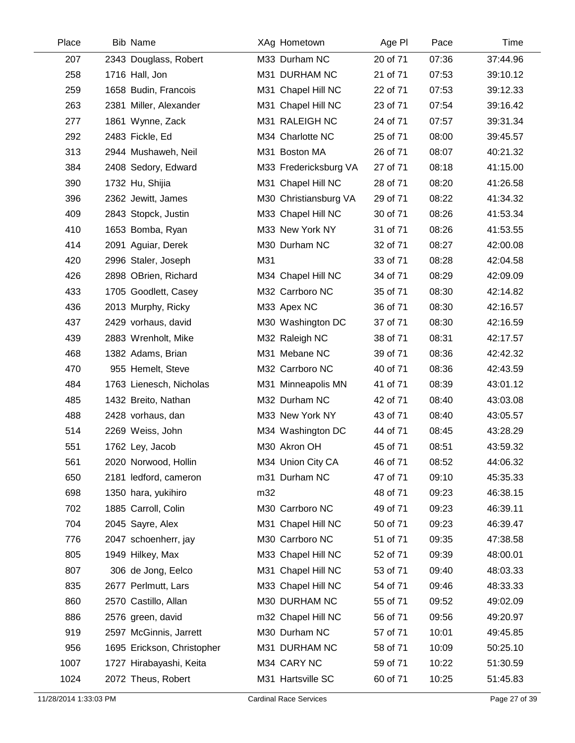| Place | <b>Bib Name</b>            | XAg Hometown          | Age PI   | Pace  | Time     |
|-------|----------------------------|-----------------------|----------|-------|----------|
| 207   | 2343 Douglass, Robert      | M33 Durham NC         | 20 of 71 | 07:36 | 37:44.96 |
| 258   | 1716 Hall, Jon             | M31 DURHAM NC         | 21 of 71 | 07:53 | 39:10.12 |
| 259   | 1658 Budin, Francois       | M31 Chapel Hill NC    | 22 of 71 | 07:53 | 39:12.33 |
| 263   | 2381 Miller, Alexander     | M31 Chapel Hill NC    | 23 of 71 | 07:54 | 39:16.42 |
| 277   | 1861 Wynne, Zack           | M31 RALEIGH NC        | 24 of 71 | 07:57 | 39:31.34 |
| 292   | 2483 Fickle, Ed            | M34 Charlotte NC      | 25 of 71 | 08:00 | 39:45.57 |
| 313   | 2944 Mushaweh, Neil        | M31 Boston MA         | 26 of 71 | 08:07 | 40:21.32 |
| 384   | 2408 Sedory, Edward        | M33 Fredericksburg VA | 27 of 71 | 08:18 | 41:15.00 |
| 390   | 1732 Hu, Shijia            | M31 Chapel Hill NC    | 28 of 71 | 08:20 | 41:26.58 |
| 396   | 2362 Jewitt, James         | M30 Christiansburg VA | 29 of 71 | 08:22 | 41:34.32 |
| 409   | 2843 Stopck, Justin        | M33 Chapel Hill NC    | 30 of 71 | 08:26 | 41:53.34 |
| 410   | 1653 Bomba, Ryan           | M33 New York NY       | 31 of 71 | 08:26 | 41:53.55 |
| 414   | 2091 Aguiar, Derek         | M30 Durham NC         | 32 of 71 | 08:27 | 42:00.08 |
| 420   | 2996 Staler, Joseph        | M31                   | 33 of 71 | 08:28 | 42:04.58 |
| 426   | 2898 OBrien, Richard       | M34 Chapel Hill NC    | 34 of 71 | 08:29 | 42:09.09 |
| 433   | 1705 Goodlett, Casey       | M32 Carrboro NC       | 35 of 71 | 08:30 | 42:14.82 |
| 436   | 2013 Murphy, Ricky         | M33 Apex NC           | 36 of 71 | 08:30 | 42:16.57 |
| 437   | 2429 vorhaus, david        | M30 Washington DC     | 37 of 71 | 08:30 | 42:16.59 |
| 439   | 2883 Wrenholt, Mike        | M32 Raleigh NC        | 38 of 71 | 08:31 | 42:17.57 |
| 468   | 1382 Adams, Brian          | M31 Mebane NC         | 39 of 71 | 08:36 | 42:42.32 |
| 470   | 955 Hemelt, Steve          | M32 Carrboro NC       | 40 of 71 | 08:36 | 42:43.59 |
| 484   | 1763 Lienesch, Nicholas    | M31 Minneapolis MN    | 41 of 71 | 08:39 | 43:01.12 |
| 485   | 1432 Breito, Nathan        | M32 Durham NC         | 42 of 71 | 08:40 | 43:03.08 |
| 488   | 2428 vorhaus, dan          | M33 New York NY       | 43 of 71 | 08:40 | 43:05.57 |
| 514   | 2269 Weiss, John           | M34 Washington DC     | 44 of 71 | 08:45 | 43:28.29 |
| 551   | 1762 Ley, Jacob            | M30 Akron OH          | 45 of 71 | 08:51 | 43:59.32 |
| 561   | 2020 Norwood, Hollin       | M34 Union City CA     | 46 of 71 | 08:52 | 44:06.32 |
| 650   | 2181 ledford, cameron      | m31 Durham NC         | 47 of 71 | 09:10 | 45:35.33 |
| 698   | 1350 hara, yukihiro        | m32                   | 48 of 71 | 09:23 | 46:38.15 |
| 702   | 1885 Carroll, Colin        | M30 Carrboro NC       | 49 of 71 | 09:23 | 46:39.11 |
| 704   | 2045 Sayre, Alex           | M31 Chapel Hill NC    | 50 of 71 | 09:23 | 46:39.47 |
| 776   | 2047 schoenherr, jay       | M30 Carrboro NC       | 51 of 71 | 09:35 | 47:38.58 |
| 805   | 1949 Hilkey, Max           | M33 Chapel Hill NC    | 52 of 71 | 09:39 | 48:00.01 |
| 807   | 306 de Jong, Eelco         | M31 Chapel Hill NC    | 53 of 71 | 09:40 | 48:03.33 |
| 835   | 2677 Perlmutt, Lars        | M33 Chapel Hill NC    | 54 of 71 | 09:46 | 48:33.33 |
| 860   | 2570 Castillo, Allan       | M30 DURHAM NC         | 55 of 71 | 09:52 | 49:02.09 |
| 886   | 2576 green, david          | m32 Chapel Hill NC    | 56 of 71 | 09:56 | 49:20.97 |
| 919   | 2597 McGinnis, Jarrett     | M30 Durham NC         | 57 of 71 | 10:01 | 49:45.85 |
| 956   | 1695 Erickson, Christopher | M31 DURHAM NC         | 58 of 71 | 10:09 | 50:25.10 |
| 1007  | 1727 Hirabayashi, Keita    | M34 CARY NC           | 59 of 71 | 10:22 | 51:30.59 |
| 1024  | 2072 Theus, Robert         | M31 Hartsville SC     | 60 of 71 | 10:25 | 51:45.83 |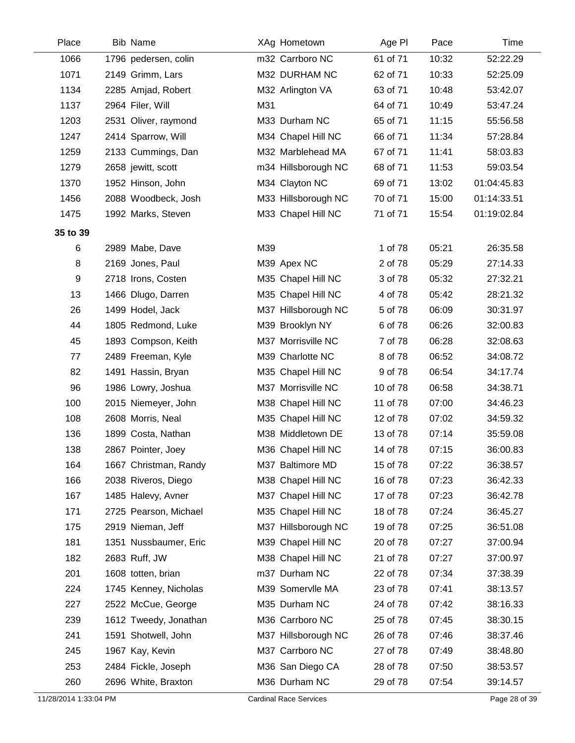| Place    | <b>Bib Name</b>       |     | XAg Hometown        | Age PI   | Pace  | Time        |
|----------|-----------------------|-----|---------------------|----------|-------|-------------|
| 1066     | 1796 pedersen, colin  |     | m32 Carrboro NC     | 61 of 71 | 10:32 | 52:22.29    |
| 1071     | 2149 Grimm, Lars      |     | M32 DURHAM NC       | 62 of 71 | 10:33 | 52:25.09    |
| 1134     | 2285 Amjad, Robert    |     | M32 Arlington VA    | 63 of 71 | 10:48 | 53:42.07    |
| 1137     | 2964 Filer, Will      | M31 |                     | 64 of 71 | 10:49 | 53:47.24    |
| 1203     | 2531 Oliver, raymond  |     | M33 Durham NC       | 65 of 71 | 11:15 | 55:56.58    |
| 1247     | 2414 Sparrow, Will    |     | M34 Chapel Hill NC  | 66 of 71 | 11:34 | 57:28.84    |
| 1259     | 2133 Cummings, Dan    |     | M32 Marblehead MA   | 67 of 71 | 11:41 | 58:03.83    |
| 1279     | 2658 jewitt, scott    |     | m34 Hillsborough NC | 68 of 71 | 11:53 | 59:03.54    |
| 1370     | 1952 Hinson, John     |     | M34 Clayton NC      | 69 of 71 | 13:02 | 01:04:45.83 |
| 1456     | 2088 Woodbeck, Josh   |     | M33 Hillsborough NC | 70 of 71 | 15:00 | 01:14:33.51 |
| 1475     | 1992 Marks, Steven    |     | M33 Chapel Hill NC  | 71 of 71 | 15:54 | 01:19:02.84 |
| 35 to 39 |                       |     |                     |          |       |             |
| 6        | 2989 Mabe, Dave       | M39 |                     | 1 of 78  | 05:21 | 26:35.58    |
| 8        | 2169 Jones, Paul      |     | M39 Apex NC         | 2 of 78  | 05:29 | 27:14.33    |
| 9        | 2718 Irons, Costen    |     | M35 Chapel Hill NC  | 3 of 78  | 05:32 | 27:32.21    |
| 13       | 1466 Dlugo, Darren    |     | M35 Chapel Hill NC  | 4 of 78  | 05:42 | 28:21.32    |
| 26       | 1499 Hodel, Jack      |     | M37 Hillsborough NC | 5 of 78  | 06:09 | 30:31.97    |
| 44       | 1805 Redmond, Luke    |     | M39 Brooklyn NY     | 6 of 78  | 06:26 | 32:00.83    |
| 45       | 1893 Compson, Keith   |     | M37 Morrisville NC  | 7 of 78  | 06:28 | 32:08.63    |
| 77       | 2489 Freeman, Kyle    |     | M39 Charlotte NC    | 8 of 78  | 06:52 | 34:08.72    |
| 82       | 1491 Hassin, Bryan    |     | M35 Chapel Hill NC  | 9 of 78  | 06:54 | 34:17.74    |
| 96       | 1986 Lowry, Joshua    |     | M37 Morrisville NC  | 10 of 78 | 06:58 | 34:38.71    |
| 100      | 2015 Niemeyer, John   |     | M38 Chapel Hill NC  | 11 of 78 | 07:00 | 34:46.23    |
| 108      | 2608 Morris, Neal     |     | M35 Chapel Hill NC  | 12 of 78 | 07:02 | 34:59.32    |
| 136      | 1899 Costa, Nathan    |     | M38 Middletown DE   | 13 of 78 | 07:14 | 35:59.08    |
| 138      | 2867 Pointer, Joey    |     | M36 Chapel Hill NC  | 14 of 78 | 07:15 | 36:00.83    |
| 164      | 1667 Christman, Randy |     | M37 Baltimore MD    | 15 of 78 | 07:22 | 36:38.57    |
| 166      | 2038 Riveros, Diego   |     | M38 Chapel Hill NC  | 16 of 78 | 07:23 | 36:42.33    |
| 167      | 1485 Halevy, Avner    |     | M37 Chapel Hill NC  | 17 of 78 | 07:23 | 36:42.78    |
| 171      | 2725 Pearson, Michael |     | M35 Chapel Hill NC  | 18 of 78 | 07:24 | 36:45.27    |
| 175      | 2919 Nieman, Jeff     |     | M37 Hillsborough NC | 19 of 78 | 07:25 | 36:51.08    |
| 181      | 1351 Nussbaumer, Eric |     | M39 Chapel Hill NC  | 20 of 78 | 07:27 | 37:00.94    |
| 182      | 2683 Ruff, JW         |     | M38 Chapel Hill NC  | 21 of 78 | 07:27 | 37:00.97    |
| 201      | 1608 totten, brian    |     | m37 Durham NC       | 22 of 78 | 07:34 | 37:38.39    |
| 224      | 1745 Kenney, Nicholas |     | M39 Somervile MA    | 23 of 78 | 07:41 | 38:13.57    |
| 227      | 2522 McCue, George    |     | M35 Durham NC       | 24 of 78 | 07:42 | 38:16.33    |
| 239      | 1612 Tweedy, Jonathan |     | M36 Carrboro NC     | 25 of 78 | 07:45 | 38:30.15    |
| 241      | 1591 Shotwell, John   |     | M37 Hillsborough NC | 26 of 78 | 07:46 | 38:37.46    |
| 245      | 1967 Kay, Kevin       |     | M37 Carrboro NC     | 27 of 78 | 07:49 | 38:48.80    |
| 253      | 2484 Fickle, Joseph   |     | M36 San Diego CA    | 28 of 78 | 07:50 | 38:53.57    |
| 260      | 2696 White, Braxton   |     | M36 Durham NC       | 29 of 78 | 07:54 | 39:14.57    |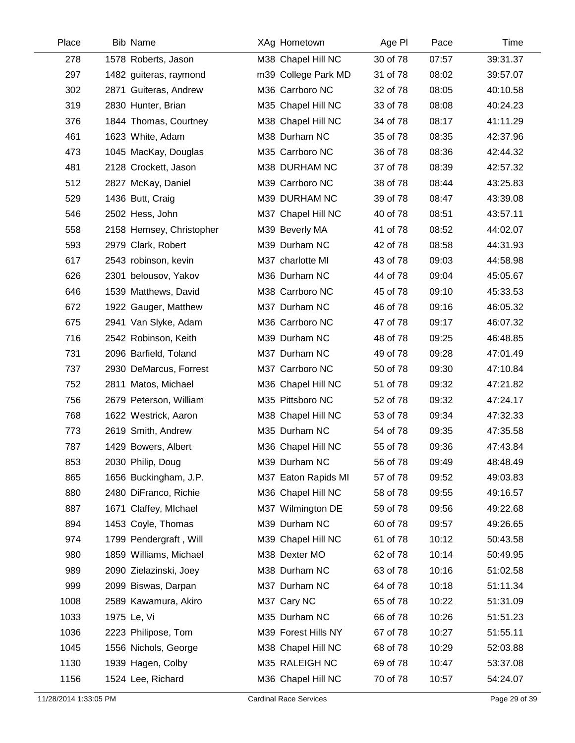| Place | <b>Bib Name</b>          | XAg Hometown        | Age PI   | Pace  | Time     |
|-------|--------------------------|---------------------|----------|-------|----------|
| 278   | 1578 Roberts, Jason      | M38 Chapel Hill NC  | 30 of 78 | 07:57 | 39:31.37 |
| 297   | 1482 guiteras, raymond   | m39 College Park MD | 31 of 78 | 08:02 | 39:57.07 |
| 302   | 2871 Guiteras, Andrew    | M36 Carrboro NC     | 32 of 78 | 08:05 | 40:10.58 |
| 319   | 2830 Hunter, Brian       | M35 Chapel Hill NC  | 33 of 78 | 08:08 | 40:24.23 |
| 376   | 1844 Thomas, Courtney    | M38 Chapel Hill NC  | 34 of 78 | 08:17 | 41:11.29 |
| 461   | 1623 White, Adam         | M38 Durham NC       | 35 of 78 | 08:35 | 42:37.96 |
| 473   | 1045 MacKay, Douglas     | M35 Carrboro NC     | 36 of 78 | 08:36 | 42:44.32 |
| 481   | 2128 Crockett, Jason     | M38 DURHAM NC       | 37 of 78 | 08:39 | 42:57.32 |
| 512   | 2827 McKay, Daniel       | M39 Carrboro NC     | 38 of 78 | 08:44 | 43:25.83 |
| 529   | 1436 Butt, Craig         | M39 DURHAM NC       | 39 of 78 | 08:47 | 43:39.08 |
| 546   | 2502 Hess, John          | M37 Chapel Hill NC  | 40 of 78 | 08:51 | 43:57.11 |
| 558   | 2158 Hemsey, Christopher | M39 Beverly MA      | 41 of 78 | 08:52 | 44:02.07 |
| 593   | 2979 Clark, Robert       | M39 Durham NC       | 42 of 78 | 08:58 | 44:31.93 |
| 617   | 2543 robinson, kevin     | M37 charlotte MI    | 43 of 78 | 09:03 | 44:58.98 |
| 626   | 2301 belousov, Yakov     | M36 Durham NC       | 44 of 78 | 09:04 | 45:05.67 |
| 646   | 1539 Matthews, David     | M38 Carrboro NC     | 45 of 78 | 09:10 | 45:33.53 |
| 672   | 1922 Gauger, Matthew     | M37 Durham NC       | 46 of 78 | 09:16 | 46:05.32 |
| 675   | 2941 Van Slyke, Adam     | M36 Carrboro NC     | 47 of 78 | 09:17 | 46:07.32 |
| 716   | 2542 Robinson, Keith     | M39 Durham NC       | 48 of 78 | 09:25 | 46:48.85 |
| 731   | 2096 Barfield, Toland    | M37 Durham NC       | 49 of 78 | 09:28 | 47:01.49 |
| 737   | 2930 DeMarcus, Forrest   | M37 Carrboro NC     | 50 of 78 | 09:30 | 47:10.84 |
| 752   | 2811 Matos, Michael      | M36 Chapel Hill NC  | 51 of 78 | 09:32 | 47:21.82 |
| 756   | 2679 Peterson, William   | M35 Pittsboro NC    | 52 of 78 | 09:32 | 47:24.17 |
| 768   | 1622 Westrick, Aaron     | M38 Chapel Hill NC  | 53 of 78 | 09:34 | 47:32.33 |
| 773   | 2619 Smith, Andrew       | M35 Durham NC       | 54 of 78 | 09:35 | 47:35.58 |
| 787   | 1429 Bowers, Albert      | M36 Chapel Hill NC  | 55 of 78 | 09:36 | 47:43.84 |
| 853   | 2030 Philip, Doug        | M39 Durham NC       | 56 of 78 | 09:49 | 48:48.49 |
| 865   | 1656 Buckingham, J.P.    | M37 Eaton Rapids MI | 57 of 78 | 09:52 | 49:03.83 |
| 880   | 2480 DiFranco, Richie    | M36 Chapel Hill NC  | 58 of 78 | 09:55 | 49:16.57 |
| 887   | 1671 Claffey, Michael    | M37 Wilmington DE   | 59 of 78 | 09:56 | 49:22.68 |
| 894   | 1453 Coyle, Thomas       | M39 Durham NC       | 60 of 78 | 09:57 | 49:26.65 |
| 974   | 1799 Pendergraft, Will   | M39 Chapel Hill NC  | 61 of 78 | 10:12 | 50:43.58 |
| 980   | 1859 Williams, Michael   | M38 Dexter MO       | 62 of 78 | 10:14 | 50:49.95 |
| 989   | 2090 Zielazinski, Joey   | M38 Durham NC       | 63 of 78 | 10:16 | 51:02.58 |
| 999   | 2099 Biswas, Darpan      | M37 Durham NC       | 64 of 78 | 10:18 | 51:11.34 |
| 1008  | 2589 Kawamura, Akiro     | M37 Cary NC         | 65 of 78 | 10:22 | 51:31.09 |
| 1033  | 1975 Le, Vi              | M35 Durham NC       | 66 of 78 | 10:26 | 51:51.23 |
| 1036  | 2223 Philipose, Tom      | M39 Forest Hills NY | 67 of 78 | 10:27 | 51:55.11 |
| 1045  | 1556 Nichols, George     | M38 Chapel Hill NC  | 68 of 78 | 10:29 | 52:03.88 |
| 1130  | 1939 Hagen, Colby        | M35 RALEIGH NC      | 69 of 78 | 10:47 | 53:37.08 |
| 1156  | 1524 Lee, Richard        | M36 Chapel Hill NC  | 70 of 78 | 10:57 | 54:24.07 |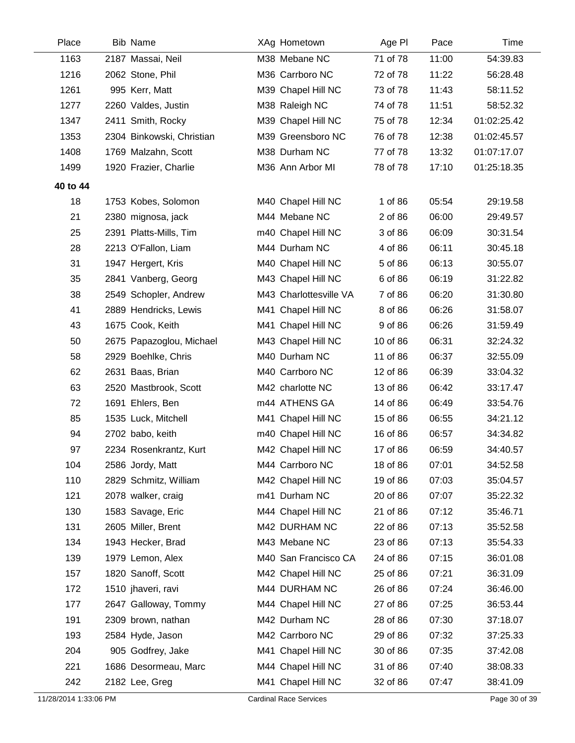| Place    | <b>Bib Name</b>           | XAg Hometown           | Age PI   | Pace  | Time        |  |
|----------|---------------------------|------------------------|----------|-------|-------------|--|
| 1163     | 2187 Massai, Neil         | M38 Mebane NC          | 71 of 78 | 11:00 | 54:39.83    |  |
| 1216     | 2062 Stone, Phil          | M36 Carrboro NC        | 72 of 78 | 11:22 | 56:28.48    |  |
| 1261     | 995 Kerr, Matt            | M39 Chapel Hill NC     | 73 of 78 | 11:43 | 58:11.52    |  |
| 1277     | 2260 Valdes, Justin       | M38 Raleigh NC         | 74 of 78 | 11:51 | 58:52.32    |  |
| 1347     | 2411 Smith, Rocky         | M39 Chapel Hill NC     | 75 of 78 | 12:34 | 01:02:25.42 |  |
| 1353     | 2304 Binkowski, Christian | M39 Greensboro NC      | 76 of 78 | 12:38 | 01:02:45.57 |  |
| 1408     | 1769 Malzahn, Scott       | M38 Durham NC          | 77 of 78 | 13:32 | 01:07:17.07 |  |
| 1499     | 1920 Frazier, Charlie     | M36 Ann Arbor MI       | 78 of 78 | 17:10 | 01:25:18.35 |  |
| 40 to 44 |                           |                        |          |       |             |  |
| 18       | 1753 Kobes, Solomon       | M40 Chapel Hill NC     | 1 of 86  | 05:54 | 29:19.58    |  |
| 21       | 2380 mignosa, jack        | M44 Mebane NC          | 2 of 86  | 06:00 | 29:49.57    |  |
| 25       | 2391 Platts-Mills, Tim    | m40 Chapel Hill NC     | 3 of 86  | 06:09 | 30:31.54    |  |
| 28       | 2213 O'Fallon, Liam       | M44 Durham NC          | 4 of 86  | 06:11 | 30:45.18    |  |
| 31       | 1947 Hergert, Kris        | M40 Chapel Hill NC     | 5 of 86  | 06:13 | 30:55.07    |  |
| 35       | 2841 Vanberg, Georg       | M43 Chapel Hill NC     | 6 of 86  | 06:19 | 31:22.82    |  |
| 38       | 2549 Schopler, Andrew     | M43 Charlottesville VA | 7 of 86  | 06:20 | 31:30.80    |  |
| 41       | 2889 Hendricks, Lewis     | M41 Chapel Hill NC     | 8 of 86  | 06:26 | 31:58.07    |  |
| 43       | 1675 Cook, Keith          | M41 Chapel Hill NC     | 9 of 86  | 06:26 | 31:59.49    |  |
| 50       | 2675 Papazoglou, Michael  | M43 Chapel Hill NC     | 10 of 86 | 06:31 | 32:24.32    |  |
| 58       | 2929 Boehlke, Chris       | M40 Durham NC          | 11 of 86 | 06:37 | 32:55.09    |  |
| 62       | 2631 Baas, Brian          | M40 Carrboro NC        | 12 of 86 | 06:39 | 33:04.32    |  |
| 63       | 2520 Mastbrook, Scott     | M42 charlotte NC       | 13 of 86 | 06:42 | 33:17.47    |  |
| 72       | 1691 Ehlers, Ben          | m44 ATHENS GA          | 14 of 86 | 06:49 | 33:54.76    |  |
| 85       | 1535 Luck, Mitchell       | M41 Chapel Hill NC     | 15 of 86 | 06:55 | 34:21.12    |  |
| 94       | 2702 babo, keith          | m40 Chapel Hill NC     | 16 of 86 | 06:57 | 34:34.82    |  |
| 97       | 2234 Rosenkrantz, Kurt    | M42 Chapel Hill NC     | 17 of 86 | 06:59 | 34:40.57    |  |
| 104      | 2586 Jordy, Matt          | M44 Carrboro NC        | 18 of 86 | 07:01 | 34:52.58    |  |
| 110      | 2829 Schmitz, William     | M42 Chapel Hill NC     | 19 of 86 | 07:03 | 35:04.57    |  |
| 121      | 2078 walker, craig        | m41 Durham NC          | 20 of 86 | 07:07 | 35:22.32    |  |
| 130      | 1583 Savage, Eric         | M44 Chapel Hill NC     | 21 of 86 | 07:12 | 35:46.71    |  |
| 131      | 2605 Miller, Brent        | M42 DURHAM NC          | 22 of 86 | 07:13 | 35:52.58    |  |
| 134      | 1943 Hecker, Brad         | M43 Mebane NC          | 23 of 86 | 07:13 | 35:54.33    |  |
| 139      | 1979 Lemon, Alex          | M40 San Francisco CA   | 24 of 86 | 07:15 | 36:01.08    |  |
| 157      | 1820 Sanoff, Scott        | M42 Chapel Hill NC     | 25 of 86 | 07:21 | 36:31.09    |  |
| 172      | 1510 jhaveri, ravi        | M44 DURHAM NC          | 26 of 86 | 07:24 | 36:46.00    |  |
| 177      | 2647 Galloway, Tommy      | M44 Chapel Hill NC     | 27 of 86 | 07:25 | 36:53.44    |  |
| 191      | 2309 brown, nathan        | M42 Durham NC          | 28 of 86 | 07:30 | 37:18.07    |  |
| 193      | 2584 Hyde, Jason          | M42 Carrboro NC        | 29 of 86 | 07:32 | 37:25.33    |  |
| 204      | 905 Godfrey, Jake         | M41 Chapel Hill NC     | 30 of 86 | 07:35 | 37:42.08    |  |
| 221      | 1686 Desormeau, Marc      | M44 Chapel Hill NC     | 31 of 86 | 07:40 | 38:08.33    |  |
| 242      | 2182 Lee, Greg            | M41 Chapel Hill NC     | 32 of 86 | 07:47 | 38:41.09    |  |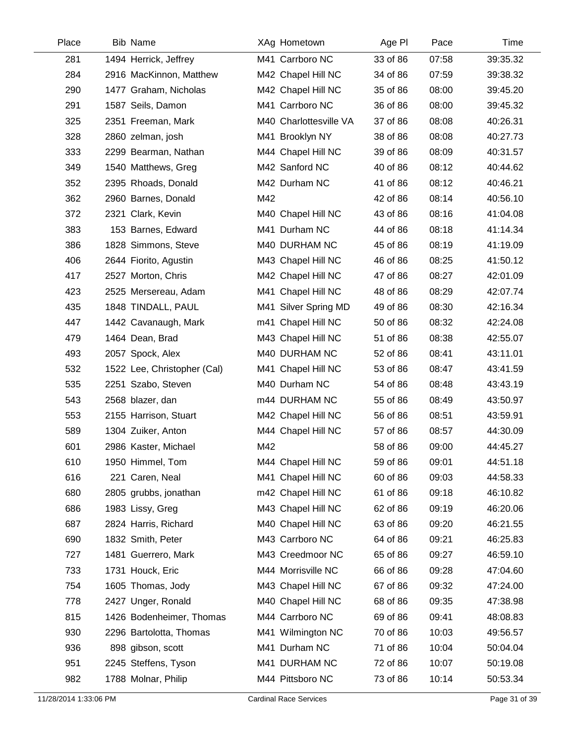| Place | <b>Bib Name</b>             |     | XAg Hometown           | Age PI   | Pace  | Time     |
|-------|-----------------------------|-----|------------------------|----------|-------|----------|
| 281   | 1494 Herrick, Jeffrey       |     | M41 Carrboro NC        | 33 of 86 | 07:58 | 39:35.32 |
| 284   | 2916 MacKinnon, Matthew     |     | M42 Chapel Hill NC     | 34 of 86 | 07:59 | 39:38.32 |
| 290   | 1477 Graham, Nicholas       |     | M42 Chapel Hill NC     | 35 of 86 | 08:00 | 39:45.20 |
| 291   | 1587 Seils, Damon           |     | M41 Carrboro NC        | 36 of 86 | 08:00 | 39:45.32 |
| 325   | 2351 Freeman, Mark          |     | M40 Charlottesville VA | 37 of 86 | 08:08 | 40:26.31 |
| 328   | 2860 zelman, josh           |     | M41 Brooklyn NY        | 38 of 86 | 08:08 | 40:27.73 |
| 333   | 2299 Bearman, Nathan        |     | M44 Chapel Hill NC     | 39 of 86 | 08:09 | 40:31.57 |
| 349   | 1540 Matthews, Greg         |     | M42 Sanford NC         | 40 of 86 | 08:12 | 40:44.62 |
| 352   | 2395 Rhoads, Donald         |     | M42 Durham NC          | 41 of 86 | 08:12 | 40:46.21 |
| 362   | 2960 Barnes, Donald         | M42 |                        | 42 of 86 | 08:14 | 40:56.10 |
| 372   | 2321 Clark, Kevin           |     | M40 Chapel Hill NC     | 43 of 86 | 08:16 | 41:04.08 |
| 383   | 153 Barnes, Edward          |     | M41 Durham NC          | 44 of 86 | 08:18 | 41:14.34 |
| 386   | 1828 Simmons, Steve         |     | M40 DURHAM NC          | 45 of 86 | 08:19 | 41:19.09 |
| 406   | 2644 Fiorito, Agustin       |     | M43 Chapel Hill NC     | 46 of 86 | 08:25 | 41:50.12 |
| 417   | 2527 Morton, Chris          |     | M42 Chapel Hill NC     | 47 of 86 | 08:27 | 42:01.09 |
| 423   | 2525 Mersereau, Adam        |     | M41 Chapel Hill NC     | 48 of 86 | 08:29 | 42:07.74 |
| 435   | 1848 TINDALL, PAUL          |     | M41 Silver Spring MD   | 49 of 86 | 08:30 | 42:16.34 |
| 447   | 1442 Cavanaugh, Mark        |     | m41 Chapel Hill NC     | 50 of 86 | 08:32 | 42:24.08 |
| 479   | 1464 Dean, Brad             |     | M43 Chapel Hill NC     | 51 of 86 | 08:38 | 42:55.07 |
| 493   | 2057 Spock, Alex            |     | M40 DURHAM NC          | 52 of 86 | 08:41 | 43:11.01 |
| 532   | 1522 Lee, Christopher (Cal) |     | M41 Chapel Hill NC     | 53 of 86 | 08:47 | 43:41.59 |
| 535   | 2251 Szabo, Steven          |     | M40 Durham NC          | 54 of 86 | 08:48 | 43:43.19 |
| 543   | 2568 blazer, dan            |     | m44 DURHAM NC          | 55 of 86 | 08:49 | 43:50.97 |
| 553   | 2155 Harrison, Stuart       |     | M42 Chapel Hill NC     | 56 of 86 | 08:51 | 43:59.91 |
| 589   | 1304 Zuiker, Anton          |     | M44 Chapel Hill NC     | 57 of 86 | 08:57 | 44:30.09 |
| 601   | 2986 Kaster, Michael        | M42 |                        | 58 of 86 | 09:00 | 44:45.27 |
| 610   | 1950 Himmel, Tom            |     | M44 Chapel Hill NC     | 59 of 86 | 09:01 | 44:51.18 |
| 616   | 221 Caren, Neal             |     | M41 Chapel Hill NC     | 60 of 86 | 09:03 | 44:58.33 |
| 680   | 2805 grubbs, jonathan       |     | m42 Chapel Hill NC     | 61 of 86 | 09:18 | 46:10.82 |
| 686   | 1983 Lissy, Greg            |     | M43 Chapel Hill NC     | 62 of 86 | 09:19 | 46:20.06 |
| 687   | 2824 Harris, Richard        |     | M40 Chapel Hill NC     | 63 of 86 | 09:20 | 46:21.55 |
| 690   | 1832 Smith, Peter           |     | M43 Carrboro NC        | 64 of 86 | 09:21 | 46:25.83 |
| 727   | 1481 Guerrero, Mark         |     | M43 Creedmoor NC       | 65 of 86 | 09:27 | 46:59.10 |
| 733   | 1731 Houck, Eric            |     | M44 Morrisville NC     | 66 of 86 | 09:28 | 47:04.60 |
| 754   | 1605 Thomas, Jody           |     | M43 Chapel Hill NC     | 67 of 86 | 09:32 | 47:24.00 |
| 778   | 2427 Unger, Ronald          |     | M40 Chapel Hill NC     | 68 of 86 | 09:35 | 47:38.98 |
| 815   | 1426 Bodenheimer, Thomas    |     | M44 Carrboro NC        | 69 of 86 | 09:41 | 48:08.83 |
| 930   | 2296 Bartolotta, Thomas     |     | M41 Wilmington NC      | 70 of 86 | 10:03 | 49:56.57 |
| 936   | 898 gibson, scott           |     | M41 Durham NC          | 71 of 86 | 10:04 | 50:04.04 |
| 951   | 2245 Steffens, Tyson        |     | M41 DURHAM NC          | 72 of 86 | 10:07 | 50:19.08 |
| 982   | 1788 Molnar, Philip         |     | M44 Pittsboro NC       | 73 of 86 | 10:14 | 50:53.34 |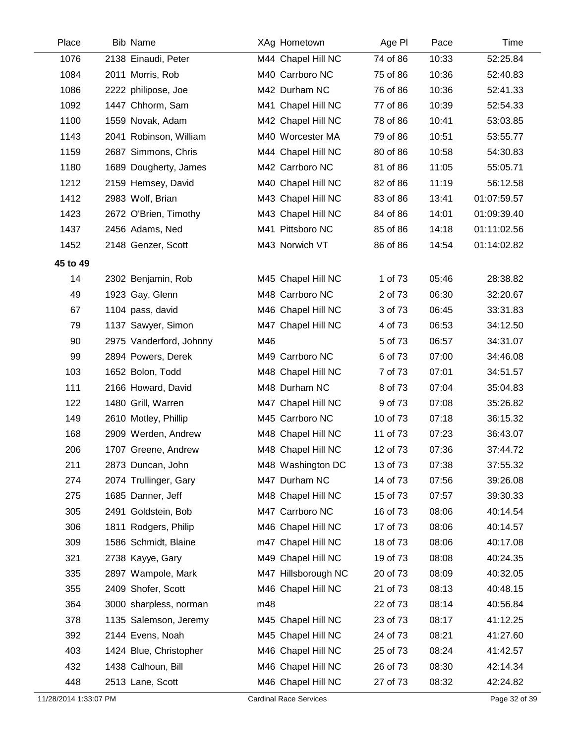| Place    | <b>Bib Name</b>         |     | XAg Hometown        | Age PI   | Pace  | Time        |
|----------|-------------------------|-----|---------------------|----------|-------|-------------|
| 1076     | 2138 Einaudi, Peter     |     | M44 Chapel Hill NC  | 74 of 86 | 10:33 | 52:25.84    |
| 1084     | 2011 Morris, Rob        |     | M40 Carrboro NC     | 75 of 86 | 10:36 | 52:40.83    |
| 1086     | 2222 philipose, Joe     |     | M42 Durham NC       | 76 of 86 | 10:36 | 52:41.33    |
| 1092     | 1447 Chhorm, Sam        |     | M41 Chapel Hill NC  | 77 of 86 | 10:39 | 52:54.33    |
| 1100     | 1559 Novak, Adam        |     | M42 Chapel Hill NC  | 78 of 86 | 10:41 | 53:03.85    |
| 1143     | 2041 Robinson, William  |     | M40 Worcester MA    | 79 of 86 | 10:51 | 53:55.77    |
| 1159     | 2687 Simmons, Chris     |     | M44 Chapel Hill NC  | 80 of 86 | 10:58 | 54:30.83    |
| 1180     | 1689 Dougherty, James   |     | M42 Carrboro NC     | 81 of 86 | 11:05 | 55:05.71    |
| 1212     | 2159 Hemsey, David      |     | M40 Chapel Hill NC  | 82 of 86 | 11:19 | 56:12.58    |
| 1412     | 2983 Wolf, Brian        |     | M43 Chapel Hill NC  | 83 of 86 | 13:41 | 01:07:59.57 |
| 1423     | 2672 O'Brien, Timothy   |     | M43 Chapel Hill NC  | 84 of 86 | 14:01 | 01:09:39.40 |
| 1437     | 2456 Adams, Ned         |     | M41 Pittsboro NC    | 85 of 86 | 14:18 | 01:11:02.56 |
| 1452     | 2148 Genzer, Scott      |     | M43 Norwich VT      | 86 of 86 | 14:54 | 01:14:02.82 |
| 45 to 49 |                         |     |                     |          |       |             |
| 14       | 2302 Benjamin, Rob      |     | M45 Chapel Hill NC  | 1 of 73  | 05:46 | 28:38.82    |
| 49       | 1923 Gay, Glenn         |     | M48 Carrboro NC     | 2 of 73  | 06:30 | 32:20.67    |
| 67       | 1104 pass, david        |     | M46 Chapel Hill NC  | 3 of 73  | 06:45 | 33:31.83    |
| 79       | 1137 Sawyer, Simon      |     | M47 Chapel Hill NC  | 4 of 73  | 06:53 | 34:12.50    |
| 90       | 2975 Vanderford, Johnny | M46 |                     | 5 of 73  | 06:57 | 34:31.07    |
| 99       | 2894 Powers, Derek      |     | M49 Carrboro NC     | 6 of 73  | 07:00 | 34:46.08    |
| 103      | 1652 Bolon, Todd        |     | M48 Chapel Hill NC  | 7 of 73  | 07:01 | 34:51.57    |
| 111      | 2166 Howard, David      |     | M48 Durham NC       | 8 of 73  | 07:04 | 35:04.83    |
| 122      | 1480 Grill, Warren      |     | M47 Chapel Hill NC  | 9 of 73  | 07:08 | 35:26.82    |
| 149      | 2610 Motley, Phillip    |     | M45 Carrboro NC     | 10 of 73 | 07:18 | 36:15.32    |
| 168      | 2909 Werden, Andrew     |     | M48 Chapel Hill NC  | 11 of 73 | 07:23 | 36:43.07    |
| 206      | 1707 Greene, Andrew     |     | M48 Chapel Hill NC  | 12 of 73 | 07:36 | 37:44.72    |
| 211      | 2873 Duncan, John       |     | M48 Washington DC   | 13 of 73 | 07:38 | 37:55.32    |
| 274      | 2074 Trullinger, Gary   |     | M47 Durham NC       | 14 of 73 | 07:56 | 39:26.08    |
| 275      | 1685 Danner, Jeff       |     | M48 Chapel Hill NC  | 15 of 73 | 07:57 | 39:30.33    |
| 305      | 2491 Goldstein, Bob     |     | M47 Carrboro NC     | 16 of 73 | 08:06 | 40:14.54    |
| 306      | 1811 Rodgers, Philip    |     | M46 Chapel Hill NC  | 17 of 73 | 08:06 | 40:14.57    |
| 309      | 1586 Schmidt, Blaine    |     | m47 Chapel Hill NC  | 18 of 73 | 08:06 | 40:17.08    |
| 321      | 2738 Kayye, Gary        |     | M49 Chapel Hill NC  | 19 of 73 | 08:08 | 40:24.35    |
| 335      | 2897 Wampole, Mark      |     | M47 Hillsborough NC | 20 of 73 | 08:09 | 40:32.05    |
| 355      | 2409 Shofer, Scott      |     | M46 Chapel Hill NC  | 21 of 73 | 08:13 | 40:48.15    |
| 364      | 3000 sharpless, norman  | m48 |                     | 22 of 73 | 08:14 | 40:56.84    |
| 378      | 1135 Salemson, Jeremy   |     | M45 Chapel Hill NC  | 23 of 73 | 08:17 | 41:12.25    |
| 392      | 2144 Evens, Noah        |     | M45 Chapel Hill NC  | 24 of 73 | 08:21 | 41:27.60    |
| 403      | 1424 Blue, Christopher  |     | M46 Chapel Hill NC  | 25 of 73 | 08:24 | 41:42.57    |
| 432      | 1438 Calhoun, Bill      |     | M46 Chapel Hill NC  | 26 of 73 | 08:30 | 42:14.34    |
| 448      | 2513 Lane, Scott        |     | M46 Chapel Hill NC  | 27 of 73 | 08:32 | 42:24.82    |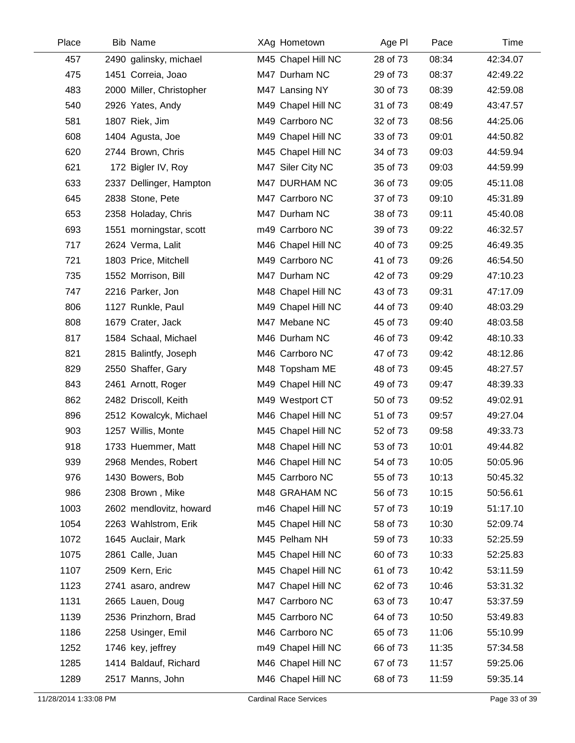| Place | <b>Bib Name</b>          | XAg Hometown       | Age PI   | Pace  | Time     |
|-------|--------------------------|--------------------|----------|-------|----------|
| 457   | 2490 galinsky, michael   | M45 Chapel Hill NC | 28 of 73 | 08:34 | 42:34.07 |
| 475   | 1451 Correia, Joao       | M47 Durham NC      | 29 of 73 | 08:37 | 42:49.22 |
| 483   | 2000 Miller, Christopher | M47 Lansing NY     | 30 of 73 | 08:39 | 42:59.08 |
| 540   | 2926 Yates, Andy         | M49 Chapel Hill NC | 31 of 73 | 08:49 | 43:47.57 |
| 581   | 1807 Riek, Jim           | M49 Carrboro NC    | 32 of 73 | 08:56 | 44:25.06 |
| 608   | 1404 Agusta, Joe         | M49 Chapel Hill NC | 33 of 73 | 09:01 | 44:50.82 |
| 620   | 2744 Brown, Chris        | M45 Chapel Hill NC | 34 of 73 | 09:03 | 44:59.94 |
| 621   | 172 Bigler IV, Roy       | M47 Siler City NC  | 35 of 73 | 09:03 | 44:59.99 |
| 633   | 2337 Dellinger, Hampton  | M47 DURHAM NC      | 36 of 73 | 09:05 | 45:11.08 |
| 645   | 2838 Stone, Pete         | M47 Carrboro NC    | 37 of 73 | 09:10 | 45:31.89 |
| 653   | 2358 Holaday, Chris      | M47 Durham NC      | 38 of 73 | 09:11 | 45:40.08 |
| 693   | 1551 morningstar, scott  | m49 Carrboro NC    | 39 of 73 | 09:22 | 46:32.57 |
| 717   | 2624 Verma, Lalit        | M46 Chapel Hill NC | 40 of 73 | 09:25 | 46:49.35 |
| 721   | 1803 Price, Mitchell     | M49 Carrboro NC    | 41 of 73 | 09:26 | 46:54.50 |
| 735   | 1552 Morrison, Bill      | M47 Durham NC      | 42 of 73 | 09:29 | 47:10.23 |
| 747   | 2216 Parker, Jon         | M48 Chapel Hill NC | 43 of 73 | 09:31 | 47:17.09 |
| 806   | 1127 Runkle, Paul        | M49 Chapel Hill NC | 44 of 73 | 09:40 | 48:03.29 |
| 808   | 1679 Crater, Jack        | M47 Mebane NC      | 45 of 73 | 09:40 | 48:03.58 |
| 817   | 1584 Schaal, Michael     | M46 Durham NC      | 46 of 73 | 09:42 | 48:10.33 |
| 821   | 2815 Balintfy, Joseph    | M46 Carrboro NC    | 47 of 73 | 09:42 | 48:12.86 |
| 829   | 2550 Shaffer, Gary       | M48 Topsham ME     | 48 of 73 | 09:45 | 48:27.57 |
| 843   | 2461 Arnott, Roger       | M49 Chapel Hill NC | 49 of 73 | 09:47 | 48:39.33 |
| 862   | 2482 Driscoll, Keith     | M49 Westport CT    | 50 of 73 | 09:52 | 49:02.91 |
| 896   | 2512 Kowalcyk, Michael   | M46 Chapel Hill NC | 51 of 73 | 09:57 | 49:27.04 |
| 903   | 1257 Willis, Monte       | M45 Chapel Hill NC | 52 of 73 | 09:58 | 49:33.73 |
| 918   | 1733 Huemmer, Matt       | M48 Chapel Hill NC | 53 of 73 | 10:01 | 49:44.82 |
| 939   | 2968 Mendes, Robert      | M46 Chapel Hill NC | 54 of 73 | 10:05 | 50:05.96 |
| 976   | 1430 Bowers, Bob         | M45 Carrboro NC    | 55 of 73 | 10:13 | 50:45.32 |
| 986   | 2308 Brown, Mike         | M48 GRAHAM NC      | 56 of 73 | 10:15 | 50:56.61 |
| 1003  | 2602 mendlovitz, howard  | m46 Chapel Hill NC | 57 of 73 | 10:19 | 51:17.10 |
| 1054  | 2263 Wahlstrom, Erik     | M45 Chapel Hill NC | 58 of 73 | 10:30 | 52:09.74 |
| 1072  | 1645 Auclair, Mark       | M45 Pelham NH      | 59 of 73 | 10:33 | 52:25.59 |
| 1075  | 2861 Calle, Juan         | M45 Chapel Hill NC | 60 of 73 | 10:33 | 52:25.83 |
| 1107  | 2509 Kern, Eric          | M45 Chapel Hill NC | 61 of 73 | 10:42 | 53:11.59 |
| 1123  | 2741 asaro, andrew       | M47 Chapel Hill NC | 62 of 73 | 10:46 | 53:31.32 |
| 1131  | 2665 Lauen, Doug         | M47 Carrboro NC    | 63 of 73 | 10:47 | 53:37.59 |
| 1139  | 2536 Prinzhorn, Brad     | M45 Carrboro NC    | 64 of 73 | 10:50 | 53:49.83 |
| 1186  | 2258 Usinger, Emil       | M46 Carrboro NC    | 65 of 73 | 11:06 | 55:10.99 |
| 1252  | 1746 key, jeffrey        | m49 Chapel Hill NC | 66 of 73 | 11:35 | 57:34.58 |
| 1285  | 1414 Baldauf, Richard    | M46 Chapel Hill NC | 67 of 73 | 11:57 | 59:25.06 |
| 1289  | 2517 Manns, John         | M46 Chapel Hill NC | 68 of 73 | 11:59 | 59:35.14 |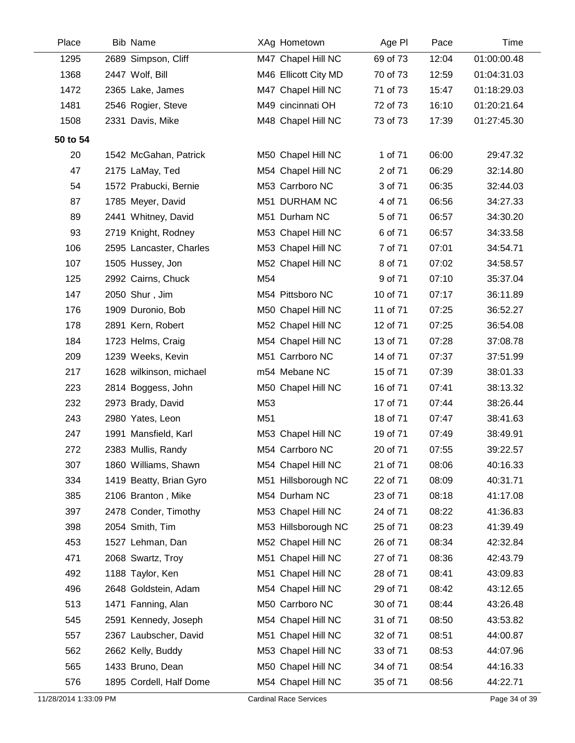| Place    | <b>Bib Name</b>         |     | XAg Hometown         | Age PI   | Pace  | Time        |
|----------|-------------------------|-----|----------------------|----------|-------|-------------|
| 1295     | 2689 Simpson, Cliff     |     | M47 Chapel Hill NC   | 69 of 73 | 12:04 | 01:00:00.48 |
| 1368     | 2447 Wolf, Bill         |     | M46 Ellicott City MD | 70 of 73 | 12:59 | 01:04:31.03 |
| 1472     | 2365 Lake, James        |     | M47 Chapel Hill NC   | 71 of 73 | 15:47 | 01:18:29.03 |
| 1481     | 2546 Rogier, Steve      |     | M49 cincinnati OH    | 72 of 73 | 16:10 | 01:20:21.64 |
| 1508     | 2331 Davis, Mike        |     | M48 Chapel Hill NC   | 73 of 73 | 17:39 | 01:27:45.30 |
| 50 to 54 |                         |     |                      |          |       |             |
| 20       | 1542 McGahan, Patrick   |     | M50 Chapel Hill NC   | 1 of 71  | 06:00 | 29:47.32    |
| 47       | 2175 LaMay, Ted         |     | M54 Chapel Hill NC   | 2 of 71  | 06:29 | 32:14.80    |
| 54       | 1572 Prabucki, Bernie   |     | M53 Carrboro NC      | 3 of 71  | 06:35 | 32:44.03    |
| 87       | 1785 Meyer, David       |     | M51 DURHAM NC        | 4 of 71  | 06:56 | 34:27.33    |
| 89       | 2441 Whitney, David     |     | M51 Durham NC        | 5 of 71  | 06:57 | 34:30.20    |
| 93       | 2719 Knight, Rodney     |     | M53 Chapel Hill NC   | 6 of 71  | 06:57 | 34:33.58    |
| 106      | 2595 Lancaster, Charles |     | M53 Chapel Hill NC   | 7 of 71  | 07:01 | 34:54.71    |
| 107      | 1505 Hussey, Jon        |     | M52 Chapel Hill NC   | 8 of 71  | 07:02 | 34:58.57    |
| 125      | 2992 Cairns, Chuck      | M54 |                      | 9 of 71  | 07:10 | 35:37.04    |
| 147      | 2050 Shur, Jim          |     | M54 Pittsboro NC     | 10 of 71 | 07:17 | 36:11.89    |
| 176      | 1909 Duronio, Bob       |     | M50 Chapel Hill NC   | 11 of 71 | 07:25 | 36:52.27    |
| 178      | 2891 Kern, Robert       |     | M52 Chapel Hill NC   | 12 of 71 | 07:25 | 36:54.08    |
| 184      | 1723 Helms, Craig       |     | M54 Chapel Hill NC   | 13 of 71 | 07:28 | 37:08.78    |
| 209      | 1239 Weeks, Kevin       |     | M51 Carrboro NC      | 14 of 71 | 07:37 | 37:51.99    |
| 217      | 1628 wilkinson, michael |     | m54 Mebane NC        | 15 of 71 | 07:39 | 38:01.33    |
| 223      | 2814 Boggess, John      |     | M50 Chapel Hill NC   | 16 of 71 | 07:41 | 38:13.32    |
| 232      | 2973 Brady, David       | M53 |                      | 17 of 71 | 07:44 | 38:26.44    |
| 243      | 2980 Yates, Leon        | M51 |                      | 18 of 71 | 07:47 | 38:41.63    |
| 247      | 1991 Mansfield, Karl    |     | M53 Chapel Hill NC   | 19 of 71 | 07:49 | 38:49.91    |
| 272      | 2383 Mullis, Randy      |     | M54 Carrboro NC      | 20 of 71 | 07:55 | 39:22.57    |
| 307      | 1860 Williams, Shawn    |     | M54 Chapel Hill NC   | 21 of 71 | 08:06 | 40:16.33    |
| 334      | 1419 Beatty, Brian Gyro |     | M51 Hillsborough NC  | 22 of 71 | 08:09 | 40:31.71    |
| 385      | 2106 Branton, Mike      |     | M54 Durham NC        | 23 of 71 | 08:18 | 41:17.08    |
| 397      | 2478 Conder, Timothy    |     | M53 Chapel Hill NC   | 24 of 71 | 08:22 | 41:36.83    |
| 398      | 2054 Smith, Tim         |     | M53 Hillsborough NC  | 25 of 71 | 08:23 | 41:39.49    |
| 453      | 1527 Lehman, Dan        |     | M52 Chapel Hill NC   | 26 of 71 | 08:34 | 42:32.84    |
| 471      | 2068 Swartz, Troy       |     | M51 Chapel Hill NC   | 27 of 71 | 08:36 | 42:43.79    |
| 492      | 1188 Taylor, Ken        |     | M51 Chapel Hill NC   | 28 of 71 | 08:41 | 43:09.83    |
| 496      | 2648 Goldstein, Adam    |     | M54 Chapel Hill NC   | 29 of 71 | 08:42 | 43:12.65    |
| 513      | 1471 Fanning, Alan      |     | M50 Carrboro NC      | 30 of 71 | 08:44 | 43:26.48    |
| 545      | 2591 Kennedy, Joseph    |     | M54 Chapel Hill NC   | 31 of 71 | 08:50 | 43:53.82    |
| 557      | 2367 Laubscher, David   |     | M51 Chapel Hill NC   | 32 of 71 | 08:51 | 44:00.87    |
| 562      | 2662 Kelly, Buddy       |     | M53 Chapel Hill NC   | 33 of 71 | 08:53 | 44:07.96    |
| 565      | 1433 Bruno, Dean        |     | M50 Chapel Hill NC   | 34 of 71 | 08:54 | 44:16.33    |
| 576      | 1895 Cordell, Half Dome |     | M54 Chapel Hill NC   | 35 of 71 | 08:56 | 44:22.71    |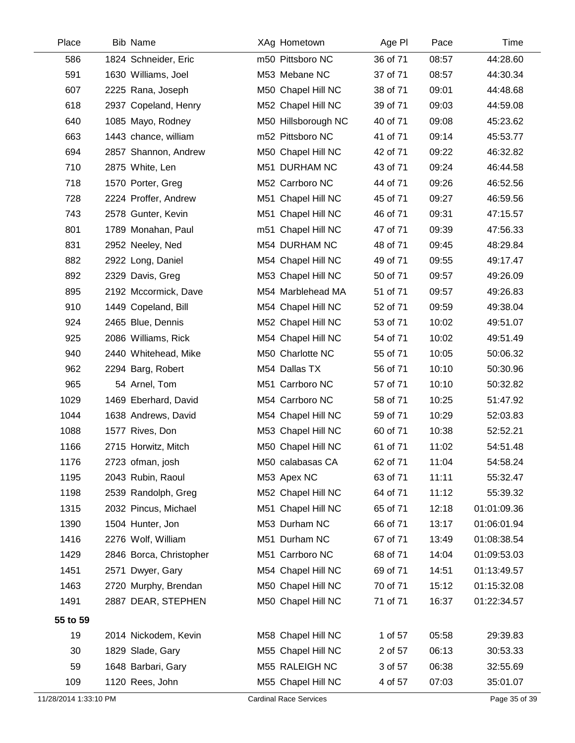| Place                 | Bib Name                | XAg Hometown                  | Age PI   | Pace  | Time          |
|-----------------------|-------------------------|-------------------------------|----------|-------|---------------|
| 586                   | 1824 Schneider, Eric    | m50 Pittsboro NC              | 36 of 71 | 08:57 | 44:28.60      |
| 591                   | 1630 Williams, Joel     | M53 Mebane NC                 | 37 of 71 | 08:57 | 44:30.34      |
| 607                   | 2225 Rana, Joseph       | M50 Chapel Hill NC            | 38 of 71 | 09:01 | 44:48.68      |
| 618                   | 2937 Copeland, Henry    | M52 Chapel Hill NC            | 39 of 71 | 09:03 | 44:59.08      |
| 640                   | 1085 Mayo, Rodney       | M50 Hillsborough NC           | 40 of 71 | 09:08 | 45:23.62      |
| 663                   | 1443 chance, william    | m52 Pittsboro NC              | 41 of 71 | 09:14 | 45:53.77      |
| 694                   | 2857 Shannon, Andrew    | M50 Chapel Hill NC            | 42 of 71 | 09:22 | 46:32.82      |
| 710                   | 2875 White, Len         | M51 DURHAM NC                 | 43 of 71 | 09:24 | 46:44.58      |
| 718                   | 1570 Porter, Greg       | M52 Carrboro NC               | 44 of 71 | 09:26 | 46:52.56      |
| 728                   | 2224 Proffer, Andrew    | M51 Chapel Hill NC            | 45 of 71 | 09:27 | 46:59.56      |
| 743                   | 2578 Gunter, Kevin      | M51 Chapel Hill NC            | 46 of 71 | 09:31 | 47:15.57      |
| 801                   | 1789 Monahan, Paul      | m51 Chapel Hill NC            | 47 of 71 | 09:39 | 47:56.33      |
| 831                   | 2952 Neeley, Ned        | M54 DURHAM NC                 | 48 of 71 | 09:45 | 48:29.84      |
| 882                   | 2922 Long, Daniel       | M54 Chapel Hill NC            | 49 of 71 | 09:55 | 49:17.47      |
| 892                   | 2329 Davis, Greg        | M53 Chapel Hill NC            | 50 of 71 | 09:57 | 49:26.09      |
| 895                   | 2192 Mccormick, Dave    | M54 Marblehead MA             | 51 of 71 | 09:57 | 49:26.83      |
| 910                   | 1449 Copeland, Bill     | M54 Chapel Hill NC            | 52 of 71 | 09:59 | 49:38.04      |
| 924                   | 2465 Blue, Dennis       | M52 Chapel Hill NC            | 53 of 71 | 10:02 | 49:51.07      |
| 925                   | 2086 Williams, Rick     | M54 Chapel Hill NC            | 54 of 71 | 10:02 | 49:51.49      |
| 940                   | 2440 Whitehead, Mike    | M50 Charlotte NC              | 55 of 71 | 10:05 | 50:06.32      |
| 962                   | 2294 Barg, Robert       | M54 Dallas TX                 | 56 of 71 | 10:10 | 50:30.96      |
| 965                   | 54 Arnel, Tom           | M51 Carrboro NC               | 57 of 71 | 10:10 | 50:32.82      |
| 1029                  | 1469 Eberhard, David    | M54 Carrboro NC               | 58 of 71 | 10:25 | 51:47.92      |
| 1044                  | 1638 Andrews, David     | M54 Chapel Hill NC            | 59 of 71 | 10:29 | 52:03.83      |
| 1088                  | 1577 Rives, Don         | M53 Chapel Hill NC            | 60 of 71 | 10:38 | 52:52.21      |
| 1166                  | 2715 Horwitz, Mitch     | M50 Chapel Hill NC            | 61 of 71 | 11:02 | 54:51.48      |
| 1176                  | 2723 ofman, josh        | M50 calabasas CA              | 62 of 71 | 11:04 | 54:58.24      |
| 1195                  | 2043 Rubin, Raoul       | M53 Apex NC                   | 63 of 71 | 11:11 | 55:32.47      |
| 1198                  | 2539 Randolph, Greg     | M52 Chapel Hill NC            | 64 of 71 | 11:12 | 55:39.32      |
| 1315                  | 2032 Pincus, Michael    | M51 Chapel Hill NC            | 65 of 71 | 12:18 | 01:01:09.36   |
| 1390                  | 1504 Hunter, Jon        | M53 Durham NC                 | 66 of 71 | 13:17 | 01:06:01.94   |
| 1416                  | 2276 Wolf, William      | M51 Durham NC                 | 67 of 71 | 13:49 | 01:08:38.54   |
| 1429                  | 2846 Borca, Christopher | M51 Carrboro NC               | 68 of 71 | 14:04 | 01:09:53.03   |
| 1451                  | 2571 Dwyer, Gary        | M54 Chapel Hill NC            | 69 of 71 | 14:51 | 01:13:49.57   |
| 1463                  | 2720 Murphy, Brendan    | M50 Chapel Hill NC            | 70 of 71 | 15:12 | 01:15:32.08   |
| 1491                  | 2887 DEAR, STEPHEN      | M50 Chapel Hill NC            | 71 of 71 | 16:37 | 01:22:34.57   |
| 55 to 59              |                         |                               |          |       |               |
| 19                    | 2014 Nickodem, Kevin    | M58 Chapel Hill NC            | 1 of 57  | 05:58 | 29:39.83      |
| 30                    | 1829 Slade, Gary        | M55 Chapel Hill NC            | 2 of 57  | 06:13 | 30:53.33      |
| 59                    | 1648 Barbari, Gary      | M55 RALEIGH NC                | 3 of 57  | 06:38 | 32:55.69      |
| 109                   | 1120 Rees, John         | M55 Chapel Hill NC            | 4 of 57  | 07:03 | 35:01.07      |
| 11/28/2014 1:33:10 PM |                         | <b>Cardinal Race Services</b> |          |       | Page 35 of 39 |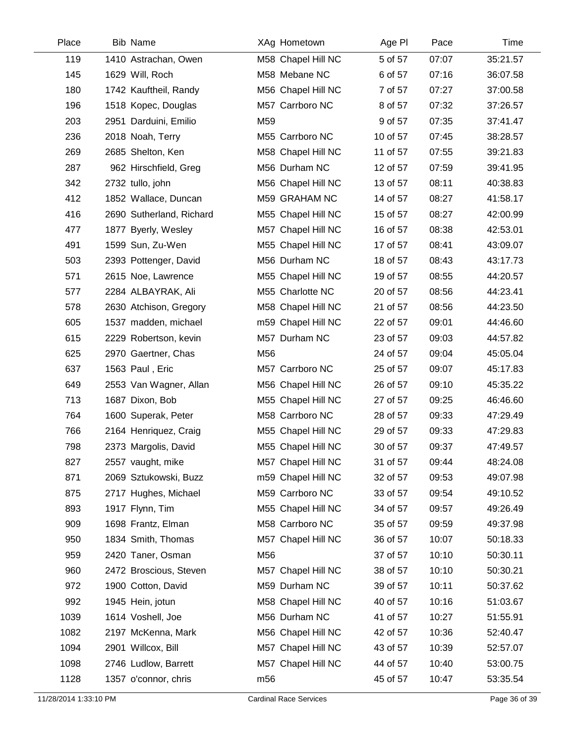| Place | <b>Bib Name</b>          |     | XAg Hometown       | Age PI   | Pace  | Time     |
|-------|--------------------------|-----|--------------------|----------|-------|----------|
| 119   | 1410 Astrachan, Owen     |     | M58 Chapel Hill NC | 5 of 57  | 07:07 | 35:21.57 |
| 145   | 1629 Will, Roch          |     | M58 Mebane NC      | 6 of 57  | 07:16 | 36:07.58 |
| 180   | 1742 Kauftheil, Randy    |     | M56 Chapel Hill NC | 7 of 57  | 07:27 | 37:00.58 |
| 196   | 1518 Kopec, Douglas      |     | M57 Carrboro NC    | 8 of 57  | 07:32 | 37:26.57 |
| 203   | 2951 Darduini, Emilio    | M59 |                    | 9 of 57  | 07:35 | 37:41.47 |
| 236   | 2018 Noah, Terry         |     | M55 Carrboro NC    | 10 of 57 | 07:45 | 38:28.57 |
| 269   | 2685 Shelton, Ken        |     | M58 Chapel Hill NC | 11 of 57 | 07:55 | 39:21.83 |
| 287   | 962 Hirschfield, Greg    |     | M56 Durham NC      | 12 of 57 | 07:59 | 39:41.95 |
| 342   | 2732 tullo, john         |     | M56 Chapel Hill NC | 13 of 57 | 08:11 | 40:38.83 |
| 412   | 1852 Wallace, Duncan     |     | M59 GRAHAM NC      | 14 of 57 | 08:27 | 41:58.17 |
| 416   | 2690 Sutherland, Richard |     | M55 Chapel Hill NC | 15 of 57 | 08:27 | 42:00.99 |
| 477   | 1877 Byerly, Wesley      |     | M57 Chapel Hill NC | 16 of 57 | 08:38 | 42:53.01 |
| 491   | 1599 Sun, Zu-Wen         |     | M55 Chapel Hill NC | 17 of 57 | 08:41 | 43:09.07 |
| 503   | 2393 Pottenger, David    |     | M56 Durham NC      | 18 of 57 | 08:43 | 43:17.73 |
| 571   | 2615 Noe, Lawrence       |     | M55 Chapel Hill NC | 19 of 57 | 08:55 | 44:20.57 |
| 577   | 2284 ALBAYRAK, Ali       |     | M55 Charlotte NC   | 20 of 57 | 08:56 | 44:23.41 |
| 578   | 2630 Atchison, Gregory   |     | M58 Chapel Hill NC | 21 of 57 | 08:56 | 44:23.50 |
| 605   | 1537 madden, michael     |     | m59 Chapel Hill NC | 22 of 57 | 09:01 | 44:46.60 |
| 615   | 2229 Robertson, kevin    |     | M57 Durham NC      | 23 of 57 | 09:03 | 44:57.82 |
| 625   | 2970 Gaertner, Chas      | M56 |                    | 24 of 57 | 09:04 | 45:05.04 |
| 637   | 1563 Paul, Eric          |     | M57 Carrboro NC    | 25 of 57 | 09:07 | 45:17.83 |
| 649   | 2553 Van Wagner, Allan   |     | M56 Chapel Hill NC | 26 of 57 | 09:10 | 45:35.22 |
| 713   | 1687 Dixon, Bob          |     | M55 Chapel Hill NC | 27 of 57 | 09:25 | 46:46.60 |
| 764   | 1600 Superak, Peter      |     | M58 Carrboro NC    | 28 of 57 | 09:33 | 47:29.49 |
| 766   | 2164 Henriquez, Craig    |     | M55 Chapel Hill NC | 29 of 57 | 09:33 | 47:29.83 |
| 798   | 2373 Margolis, David     |     | M55 Chapel Hill NC | 30 of 57 | 09:37 | 47:49.57 |
| 827   | 2557 vaught, mike        |     | M57 Chapel Hill NC | 31 of 57 | 09:44 | 48:24.08 |
| 871   | 2069 Sztukowski, Buzz    |     | m59 Chapel Hill NC | 32 of 57 | 09:53 | 49:07.98 |
| 875   | 2717 Hughes, Michael     |     | M59 Carrboro NC    | 33 of 57 | 09:54 | 49:10.52 |
| 893   | 1917 Flynn, Tim          |     | M55 Chapel Hill NC | 34 of 57 | 09:57 | 49:26.49 |
| 909   | 1698 Frantz, Elman       |     | M58 Carrboro NC    | 35 of 57 | 09:59 | 49:37.98 |
| 950   | 1834 Smith, Thomas       |     | M57 Chapel Hill NC | 36 of 57 | 10:07 | 50:18.33 |
| 959   | 2420 Taner, Osman        | M56 |                    | 37 of 57 | 10:10 | 50:30.11 |
| 960   | 2472 Broscious, Steven   |     | M57 Chapel Hill NC | 38 of 57 | 10:10 | 50:30.21 |
| 972   | 1900 Cotton, David       |     | M59 Durham NC      | 39 of 57 | 10:11 | 50:37.62 |
| 992   | 1945 Hein, jotun         |     | M58 Chapel Hill NC | 40 of 57 | 10:16 | 51:03.67 |
| 1039  | 1614 Voshell, Joe        |     | M56 Durham NC      | 41 of 57 | 10:27 | 51:55.91 |
| 1082  | 2197 McKenna, Mark       |     | M56 Chapel Hill NC | 42 of 57 | 10:36 | 52:40.47 |
| 1094  | 2901 Willcox, Bill       |     | M57 Chapel Hill NC | 43 of 57 | 10:39 | 52:57.07 |
| 1098  | 2746 Ludlow, Barrett     |     | M57 Chapel Hill NC | 44 of 57 | 10:40 | 53:00.75 |
| 1128  | 1357 o'connor, chris     | m56 |                    | 45 of 57 | 10:47 | 53:35.54 |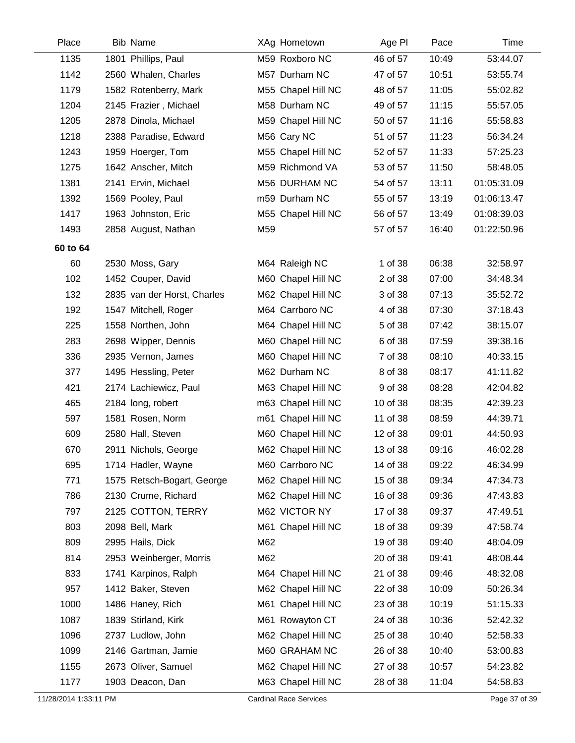| Place    | <b>Bib Name</b>             |     | XAg Hometown       | Age PI   | Pace  | Time        |
|----------|-----------------------------|-----|--------------------|----------|-------|-------------|
| 1135     | 1801 Phillips, Paul         |     | M59 Roxboro NC     | 46 of 57 | 10:49 | 53:44.07    |
| 1142     | 2560 Whalen, Charles        |     | M57 Durham NC      | 47 of 57 | 10:51 | 53:55.74    |
| 1179     | 1582 Rotenberry, Mark       |     | M55 Chapel Hill NC | 48 of 57 | 11:05 | 55:02.82    |
| 1204     | 2145 Frazier, Michael       |     | M58 Durham NC      | 49 of 57 | 11:15 | 55:57.05    |
| 1205     | 2878 Dinola, Michael        |     | M59 Chapel Hill NC | 50 of 57 | 11:16 | 55:58.83    |
| 1218     | 2388 Paradise, Edward       |     | M56 Cary NC        | 51 of 57 | 11:23 | 56:34.24    |
| 1243     | 1959 Hoerger, Tom           |     | M55 Chapel Hill NC | 52 of 57 | 11:33 | 57:25.23    |
| 1275     | 1642 Anscher, Mitch         |     | M59 Richmond VA    | 53 of 57 | 11:50 | 58:48.05    |
| 1381     | 2141 Ervin, Michael         |     | M56 DURHAM NC      | 54 of 57 | 13:11 | 01:05:31.09 |
| 1392     | 1569 Pooley, Paul           |     | m59 Durham NC      | 55 of 57 | 13:19 | 01:06:13.47 |
| 1417     | 1963 Johnston, Eric         |     | M55 Chapel Hill NC | 56 of 57 | 13:49 | 01:08:39.03 |
| 1493     | 2858 August, Nathan         | M59 |                    | 57 of 57 | 16:40 | 01:22:50.96 |
| 60 to 64 |                             |     |                    |          |       |             |
| 60       | 2530 Moss, Gary             |     | M64 Raleigh NC     | 1 of 38  | 06:38 | 32:58.97    |
| 102      | 1452 Couper, David          |     | M60 Chapel Hill NC | 2 of 38  | 07:00 | 34:48.34    |
| 132      | 2835 van der Horst, Charles |     | M62 Chapel Hill NC | 3 of 38  | 07:13 | 35:52.72    |
| 192      | 1547 Mitchell, Roger        |     | M64 Carrboro NC    | 4 of 38  | 07:30 | 37:18.43    |
| 225      | 1558 Northen, John          |     | M64 Chapel Hill NC | 5 of 38  | 07:42 | 38:15.07    |
| 283      | 2698 Wipper, Dennis         |     | M60 Chapel Hill NC | 6 of 38  | 07:59 | 39:38.16    |
| 336      | 2935 Vernon, James          |     | M60 Chapel Hill NC | 7 of 38  | 08:10 | 40:33.15    |
| 377      | 1495 Hessling, Peter        |     | M62 Durham NC      | 8 of 38  | 08:17 | 41:11.82    |
| 421      | 2174 Lachiewicz, Paul       |     | M63 Chapel Hill NC | 9 of 38  | 08:28 | 42:04.82    |
| 465      | 2184 long, robert           |     | m63 Chapel Hill NC | 10 of 38 | 08:35 | 42:39.23    |
| 597      | 1581 Rosen, Norm            |     | m61 Chapel Hill NC | 11 of 38 | 08:59 | 44:39.71    |
| 609      | 2580 Hall, Steven           |     | M60 Chapel Hill NC | 12 of 38 | 09:01 | 44:50.93    |
| 670      | 2911 Nichols, George        |     | M62 Chapel Hill NC | 13 of 38 | 09:16 | 46:02.28    |
| 695      | 1714 Hadler, Wayne          |     | M60 Carrboro NC    | 14 of 38 | 09:22 | 46:34.99    |
| 771      | 1575 Retsch-Bogart, George  |     | M62 Chapel Hill NC | 15 of 38 | 09:34 | 47:34.73    |
| 786      | 2130 Crume, Richard         |     | M62 Chapel Hill NC | 16 of 38 | 09:36 | 47:43.83    |
| 797      | 2125 COTTON, TERRY          |     | M62 VICTOR NY      | 17 of 38 | 09:37 | 47:49.51    |
| 803      | 2098 Bell, Mark             |     | M61 Chapel Hill NC | 18 of 38 | 09:39 | 47:58.74    |
| 809      | 2995 Hails, Dick            | M62 |                    | 19 of 38 | 09:40 | 48:04.09    |
| 814      | 2953 Weinberger, Morris     | M62 |                    | 20 of 38 | 09:41 | 48:08.44    |
| 833      | 1741 Karpinos, Ralph        |     | M64 Chapel Hill NC | 21 of 38 | 09:46 | 48:32.08    |
| 957      | 1412 Baker, Steven          |     | M62 Chapel Hill NC | 22 of 38 | 10:09 | 50:26.34    |
| 1000     | 1486 Haney, Rich            |     | M61 Chapel Hill NC | 23 of 38 | 10:19 | 51:15.33    |
| 1087     | 1839 Stirland, Kirk         |     | M61 Rowayton CT    | 24 of 38 | 10:36 | 52:42.32    |
| 1096     | 2737 Ludlow, John           |     | M62 Chapel Hill NC | 25 of 38 | 10:40 | 52:58.33    |
| 1099     | 2146 Gartman, Jamie         |     | M60 GRAHAM NC      | 26 of 38 | 10:40 | 53:00.83    |
| 1155     | 2673 Oliver, Samuel         |     | M62 Chapel Hill NC | 27 of 38 | 10:57 | 54:23.82    |
| 1177     | 1903 Deacon, Dan            |     | M63 Chapel Hill NC | 28 of 38 | 11:04 | 54:58.83    |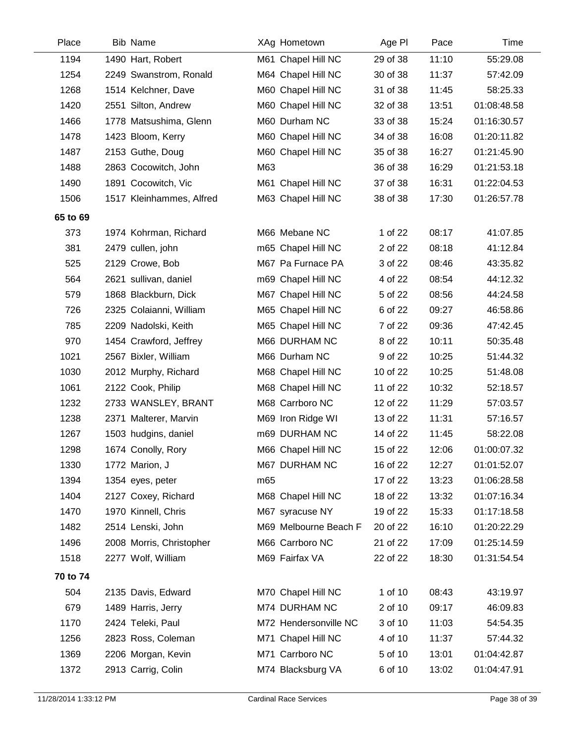| Place    | <b>Bib Name</b>          |     | XAg Hometown          | Age PI   | Pace  | Time        |
|----------|--------------------------|-----|-----------------------|----------|-------|-------------|
| 1194     | 1490 Hart, Robert        |     | M61 Chapel Hill NC    | 29 of 38 | 11:10 | 55:29.08    |
| 1254     | 2249 Swanstrom, Ronald   |     | M64 Chapel Hill NC    | 30 of 38 | 11:37 | 57:42.09    |
| 1268     | 1514 Kelchner, Dave      |     | M60 Chapel Hill NC    | 31 of 38 | 11:45 | 58:25.33    |
| 1420     | 2551 Silton, Andrew      |     | M60 Chapel Hill NC    | 32 of 38 | 13:51 | 01:08:48.58 |
| 1466     | 1778 Matsushima, Glenn   |     | M60 Durham NC         | 33 of 38 | 15:24 | 01:16:30.57 |
| 1478     | 1423 Bloom, Kerry        |     | M60 Chapel Hill NC    | 34 of 38 | 16:08 | 01:20:11.82 |
| 1487     | 2153 Guthe, Doug         |     | M60 Chapel Hill NC    | 35 of 38 | 16:27 | 01:21:45.90 |
| 1488     | 2863 Cocowitch, John     | M63 |                       | 36 of 38 | 16:29 | 01:21:53.18 |
| 1490     | 1891 Cocowitch, Vic      |     | M61 Chapel Hill NC    | 37 of 38 | 16:31 | 01:22:04.53 |
| 1506     | 1517 Kleinhammes, Alfred |     | M63 Chapel Hill NC    | 38 of 38 | 17:30 | 01:26:57.78 |
| 65 to 69 |                          |     |                       |          |       |             |
| 373      | 1974 Kohrman, Richard    |     | M66 Mebane NC         | 1 of 22  | 08:17 | 41:07.85    |
| 381      | 2479 cullen, john        |     | m65 Chapel Hill NC    | 2 of 22  | 08:18 | 41:12.84    |
| 525      | 2129 Crowe, Bob          |     | M67 Pa Furnace PA     | 3 of 22  | 08:46 | 43:35.82    |
| 564      | 2621 sullivan, daniel    |     | m69 Chapel Hill NC    | 4 of 22  | 08:54 | 44:12.32    |
| 579      | 1868 Blackburn, Dick     |     | M67 Chapel Hill NC    | 5 of 22  | 08:56 | 44:24.58    |
| 726      | 2325 Colaianni, William  |     | M65 Chapel Hill NC    | 6 of 22  | 09:27 | 46:58.86    |
| 785      | 2209 Nadolski, Keith     |     | M65 Chapel Hill NC    | 7 of 22  | 09:36 | 47:42.45    |
| 970      | 1454 Crawford, Jeffrey   |     | M66 DURHAM NC         | 8 of 22  | 10:11 | 50:35.48    |
| 1021     | 2567 Bixler, William     |     | M66 Durham NC         | 9 of 22  | 10:25 | 51:44.32    |
| 1030     | 2012 Murphy, Richard     |     | M68 Chapel Hill NC    | 10 of 22 | 10:25 | 51:48.08    |
| 1061     | 2122 Cook, Philip        |     | M68 Chapel Hill NC    | 11 of 22 | 10:32 | 52:18.57    |
| 1232     | 2733 WANSLEY, BRANT      |     | M68 Carrboro NC       | 12 of 22 | 11:29 | 57:03.57    |
| 1238     | 2371 Malterer, Marvin    |     | M69 Iron Ridge WI     | 13 of 22 | 11:31 | 57:16.57    |
| 1267     | 1503 hudgins, daniel     |     | m69 DURHAM NC         | 14 of 22 | 11:45 | 58:22.08    |
| 1298     | 1674 Conolly, Rory       |     | M66 Chapel Hill NC    | 15 of 22 | 12:06 | 01:00:07.32 |
| 1330     | 1772 Marion, J           |     | M67 DURHAM NC         | 16 of 22 | 12:27 | 01:01:52.07 |
| 1394     | 1354 eyes, peter         | m65 |                       | 17 of 22 | 13:23 | 01:06:28.58 |
| 1404     | 2127 Coxey, Richard      |     | M68 Chapel Hill NC    | 18 of 22 | 13:32 | 01:07:16.34 |
| 1470     | 1970 Kinnell, Chris      |     | M67 syracuse NY       | 19 of 22 | 15:33 | 01:17:18.58 |
| 1482     | 2514 Lenski, John        |     | M69 Melbourne Beach F | 20 of 22 | 16:10 | 01:20:22.29 |
| 1496     | 2008 Morris, Christopher |     | M66 Carrboro NC       | 21 of 22 | 17:09 | 01:25:14.59 |
| 1518     | 2277 Wolf, William       |     | M69 Fairfax VA        | 22 of 22 | 18:30 | 01:31:54.54 |
| 70 to 74 |                          |     |                       |          |       |             |
| 504      | 2135 Davis, Edward       |     | M70 Chapel Hill NC    | 1 of 10  | 08:43 | 43:19.97    |
| 679      | 1489 Harris, Jerry       |     | M74 DURHAM NC         | 2 of 10  | 09:17 | 46:09.83    |
| 1170     | 2424 Teleki, Paul        |     | M72 Hendersonville NC | 3 of 10  | 11:03 | 54:54.35    |
| 1256     | 2823 Ross, Coleman       |     | M71 Chapel Hill NC    | 4 of 10  | 11:37 | 57:44.32    |
| 1369     | 2206 Morgan, Kevin       |     | M71 Carrboro NC       | 5 of 10  | 13:01 | 01:04:42.87 |
| 1372     | 2913 Carrig, Colin       |     | M74 Blacksburg VA     | 6 of 10  | 13:02 | 01:04:47.91 |